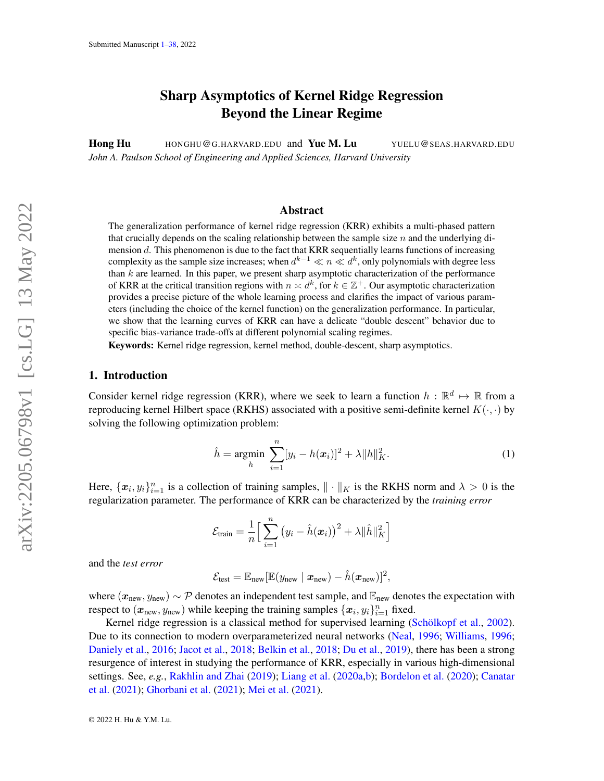# Sharp Asymptotics of Kernel Ridge Regression Beyond the Linear Regime

<span id="page-0-0"></span>Hong Hu HONGHU@G.HARVARD.EDU and Yue M. Lu YUELU@SEAS.HARVARD.EDU *John A. Paulson School of Engineering and Applied Sciences, Harvard University*

## Abstract

The generalization performance of kernel ridge regression (KRR) exhibits a multi-phased pattern that crucially depends on the scaling relationship between the sample size  $n$  and the underlying dimension  $d$ . This phenomenon is due to the fact that KRR sequentially learns functions of increasing complexity as the sample size increases; when  $d^{k-1} \ll n \ll d^k,$  only polynomials with degree less than  $k$  are learned. In this paper, we present sharp asymptotic characterization of the performance of KRR at the critical transition regions with  $n \times d^k$ , for  $k \in \mathbb{Z}^+$ . Our asymptotic characterization provides a precise picture of the whole learning process and clarifies the impact of various parameters (including the choice of the kernel function) on the generalization performance. In particular, we show that the learning curves of KRR can have a delicate "double descent" behavior due to specific bias-variance trade-offs at different polynomial scaling regimes.

Keywords: Kernel ridge regression, kernel method, double-descent, sharp asymptotics.

#### 1. Introduction

Consider kernel ridge regression (KRR), where we seek to learn a function  $h : \mathbb{R}^d \mapsto \mathbb{R}$  from a reproducing kernel Hilbert space (RKHS) associated with a positive semi-definite kernel  $K(\cdot, \cdot)$  by solving the following optimization problem:

<span id="page-0-1"></span>
$$
\hat{h} = \underset{h}{\text{argmin}} \sum_{i=1}^{n} [y_i - h(x_i)]^2 + \lambda \|h\|_K^2.
$$
 (1)

Here,  $\{x_i, y_i\}_{i=1}^n$  is a collection of training samples,  $\|\cdot\|_K$  is the RKHS norm and  $\lambda > 0$  is the regularization parameter. The performance of KRR can be characterized by the *training error*

$$
\mathcal{E}_{\text{train}} = \frac{1}{n} \Big[ \sum_{i=1}^{n} (y_i - \hat{h}(\boldsymbol{x}_i))^2 + \lambda ||\hat{h}||_K^2 \Big]
$$

and the *test error*

$$
\mathcal{E}_{\text{test}} = \mathbb{E}_{\text{new}}[\mathbb{E}(y_{\text{new}} \mid \boldsymbol{x}_{\text{new}}) - \hat{h}(\boldsymbol{x}_{\text{new}})]^2,
$$

where  $(x_{\text{new}}, y_{\text{new}}) \sim \mathcal{P}$  denotes an independent test sample, and  $\mathbb{E}_{\text{new}}$  denotes the expectation with respect to  $(x_{\text{new}}, y_{\text{new}})$  while keeping the training samples  $\{x_i, y_i\}_{i=1}^n$  fixed.

Kernel ridge regression is a classical method for supervised learning (Schölkopf et al., [2002\)](#page-13-0). Due to its connection to modern overparameterized neural networks [\(Neal,](#page-13-1) [1996;](#page-13-1) [Williams,](#page-14-0) [1996;](#page-14-0) [Daniely et al.,](#page-12-0) [2016;](#page-12-0) [Jacot et al.,](#page-13-2) [2018;](#page-13-2) [Belkin et al.,](#page-12-1) [2018;](#page-12-1) [Du et al.,](#page-12-2) [2019\)](#page-12-2), there has been a strong resurgence of interest in studying the performance of KRR, especially in various high-dimensional settings. See, *e.g.*, [Rakhlin and Zhai](#page-13-3) [\(2019\)](#page-13-3); [Liang et al.](#page-13-4) [\(2020a,](#page-13-4)[b\)](#page-13-5); [Bordelon et al.](#page-12-3) [\(2020\)](#page-12-3); [Canatar](#page-12-4) [et al.](#page-12-4) [\(2021\)](#page-12-4); [Ghorbani et al.](#page-12-5) [\(2021\)](#page-12-5); [Mei et al.](#page-13-6) [\(2021\)](#page-13-6).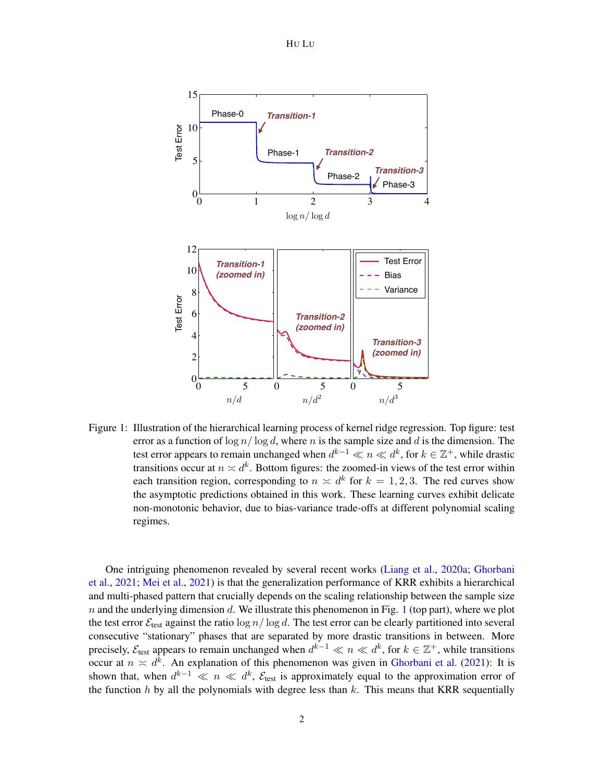HU LU



<span id="page-1-0"></span>Figure 1: Illustration of the hierarchical learning process of kernel ridge regression. Top figure: test error as a function of  $\log n / \log d$ , where n is the sample size and d is the dimension. The test error appears to remain unchanged when  $d^{k-1} \ll n \ll d^k$ , for  $k \in \mathbb{Z}^+$ , while drastic transitions occur at  $n \times d^k$ . Bottom figures: the zoomed-in views of the test error within each transition region, corresponding to  $n \times d^k$  for  $k = 1, 2, 3$ . The red curves show the asymptotic predictions obtained in this work. These learning curves exhibit delicate non-monotonic behavior, due to bias-variance trade-offs at different polynomial scaling regimes.

One intriguing phenomenon revealed by several recent works [\(Liang et al.,](#page-13-4) [2020a;](#page-13-4) [Ghorbani](#page-12-5) [et al.,](#page-12-5) [2021;](#page-12-5) [Mei et al.,](#page-13-6) [2021\)](#page-13-6) is that the generalization performance of KRR exhibits a hierarchical and multi-phased pattern that crucially depends on the scaling relationship between the sample size n and the underlying dimension d. We illustrate this phenomenon in Fig. [1](#page-1-0) (top part), where we plot the test error  $\mathcal{E}_{\text{test}}$  against the ratio  $\log n / \log d$ . The test error can be clearly partitioned into several consecutive "stationary" phases that are separated by more drastic transitions in between. More precisely,  $\mathcal{E}_{test}$  appears to remain unchanged when  $d^{k-1} \ll n \ll d^k$ , for  $k \in \mathbb{Z}^+$ , while transitions occur at  $n \times d^k$ . An explanation of this phenomenon was given in [Ghorbani et al.](#page-12-5) [\(2021\)](#page-12-5): It is shown that, when  $d^{k-1} \ll n \ll d^k$ ,  $\mathcal{E}_{\text{test}}$  is approximately equal to the approximation error of the function h by all the polynomials with degree less than  $k$ . This means that KRR sequentially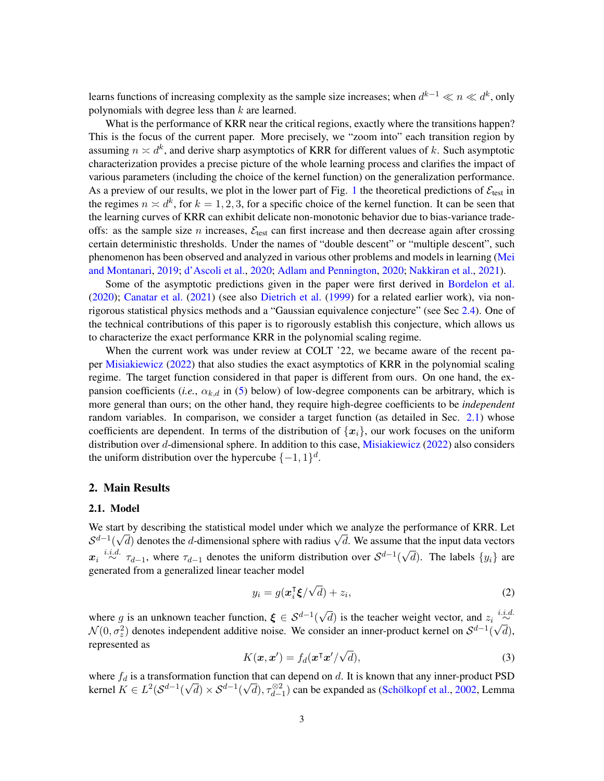learns functions of increasing complexity as the sample size increases; when  $d^{k-1} \ll n \ll d^k$ , only polynomials with degree less than k are learned.

What is the performance of KRR near the critical regions, exactly where the transitions happen? This is the focus of the current paper. More precisely, we "zoom into" each transition region by assuming  $n \asymp d^k$ , and derive sharp asymptotics of KRR for different values of k. Such asymptotic characterization provides a precise picture of the whole learning process and clarifies the impact of various parameters (including the choice of the kernel function) on the generalization performance. As a preview of our results, we plot in the lower part of Fig. [1](#page-1-0) the theoretical predictions of  $\mathcal{E}_{\text{test}}$  in the regimes  $n \times d^k$ , for  $k = 1, 2, 3$ , for a specific choice of the kernel function. It can be seen that the learning curves of KRR can exhibit delicate non-monotonic behavior due to bias-variance tradeoffs: as the sample size n increases,  $\mathcal{E}_{\text{test}}$  can first increase and then decrease again after crossing certain deterministic thresholds. Under the names of "double descent" or "multiple descent", such phenomenon has been observed and analyzed in various other problems and models in learning [\(Mei](#page-13-7) [and Montanari,](#page-13-7) [2019;](#page-13-7) [d'Ascoli et al.,](#page-12-6) [2020;](#page-12-6) [Adlam and Pennington,](#page-12-7) [2020;](#page-12-7) [Nakkiran et al.,](#page-13-8) [2021\)](#page-13-8).

Some of the asymptotic predictions given in the paper were first derived in [Bordelon et al.](#page-12-3) [\(2020\)](#page-12-3); [Canatar et al.](#page-12-4) [\(2021\)](#page-12-4) (see also [Dietrich et al.](#page-12-8) [\(1999\)](#page-12-8) for a related earlier work), via nonrigorous statistical physics methods and a "Gaussian equivalence conjecture" (see Sec [2.4\)](#page-6-0). One of the technical contributions of this paper is to rigorously establish this conjecture, which allows us to characterize the exact performance KRR in the polynomial scaling regime.

When the current work was under review at COLT '22, we became aware of the recent paper [Misiakiewicz](#page-13-9) [\(2022\)](#page-13-9) that also studies the exact asymptotics of KRR in the polynomial scaling regime. The target function considered in that paper is different from ours. On one hand, the expansion coefficients (*i.e.*,  $\alpha_{k,d}$  in [\(5\)](#page-4-0) below) of low-degree components can be arbitrary, which is more general than ours; on the other hand, they require high-degree coefficients to be *independent* random variables. In comparison, we consider a target function (as detailed in Sec. [2.1\)](#page-2-0) whose coefficients are dependent. In terms of the distribution of  ${x_i}$ , our work focuses on the uniform distribution over d-dimensional sphere. In addition to this case, [Misiakiewicz](#page-13-9) [\(2022\)](#page-13-9) also considers the uniform distribution over the hypercube  $\{-1, 1\}^d$ .

### 2. Main Results

#### <span id="page-2-0"></span>2.1. Model

We start by describing the statistical model under which we analyze the performance of KRR. Let we start by describing the statistical model under which we analyze the performance of KKR. Let  $S^{d-1}(\sqrt{d})$  denotes the d-dimensional sphere with radius  $\sqrt{d}$ . We assume that the input data vectors  $x_i \stackrel{i.i.d.}{\sim} \tau_{d-1}$ , where  $\tau_{d-1}$  denotes the uniform distribution over  $S^{d-1}$ ( √ d). The labels  $\{y_i\}$  are generated from a generalized linear teacher model

<span id="page-2-1"></span>
$$
y_i = g(\boldsymbol{x}_i^{\mathsf{T}} \boldsymbol{\xi}/\sqrt{d}) + z_i,
$$
\n(2)

where g is an unknown teacher function,  $\xi \in S^{d-1}($ √  $\overline{d}$ ) is the teacher weight vector, and  $z_i \stackrel{i.i.d.}{\sim}$  $\mathcal{N}(0, \sigma_z^2)$  denotes independent additive noise. We consider an inner-product kernel on  $\mathcal{S}^{d-1}$  ( √ d), represented as √

<span id="page-2-2"></span>
$$
K(\mathbf{x}, \mathbf{x}') = f_d(\mathbf{x}^\mathsf{T} \mathbf{x}' / \sqrt{d}),\tag{3}
$$

where  $f_d$  is a transformation function that can depend on  $d$ . It is known that any inner-product PSD kernel  $K \in L^2(\mathcal{S}^{d-1})$ mation function<br> $\sqrt{d}$ ) ×  $\mathcal{S}^{d-1}$ ( in that can depend on a. It is known that any inner-product PSD  $\sqrt{d}$ ,  $\tau_{d-1}^{\otimes 2}$  can be expanded as (Schölkopf et al., [2002,](#page-13-0) Lemma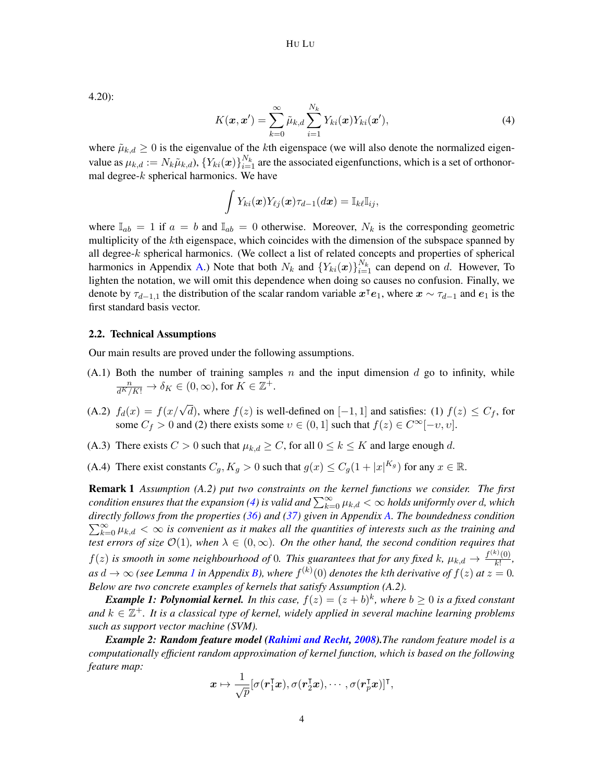4.20):

<span id="page-3-0"></span>
$$
K(\boldsymbol{x}, \boldsymbol{x}') = \sum_{k=0}^{\infty} \tilde{\mu}_{k,d} \sum_{i=1}^{N_k} Y_{ki}(\boldsymbol{x}) Y_{ki}(\boldsymbol{x}'),
$$
\n(4)

where  $\tilde{\mu}_{k,d} \geq 0$  is the eigenvalue of the kth eigenspace (we will also denote the normalized eigenvalue as  $\mu_{k,d} := N_k \tilde{\mu}_{k,d}$ ),  $\{Y_{ki}(\bm{x})\}_{i=1}^{N_k}$  are the associated eigenfunctions, which is a set of orthonormal degree- $k$  spherical harmonics. We have

$$
\int Y_{ki}(\boldsymbol{x})Y_{\ell j}(\boldsymbol{x})\tau_{d-1}(d\boldsymbol{x})=\mathbb{I}_{k\ell}\mathbb{I}_{ij},
$$

where  $\mathbb{I}_{ab} = 1$  if  $a = b$  and  $\mathbb{I}_{ab} = 0$  otherwise. Moreover,  $N_k$  is the corresponding geometric multiplicity of the kth eigenspace, which coincides with the dimension of the subspace spanned by all degree-k spherical harmonics. (We collect a list of related concepts and properties of spherical harmonics in Appendix [A.](#page-14-1)) Note that both  $N_k$  and  $\{Y_{ki}(\boldsymbol{x})\}_{i=1}^{N_k}$  can depend on d. However, To lighten the notation, we will omit this dependence when doing so causes no confusion. Finally, we denote by  $\tau_{d-1,1}$  the distribution of the scalar random variable  $x^\top e_1$ , where  $x \sim \tau_{d-1}$  and  $e_1$  is the first standard basis vector.

#### 2.2. Technical Assumptions

Our main results are proved under the following assumptions.

- $(A.1)$  Both the number of training samples n and the input dimension d go to infinity, while  $\frac{n}{d^K/K!} \to \delta_K \in (0,\infty)$ , for  $K \in \mathbb{Z}^+$ .
- (A.2)  $f_d(x) = f(x/\sqrt{d})$ , where  $f(z)$  is well-defined on [-1, 1] and satisfies: (1)  $f(z) \leq C_f$ , for some  $C_f > 0$  and (2) there exists some  $v \in (0, 1]$  such that  $f(z) \in C^{\infty}[-v, v]$ .
- (A.3) There exists  $C > 0$  such that  $\mu_{k,d} \geq C$ , for all  $0 \leq k \leq K$  and large enough d.
- (A.4) There exist constants  $C_g, K_g > 0$  such that  $g(x) \le C_g(1+|x|^{K_g})$  for any  $x \in \mathbb{R}$ .

Remark 1 *Assumption (A.2) put two constraints on the kernel functions we consider. The first condition ensures that the expansion [\(4\)](#page-3-0) is valid and*  $\sum_{k=0}^{\infty} \mu_{k,d}<\infty$  *holds uniformly over*  $d$ *, which directly follows from the properties ( [36\)](#page-15-0) and [\(37\)](#page-15-1) given in Appendix [A.](#page-14-1) The boundedness condition*  $\sum_{k=0}^{\infty} \mu_{k,d} < \infty$  is convenient as it makes all the quantities of interests such as the training and *test errors of size*  $\mathcal{O}(1)$ *, when*  $\lambda \in (0, \infty)$ *. On the other hand, the second condition requires that*  $f(z)$  is smooth in some neighbourhood of 0. This guarantees that for any fixed k,  $\mu_{k,d} \to \frac{f^{(k)}(0)}{k!}$  $\frac{\partial}{\partial k!}$ , as  $d \to \infty$  (see Lemma [1](#page-15-2) in Appendix [B\)](#page-15-3), where  $f^{(k)}(0)$  denotes the kth derivative of  $f(z)$  at  $z = 0$ . *Below are two concrete examples of kernels that satisfy Assumption (A.2).*

**Example 1: Polynomial kernel.** In this case,  $f(z) = (z + b)^k$ , where  $b \ge 0$  is a fixed constant and  $k \in \mathbb{Z}^+$ . It is a classical type of kernel, widely applied in several machine learning problems *such as support vector machine (SVM).*

*Example 2: Random feature model [\(Rahimi and Recht,](#page-13-10) [2008\)](#page-13-10).The random feature model is a computationally efficient random approximation of kernel function, which is based on the following feature map:*

$$
\boldsymbol{x} \mapsto \frac{1}{\sqrt{p}} [\sigma(\boldsymbol{r}_1^{\intercal}\boldsymbol{x}), \sigma(\boldsymbol{r}_2^{\intercal}\boldsymbol{x}), \cdots, \sigma(\boldsymbol{r}_p^{\intercal}\boldsymbol{x})]^{\intercal},
$$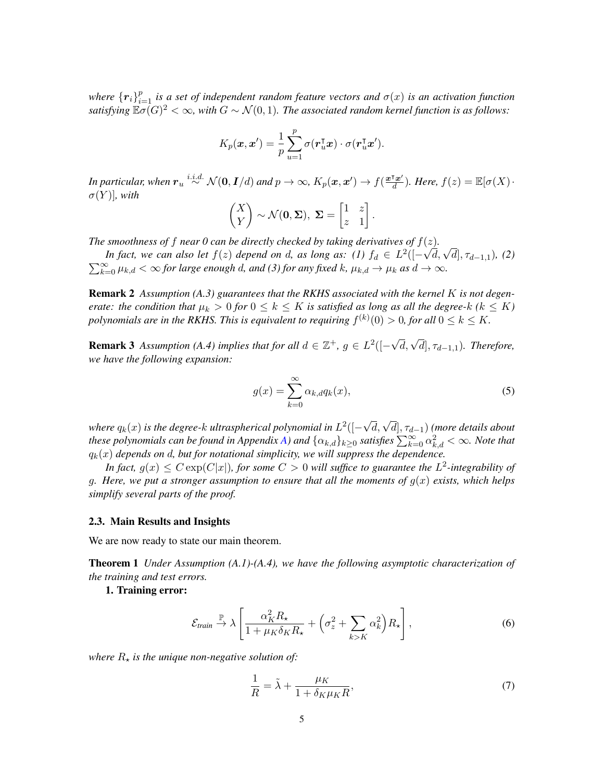where  ${r_i}_{i=1}^p$  is a set of independent random feature vectors and  $\sigma(x)$  is an activation function *satisfying*  $\mathbb{E}\sigma(G)^2 < \infty$ , with  $G \sim \mathcal{N}(0, 1)$ . The associated random kernel function is as follows:

$$
K_p(\boldsymbol{x}, \boldsymbol{x}') = \frac{1}{p} \sum_{u=1}^p \sigma(\boldsymbol{r}_u^{\intercal} \boldsymbol{x}) \cdot \sigma(\boldsymbol{r}_u^{\intercal} \boldsymbol{x}').
$$

In particular, when  $\bm{r}_u \stackrel{i.i.d.}{\sim} \mathcal{N}(\bm{0}, \bm{I}/d)$  and  $p \to \infty$ ,  $K_p(\bm{x}, \bm{x}') \to f(\frac{\bm{x}^\intercal \bm{x}'}{d})$  $\frac{\partial^{\mathsf{T}} x'}{d}$ ). Here,  $f(z) = \mathbb{E}[\sigma(X)]$  $\sigma(Y)$ ], with

$$
\begin{pmatrix} X \\ Y \end{pmatrix} \sim \mathcal{N}(\mathbf{0}, \Sigma), \ \Sigma = \begin{bmatrix} 1 & z \\ z & 1 \end{bmatrix}.
$$

*The smoothness of f near 0 can be directly checked by taking derivatives of*  $f(z)$ .

*In fact, we can also let*  $f(z)$  *depend on d, as long as:* (1)  $f_d \in L^2([-\sqrt{d}, \sqrt{d}], \tau_{d-1,1})$ , (2)<br>In fact, we can also let  $f(z)$  depend on d, as long as: (1)  $f_d \in L^2([-\sqrt{d}, \sqrt{d}], \tau_{d-1,1})$ , (2)  $\sum_{k=0}^{\infty} \mu_{k,d} < \infty$  for large enough d, and (3) for any fixed k,  $\mu_{k,d} \to \mu_k$  as  $d \to \infty$ .

**Remark 2** Assumption (A.3) guarantees that the RKHS associated with the kernel K is not degen*erate: the condition that*  $\mu_k > 0$  *for*  $0 \leq k \leq K$  *is satisfied as long as all the degree-k (k*  $\leq K$ ) polynomials are in the RKHS. This is equivalent to requiring  $f^{(k)}(0) > 0$ , for all  $0 \leq k \leq K$ .

**Remark 3** Assumption (A.4) implies that for all  $d \in \mathbb{Z}^+$ ,  $g \in L^2([ \sqrt{d}, \sqrt{d}$ ,  $\tau_{d-1,1}$ ). Therefore, *we have the following expansion:*

<span id="page-4-0"></span>
$$
g(x) = \sum_{k=0}^{\infty} \alpha_{k,d} q_k(x),
$$
\n(5)

where  $q_k(x)$  is the degree-k ultraspherical polynomial in  $L^2([-1])$ √ d, √ d], τd−1) *(more details about these polynomials can be found in Appendix [A\)](#page-14-1) and*  $\{\alpha_{k,d}\}_{k\geq 0}$  *satisfies*  $\sum_{k=0}^{\infty}\alpha_{k,d}^2 < \infty$ *. Note that*  $q_k(x)$  depends on d, but for notational simplicity, we will suppress the dependence.

In fact,  $g(x) \leq C \exp(C|x|)$ , for some  $C > 0$  will suffice to guarantee the  $L^2$ -integrability of g. Here, we put a stronger assumption to ensure that all the moments of  $g(x)$  exists, which helps *simplify several parts of the proof.*

#### 2.3. Main Results and Insights

We are now ready to state our main theorem.

Theorem 1 *Under Assumption (A.1)-(A.4), we have the following asymptotic characterization of the training and test errors.*

# 1. Training error:

<span id="page-4-2"></span><span id="page-4-1"></span>
$$
\mathcal{E}_{\text{train}} \stackrel{\mathbb{P}}{\to} \lambda \left[ \frac{\alpha_K^2 R_\star}{1 + \mu_K \delta_K R_\star} + \left( \sigma_z^2 + \sum_{k > K} \alpha_k^2 \right) R_\star \right],\tag{6}
$$

*where*  $R_{\star}$  *is the unique non-negative solution of:* 

$$
\frac{1}{R} = \tilde{\lambda} + \frac{\mu_K}{1 + \delta_K \mu_K R},\tag{7}
$$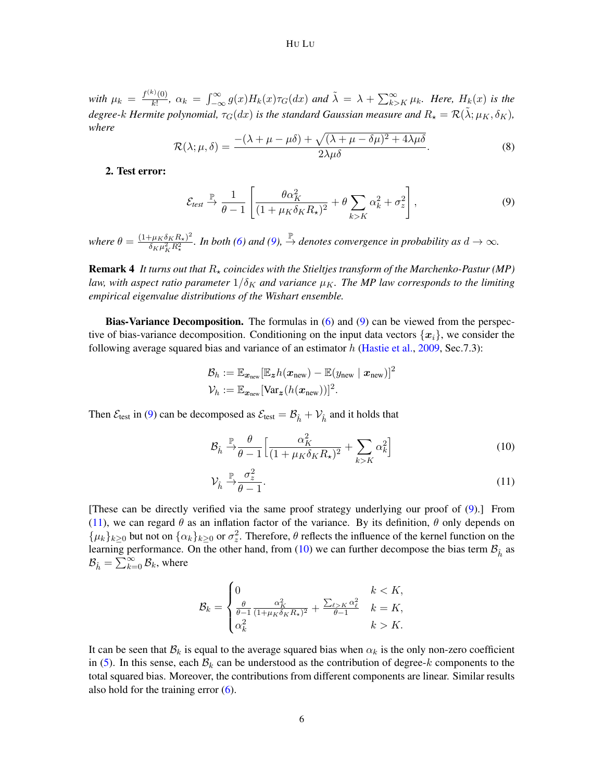#### HU LU

*with*  $\mu_k = \frac{f^{(k)}(0)}{k!}$  $\int_{\frac{R!}{k!}}^{k_0(0)} \alpha_k = \int_{-\infty}^{\infty} g(x) H_k(x) \tau_G(dx)$  and  $\tilde{\lambda} = \lambda + \sum_{k>K}^{\infty} \mu_k$ . Here,  $H_k(x)$  is the *degree-k Hermite polynomial,*  $\tau_G(dx)$  *is the standard Gaussian measure and*  $R_\star = \mathcal{R}(\tilde{\lambda}; \mu_K, \delta_K)$ *, where*

<span id="page-5-3"></span>
$$
\mathcal{R}(\lambda; \mu, \delta) = \frac{-(\lambda + \mu - \mu\delta) + \sqrt{(\lambda + \mu - \delta\mu)^2 + 4\lambda\mu\delta}}{2\lambda\mu\delta}.
$$
\n(8)

#### 2. Test error:

<span id="page-5-0"></span>
$$
\mathcal{E}_{test} \xrightarrow{\mathbb{P}} \frac{1}{\theta - 1} \left[ \frac{\theta \alpha_K^2}{(1 + \mu_K \delta_K R_\star)^2} + \theta \sum_{k > K} \alpha_k^2 + \sigma_z^2 \right],\tag{9}
$$

*where*  $\theta = \frac{(1 + \mu_K \delta_K R_\star)^2}{\delta_H \mu^2 R^2}$  $\frac{(\partial^2 F \mu_K \delta_K R_\star)^2}{(\partial K \mu_K^2 R_\star^2)}$ . In both [\(6\)](#page-4-1) and [\(9\)](#page-5-0),  $\stackrel{\mathbb{P}}{\to}$  denotes convergence in probability as  $d \to \infty$ .

**Remark 4** It turns out that  $R_{\star}$  coincides with the Stieltjes transform of the Marchenko-Pastur (MP) *law, with aspect ratio parameter*  $1/\delta_K$  *and variance*  $\mu_K$ *. The MP law corresponds to the limiting empirical eigenvalue distributions of the Wishart ensemble.*

**Bias-Variance Decomposition.** The formulas in  $(6)$  and  $(9)$  can be viewed from the perspective of bias-variance decomposition. Conditioning on the input data vectors  $\{x_i\}$ , we consider the following average squared bias and variance of an estimator  $h$  [\(Hastie et al.,](#page-12-9) [2009,](#page-12-9) Sec.7.3):

$$
\mathcal{B}_h := \mathbb{E}_{\mathbf{x}_{\text{new}}}[\mathbb{E}_{\mathbf{z}}h(\mathbf{x}_{\text{new}}) - \mathbb{E}(y_{\text{new}} | \mathbf{x}_{\text{new}})]^2
$$
  

$$
\mathcal{V}_h := \mathbb{E}_{\mathbf{x}_{\text{new}}}[\text{Var}_{\mathbf{z}}(h(\mathbf{x}_{\text{new}}))]^2.
$$

Then  $\mathcal{E}_{\text{test}}$  in [\(9\)](#page-5-0) can be decomposed as  $\mathcal{E}_{\text{test}} = \mathcal{B}_{\hat{h}} + \mathcal{V}_{\hat{h}}$  and it holds that

<span id="page-5-2"></span>
$$
\mathcal{B}_{\hat{h}} \xrightarrow{\mathbb{P}} \frac{\theta}{\theta - 1} \Big[ \frac{\alpha_K^2}{(1 + \mu_K \delta_K R_\star)^2} + \sum_{k > K} \alpha_k^2 \Big] \tag{10}
$$

<span id="page-5-1"></span>
$$
\mathcal{V}_{\hat{h}} \xrightarrow{\mathbb{P}} \frac{\sigma_z^2}{\theta - 1}.
$$
\n(11)

[These can be directly verified via the same proof strategy underlying our proof of [\(9\)](#page-5-0).] From [\(11\)](#page-5-1), we can regard  $\theta$  as an inflation factor of the variance. By its definition,  $\theta$  only depends on  $\{\mu_k\}_{k\geq 0}$  but not on  $\{\alpha_k\}_{k\geq 0}$  or  $\sigma_z^2$ . Therefore,  $\theta$  reflects the influence of the kernel function on the learning performance. On the other hand, from [\(10\)](#page-5-2) we can further decompose the bias term  $B_{\hat{h}}$  as  $\mathcal{B}_{\hat{h}} = \sum_{k=0}^{\infty} \mathcal{B}_k$ , where

$$
\mathcal{B}_k = \begin{cases} 0 & k < K, \\ \frac{\theta}{\theta - 1} \frac{\alpha_K^2}{(1 + \mu_K \delta_K R_\star)^2} + \frac{\sum_{\ell > K} \alpha_\ell^2}{\theta - 1} & k = K, \\ \alpha_k^2 & k > K. \end{cases}
$$

It can be seen that  $\mathcal{B}_k$  is equal to the average squared bias when  $\alpha_k$  is the only non-zero coefficient in [\(5\)](#page-4-0). In this sense, each  $\mathcal{B}_k$  can be understood as the contribution of degree-k components to the total squared bias. Moreover, the contributions from different components are linear. Similar results also hold for the training error  $(6)$ .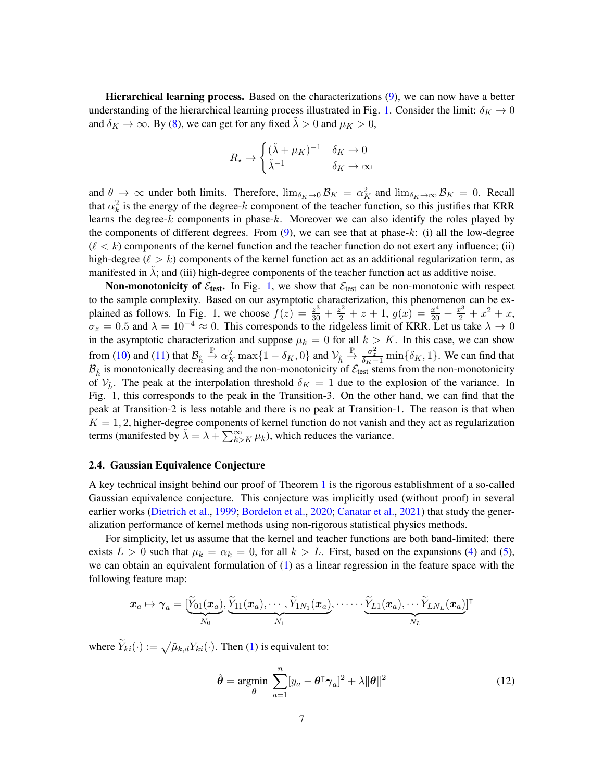Hierarchical learning process. Based on the characterizations [\(9\)](#page-5-0), we can now have a better understanding of the hierarchical learning process illustrated in Fig. [1.](#page-1-0) Consider the limit:  $\delta_K \to 0$ and  $\delta_K \to \infty$ . By [\(8\)](#page-5-3), we can get for any fixed  $\tilde{\lambda} > 0$  and  $\mu_K > 0$ ,

$$
R_{\star} \to \begin{cases} (\tilde{\lambda} + \mu_K)^{-1} & \delta_K \to 0\\ \tilde{\lambda}^{-1} & \delta_K \to \infty \end{cases}
$$

and  $\theta \to \infty$  under both limits. Therefore,  $\lim_{\delta_K \to 0} \mathcal{B}_K = \alpha_K^2$  and  $\lim_{\delta_K \to \infty} \mathcal{B}_K = 0$ . Recall that  $\alpha_k^2$  is the energy of the degree-k component of the teacher function, so this justifies that KRR learns the degree- $k$  components in phase- $k$ . Moreover we can also identify the roles played by the components of different degrees. From  $(9)$ , we can see that at phase- $k$ : (i) all the low-degree  $(\ell < k)$  components of the kernel function and the teacher function do not exert any influence; (ii) high-degree ( $\ell > k$ ) components of the kernel function act as an additional regularization term, as manifested in  $\lambda$ ; and (iii) high-degree components of the teacher function act as additive noise.

Non-monotonicity of  $\mathcal{E}_{test}$ . In Fig. [1,](#page-1-0) we show that  $\mathcal{E}_{test}$  can be non-monotonic with respect to the sample complexity. Based on our asymptotic characterization, this phenomenon can be explained as follows. In Fig. 1, we choose  $f(z) = \frac{z^3}{30} + \frac{z^2}{2} + z + 1$ ,  $g(x) = \frac{x^4}{20} + \frac{x^3}{2} + x^2 + x$ ,  $\sigma_z = 0.5$  and  $\lambda = 10^{-4} \approx 0$ . This corresponds to the ridgeless limit of KRR. Let us take  $\lambda \to 0$ in the asymptotic characterization and suppose  $\mu_k = 0$  for all  $k > K$ . In this case, we can show from [\(10\)](#page-5-2) and [\(11\)](#page-5-1) that  $\mathcal{B}_{\hat{h}} \stackrel{\mathbb{P}}{\rightarrow} \alpha_K^2 \max\{1 - \delta_K, 0\}$  and  $\mathcal{V}_{\hat{h}} \stackrel{\mathbb{P}}{\rightarrow} \frac{\sigma_z^2}{\delta_K - 1} \min\{\delta_K, 1\}$ . We can find that  $B_{\hat{h}}$  is monotonically decreasing and the non-monotonicity of  $\mathcal{E}_{\text{test}}$  stems from the non-monotonicity of  $V_{\hat{h}}$ . The peak at the interpolation threshold  $\delta_K = 1$  due to the explosion of the variance. In Fig. 1, this corresponds to the peak in the Transition-3. On the other hand, we can find that the peak at Transition-2 is less notable and there is no peak at Transition-1. The reason is that when  $K = 1, 2$ , higher-degree components of kernel function do not vanish and they act as regularization terms (manifested by  $\tilde{\lambda} = \lambda + \sum_{k>K}^{\infty} \mu_k$ ), which reduces the variance.

## <span id="page-6-0"></span>2.4. Gaussian Equivalence Conjecture

A key technical insight behind our proof of Theorem [1](#page-4-2) is the rigorous establishment of a so-called Gaussian equivalence conjecture. This conjecture was implicitly used (without proof) in several earlier works [\(Dietrich et al.,](#page-12-8) [1999;](#page-12-8) [Bordelon et al.,](#page-12-3) [2020;](#page-12-3) [Canatar et al.,](#page-12-4) [2021\)](#page-12-4) that study the generalization performance of kernel methods using non-rigorous statistical physics methods.

For simplicity, let us assume that the kernel and teacher functions are both band-limited: there exists  $L > 0$  such that  $\mu_k = \alpha_k = 0$ , for all  $k > L$ . First, based on the expansions [\(4\)](#page-3-0) and [\(5\)](#page-4-0), we can obtain an equivalent formulation of [\(1\)](#page-0-1) as a linear regression in the feature space with the following feature map:

$$
\boldsymbol{x}_a \mapsto \boldsymbol{\gamma}_a = [\underbrace{\widetilde{Y}_{01}(\boldsymbol{x}_a)}_{N_0}, \underbrace{\widetilde{Y}_{11}(\boldsymbol{x}_a), \cdots, \widetilde{Y}_{1N_1}(\boldsymbol{x}_a)}_{N_1}, \cdots \cdots \underbrace{\widetilde{Y}_{L1}(\boldsymbol{x}_a), \cdots \widetilde{Y}_{LN_L}(\boldsymbol{x}_a)}_{N_L}]^\intercal
$$

where  $\hat{Y}_{ki}(\cdot) := \sqrt{\tilde{\mu}_{k,d}} Y_{ki}(\cdot)$ . Then [\(1\)](#page-0-1) is equivalent to:

$$
\hat{\boldsymbol{\theta}} = \underset{\boldsymbol{\theta}}{\text{argmin}} \sum_{a=1}^{n} [y_a - \boldsymbol{\theta}^\mathsf{T} \boldsymbol{\gamma}_a]^2 + \lambda ||\boldsymbol{\theta}||^2 \tag{12}
$$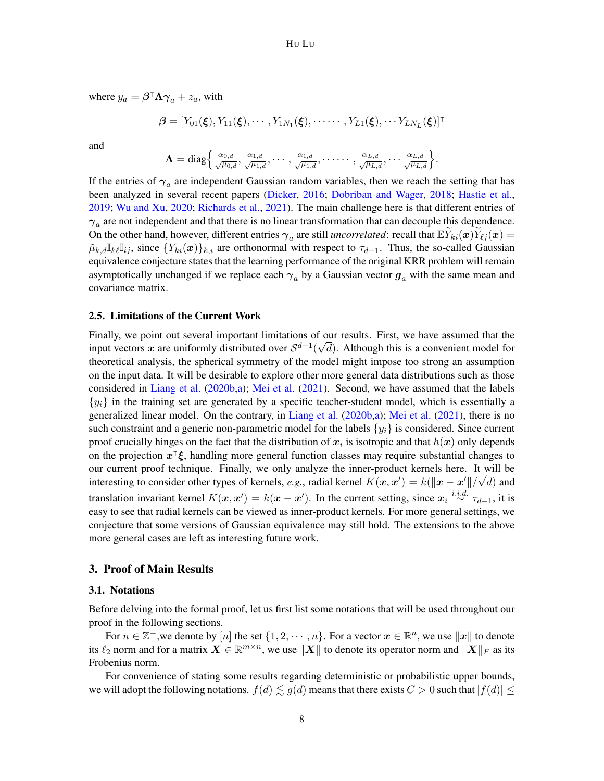where  $y_a = \beta^{\dagger} \Lambda \gamma_a + z_a$ , with

$$
\boldsymbol{\beta} = [Y_{01}(\boldsymbol{\xi}), Y_{11}(\boldsymbol{\xi}), \cdots, Y_{1N_1}(\boldsymbol{\xi}), \cdots \cdots, Y_{L1}(\boldsymbol{\xi}), \cdots Y_{LN_L}(\boldsymbol{\xi})]^\mathsf{T}
$$

and

$$
\mathbf{\Lambda}=\text{diag}\bigg\{\tfrac{\alpha_{0,d}}{\sqrt{\mu_{0,d}}},\tfrac{\alpha_{1,d}}{\sqrt{\mu_{1,d}}},\cdots,\tfrac{\alpha_{1,d}}{\sqrt{\mu_{1,d}}},\cdots\cdots,\tfrac{\alpha_{L,d}}{\sqrt{\mu_{L,d}}},\cdots\tfrac{\alpha_{L,d}}{\sqrt{\mu_{L,d}}}\bigg\}.
$$

If the entries of  $\gamma_a$  are independent Gaussian random variables, then we reach the setting that has been analyzed in several recent papers [\(Dicker,](#page-12-10) [2016;](#page-12-10) [Dobriban and Wager,](#page-12-11) [2018;](#page-12-11) [Hastie et al.,](#page-13-11) [2019;](#page-13-11) [Wu and Xu,](#page-14-2) [2020;](#page-14-2) [Richards et al.,](#page-13-12) [2021\)](#page-13-12). The main challenge here is that different entries of  $\gamma_a$  are not independent and that there is no linear transformation that can decouple this dependence. On the other hand, however, different entries  $\gamma_a$  are still *uncorrelated*: recall that  $\mathbb{E} \widetilde{Y}_{ki}(\boldsymbol{x}) \widetilde{Y}_{\ell j}(\boldsymbol{x}) =$  $\tilde{\mu}_{k,d} \mathbb{I}_{k\ell} \mathbb{I}_{ij}$ , since  $\{Y_{ki}(\bm{x})\}_{k,i}$  are orthonormal with respect to  $\tau_{d-1}$ . Thus, the so-called Gaussian equivalence conjecture states that the learning performance of the original KRR problem will remain asymptotically unchanged if we replace each  $\gamma_a$  by a Gaussian vector  $g_a$  with the same mean and covariance matrix.

#### 2.5. Limitations of the Current Work

Finally, we point out several important limitations of our results. First, we have assumed that the input vectors x are uniformly distributed over  $S^{d-1}(\sqrt{d})$ . Although this is a convenient model for theoretical analysis, the spherical symmetry of the model might impose too strong an assumption on the input data. It will be desirable to explore other more general data distributions such as those considered in [Liang et al.](#page-13-5) [\(2020b](#page-13-5)[,a\)](#page-13-4); [Mei et al.](#page-13-6) [\(2021\)](#page-13-6). Second, we have assumed that the labels  $\{y_i\}$  in the training set are generated by a specific teacher-student model, which is essentially a generalized linear model. On the contrary, in [Liang et al.](#page-13-5) [\(2020b](#page-13-5)[,a\)](#page-13-4); [Mei et al.](#page-13-6) [\(2021\)](#page-13-6), there is no such constraint and a generic non-parametric model for the labels  $\{y_i\}$  is considered. Since current proof crucially hinges on the fact that the distribution of  $x_i$  is isotropic and that  $h(x)$  only depends on the projection  $x^{\intercal} \xi$ , handling more general function classes may require substantial changes to our current proof technique. Finally, we only analyze the inner-product kernels here. It will be √ interesting to consider other types of kernels, *e.g.*, radial kernel  $K(\bm{x}, \bm{x}') = k(\|\bm{x} - \bm{x}'\|/\sqrt{d})$  and translation invariant kernel  $K(\mathbf{x}, \mathbf{x}') = k(\mathbf{x} - \mathbf{x}')$ . In the current setting, since  $\mathbf{x}_i \stackrel{i.i.d.}{\sim} \tau_{d-1}$ , it is easy to see that radial kernels can be viewed as inner-product kernels. For more general settings, we conjecture that some versions of Gaussian equivalence may still hold. The extensions to the above more general cases are left as interesting future work.

## 3. Proof of Main Results

#### 3.1. Notations

Before delving into the formal proof, let us first list some notations that will be used throughout our proof in the following sections.

For  $n \in \mathbb{Z}^+$ , we denote by  $[n]$  the set  $\{1, 2, \cdots, n\}$ . For a vector  $\boldsymbol{x} \in \mathbb{R}^n$ , we use  $\|\boldsymbol{x}\|$  to denote its  $\ell_2$  norm and for a matrix  $\bm{X}\in\mathbb{R}^{m\times n}$ , we use  $\|\bm{X}\|$  to denote its operator norm and  $\|\bm{X}\|_F$  as its Frobenius norm.

For convenience of stating some results regarding deterministic or probabilistic upper bounds, we will adopt the following notations.  $f(d) \leq g(d)$  means that there exists  $C > 0$  such that  $|f(d)| \leq$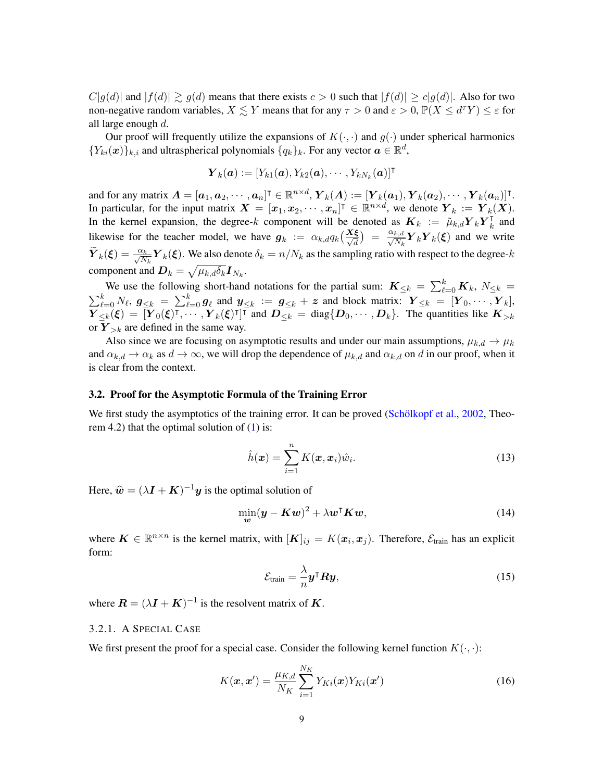$C|g(d)|$  and  $|f(d)| \gtrsim g(d)$  means that there exists  $c > 0$  such that  $|f(d)| \ge c|g(d)|$ . Also for two non-negative random variables,  $X \leq Y$  means that for any  $\tau > 0$  and  $\varepsilon > 0$ ,  $\mathbb{P}(X \leq d^{\tau}Y) \leq \varepsilon$  for all large enough d.

Our proof will frequently utilize the expansions of  $K(\cdot, \cdot)$  and  $g(\cdot)$  under spherical harmonics  ${Y_{ki}(\boldsymbol{x})}_{k,i}$  and ultraspherical polynomials  ${q_k}_{k}$ . For any vector  $\boldsymbol{a} \in \mathbb{R}^d$ ,

$$
\boldsymbol{Y}_k(\boldsymbol{a}) := [Y_{k1}(\boldsymbol{a}), Y_{k2}(\boldsymbol{a}), \cdots, Y_{kN_k}(\boldsymbol{a})]^\intercal
$$

and for any matrix  $\boldsymbol{A} = [\boldsymbol{a}_1, \boldsymbol{a}_2, \cdots, \boldsymbol{a}_n]^{\intercal} \in \mathbb{R}^{n \times d}$ ,  $\boldsymbol{Y}_k(\boldsymbol{A}) := [\boldsymbol{Y}_k(\boldsymbol{a}_1), \boldsymbol{Y}_k(\boldsymbol{a}_2), \cdots, \boldsymbol{Y}_k(\boldsymbol{a}_n)]^{\intercal}$ . In particular, for the input matrix  $\mathbf{X} = [\mathbf{x}_1, \mathbf{x}_2, \cdots, \mathbf{x}_n]^{\mathsf{T}} \in \mathbb{R}^{n \times d}$ , we denote  $\mathbf{Y}_k := \mathbf{Y}_k(\mathbf{X})$ . In the kernel expansion, the degree-k component will be denoted as  $K_k := \tilde{\mu}_{k,d} Y_k Y_k$  $\frac{1}{k}$  and likewise for the teacher model, we have  $g_k := \alpha_{k,d} q_k \left(\frac{X\xi}{\sqrt{d}}\right) = \frac{\alpha_{k,d}}{\sqrt{N_k}}$  $\frac{k,d}{N_k} \boldsymbol{Y}_k \boldsymbol{Y}_k(\boldsymbol{\xi})$  and we write  $\widetilde{\bm{Y}}_k(\bm{\xi})=\frac{\alpha_k}{\sqrt{N_k}}\bm{Y}_k(\bm{\xi}).$  We also denote  $\delta_k=n/N_k$  as the sampling ratio with respect to the degree- $k$ component and  $\boldsymbol{D}_k = \sqrt{\mu_{k,d} \delta_k} \boldsymbol{I}_{N_k}$ .

We use the following short-hand notations for the partial sum:  $\mathbf{K}_{\leq k} = \sum_{\ell=0}^{k} \mathbf{K}_k$ ,  $N_{\leq k} =$  $\sum_{\ell=0}^k N_\ell, g_{\leq k} = \sum_{\ell=0}^k g_\ell$  and  $y_{\leq k} := g_{\leq k} + z$  and block matrix:  $Y_{\leq k} = [Y_0, \cdots, Y_k],$  $\overline{Y}_{\leq k}(\xi) = \overline{[Y}_{0}(\xi)^{\intercal}, \cdots, Y_{k}(\xi)^{\intercal}]^{\overline{\intercal}}$  and  $\overline{D_{\leq k}} = \text{diag}\{D_0, \cdots, D_k\}$ . The quantities like  $K_{>k}$ or  $Y_{\geq k}$  are defined in the same way.

Also since we are focusing on asymptotic results and under our main assumptions,  $\mu_{k,d} \to \mu_k$ and  $\alpha_{k,d} \to \alpha_k$  as  $d \to \infty$ , we will drop the dependence of  $\mu_{k,d}$  and  $\alpha_{k,d}$  on d in our proof, when it is clear from the context.

#### <span id="page-8-2"></span>3.2. Proof for the Asymptotic Formula of the Training Error

We first study the asymptotics of the training error. It can be proved (Schölkopf et al.,  $2002$ , Theorem 4.2) that the optimal solution of  $(1)$  is:

<span id="page-8-3"></span>
$$
\hat{h}(\boldsymbol{x}) = \sum_{i=1}^{n} K(\boldsymbol{x}, \boldsymbol{x}_i) \hat{w}_i.
$$
\n(13)

Here,  $\hat{\boldsymbol{w}} = (\lambda \boldsymbol{I} + \boldsymbol{K})^{-1} \boldsymbol{y}$  is the optimal solution of

$$
\min_{\mathbf{w}} (\mathbf{y} - \mathbf{K}\mathbf{w})^2 + \lambda \mathbf{w}^\mathsf{T} \mathbf{K}\mathbf{w},\tag{14}
$$

where  $\mathbf{K} \in \mathbb{R}^{n \times n}$  is the kernel matrix, with  $[\mathbf{K}]_{ij} = K(\mathbf{x}_i, \mathbf{x}_j)$ . Therefore,  $\mathcal{E}_{\text{train}}$  has an explicit form:

<span id="page-8-4"></span>
$$
\mathcal{E}_{\text{train}} = \frac{\lambda}{n} \mathbf{y}^\mathsf{T} \mathbf{R} \mathbf{y},\tag{15}
$$

where  $\mathbf{R} = (\lambda \mathbf{I} + \mathbf{K})^{-1}$  is the resolvent matrix of  $\mathbf{K}$ .

#### <span id="page-8-1"></span>3.2.1. A SPECIAL CASE

We first present the proof for a special case. Consider the following kernel function  $K(\cdot, \cdot)$ :

<span id="page-8-0"></span>
$$
K(\boldsymbol{x}, \boldsymbol{x}') = \frac{\mu_{K,d}}{N_K} \sum_{i=1}^{N_K} Y_{Ki}(\boldsymbol{x}) Y_{Ki}(\boldsymbol{x}')
$$
(16)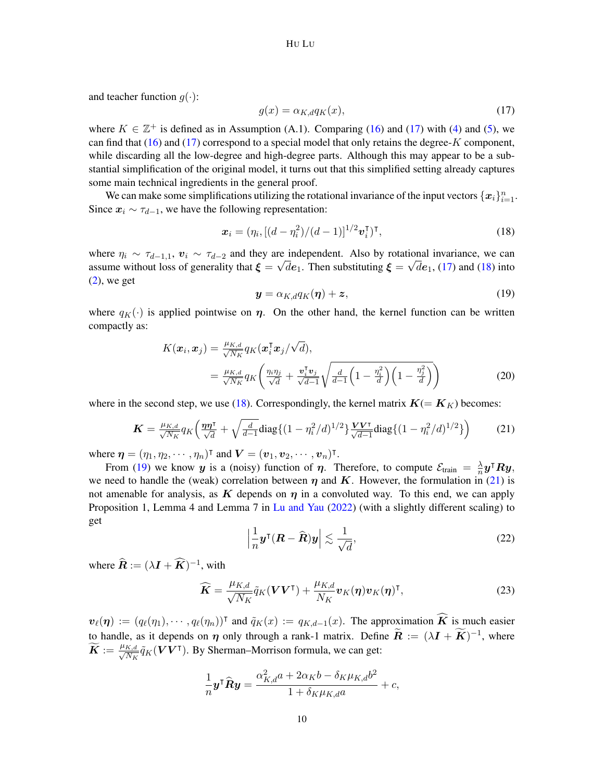and teacher function  $g(\cdot)$ :

<span id="page-9-0"></span>
$$
g(x) = \alpha_{K,d} q_K(x),\tag{17}
$$

where  $K \in \mathbb{Z}^+$  is defined as in Assumption (A.1). Comparing [\(16\)](#page-8-0) and [\(17\)](#page-9-0) with [\(4\)](#page-3-0) and [\(5\)](#page-4-0), we can find that  $(16)$  and  $(17)$  correspond to a special model that only retains the degree-K component, while discarding all the low-degree and high-degree parts. Although this may appear to be a substantial simplification of the original model, it turns out that this simplified setting already captures some main technical ingredients in the general proof.

We can make some simplifications utilizing the rotational invariance of the input vectors  $\{x_i\}_{i=1}^n$ . Since  $x_i \sim \tau_{d-1}$ , we have the following representation:

<span id="page-9-1"></span>
$$
\boldsymbol{x}_i = (\eta_i, [(d - \eta_i^2)/(d - 1)]^{1/2} \boldsymbol{v}_i^{\mathsf{T}})^{\mathsf{T}},\tag{18}
$$

where  $\eta_i \sim \tau_{d-1,1}$ ,  $\mathbf{v}_i \sim \tau_{d-2}$  and they are independent. Also by rotational invariance, we can assume without loss of generality that  $\xi = \sqrt{de_1}$ . Then substituting  $\xi = \sqrt{de_1}$ , [\(17\)](#page-9-0) and [\(18\)](#page-9-1) into  $(2)$ , we get

<span id="page-9-3"></span><span id="page-9-2"></span>
$$
\mathbf{y} = \alpha_{K,d} q_K(\boldsymbol{\eta}) + \boldsymbol{z},\tag{19}
$$

where  $q_K(\cdot)$  is applied pointwise on  $\eta$ . On the other hand, the kernel function can be written compactly as:

$$
K(\boldsymbol{x}_i, \boldsymbol{x}_j) = \frac{\mu_{K,d}}{\sqrt{N_K}} q_K(\boldsymbol{x}_i^{\mathsf{T}} \boldsymbol{x}_j / \sqrt{d}),
$$
  
= 
$$
\frac{\mu_{K,d}}{\sqrt{N_K}} q_K\left(\frac{\eta_i \eta_j}{\sqrt{d}} + \frac{\boldsymbol{v}_i^{\mathsf{T}} \boldsymbol{v}_j}{\sqrt{d-1}} \sqrt{\frac{d}{d-1} \left(1 - \frac{\eta_i^2}{d}\right) \left(1 - \frac{\eta_j^2}{d}\right)}\right)
$$
(20)

where in the second step, we use [\(18\)](#page-9-1). Correspondingly, the kernel matrix  $K(=K_K)$  becomes:

$$
\boldsymbol{K} = \frac{\mu_{K,d}}{\sqrt{N_K}} q_K \left( \frac{\boldsymbol{\eta} \boldsymbol{\eta}^\mathsf{T}}{\sqrt{d}} + \sqrt{\frac{d}{d-1}} \text{diag} \{ (1 - \eta_i^2/d)^{1/2} \} \frac{\boldsymbol{V} \boldsymbol{V}^\mathsf{T}}{\sqrt{d-1}} \text{diag} \{ (1 - \eta_i^2/d)^{1/2} \} \right) \tag{21}
$$

where  $\boldsymbol{\eta} = (\eta_1, \eta_2, \cdots, \eta_n)^\intercal$  and  $\boldsymbol{V} = (\boldsymbol{v}_1, \boldsymbol{v}_2, \cdots, \boldsymbol{v}_n)^\intercal$ .

From [\(19\)](#page-9-2) we know y is a (noisy) function of  $\eta$ . Therefore, to compute  $\mathcal{E}_{\text{train}} = \frac{\lambda}{n}$  $\frac{\lambda}{n}\bm{y}^{\intercal}\bm{R}\bm{y},$ we need to handle the (weak) correlation between  $\eta$  and K. However, the formulation in [\(21\)](#page-9-3) is not amenable for analysis, as K depends on  $\eta$  in a convoluted way. To this end, we can apply Proposition 1, Lemma 4 and Lemma 7 in [Lu and Yau](#page-13-13) [\(2022\)](#page-13-13) (with a slightly different scaling) to get

<span id="page-9-4"></span>
$$
\left|\frac{1}{n}\mathbf{y}^{\mathsf{T}}(\mathbf{R}-\widehat{\mathbf{R}})\mathbf{y}\right|\lesssim\frac{1}{\sqrt{d}},\tag{22}
$$

where  $\widehat{\mathbf{R}} := (\lambda \mathbf{I} + \widehat{\mathbf{K}})^{-1}$ , with

$$
\widehat{\boldsymbol{K}} = \frac{\mu_{K,d}}{\sqrt{N_K}} \tilde{q}_K(\boldsymbol{V}\boldsymbol{V}^{\mathsf{T}}) + \frac{\mu_{K,d}}{N_K} \boldsymbol{v}_K(\boldsymbol{\eta}) \boldsymbol{v}_K(\boldsymbol{\eta})^{\mathsf{T}},
$$
\n(23)

 $v_{\ell}(\eta) := (q_{\ell}(\eta_1), \cdots, q_{\ell}(\eta_n))^{\intercal}$  and  $\tilde{q}_K(x) := q_{K,d-1}(x)$ . The approximation  $\widehat{K}$  is much easier to handle, as it depends on  $\eta$  only through a rank-1 matrix. Define  $\widetilde{R} := (\lambda I + \widetilde{K})^{-1}$ , where  $\bm{\widetilde{K}} := \frac{\mu_{K,d}}{\sqrt{N_K}}$  $\frac{K,d}{N_K}\tilde{q}_K(\boldsymbol{V}\boldsymbol{V}^\intercal)$ . By Sherman–Morrison formula, we can get:

$$
\frac{1}{n}\mathbf{y}^{\mathsf{T}}\widehat{\mathbf{R}}\mathbf{y} = \frac{\alpha_{K,d}^2 a + 2\alpha_K b - \delta_K \mu_{K,d} b^2}{1 + \delta_K \mu_{K,d} a} + c,
$$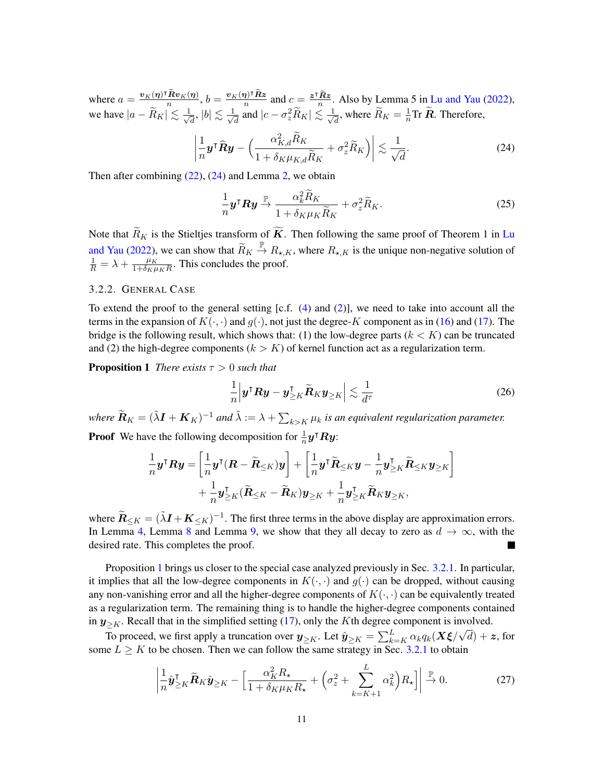where  $a = \frac{v_K(\eta)^\intercal \tilde{R} v_K(\eta)}{n}$ ,  $b = \frac{v_K(\eta)^\intercal \tilde{R} z}{n}$  and  $c = \frac{z^\intercal \tilde{R} z}{n}$ . Also by Lemma 5 in [Lu and Yau](#page-13-13) [\(2022\)](#page-13-13), we have  $|a - \widetilde{R}_K| \lesssim \frac{1}{\sqrt{2}}$  $\frac{1}{d}$ ,  $|b| \lesssim \frac{1}{\sqrt{3}}$  $\frac{1}{d}$  and  $|c - \sigma_z^2 \widetilde{R}_K| \lesssim \frac{1}{\sqrt{2}}$  $\frac{1}{d}$ , where  $\widetilde{R}_K = \frac{1}{n}$  $\frac{1}{n}$ Tr **R**. Therefore,

$$
\left| \frac{1}{n} \mathbf{y}^\mathsf{T} \widehat{\mathbf{R}} \mathbf{y} - \left( \frac{\alpha_{K,d}^2 \widetilde{R}_K}{1 + \delta_K \mu_{K,d} \widetilde{R}_K} + \sigma_z^2 \widetilde{R}_K \right) \right| \lesssim \frac{1}{\sqrt{d}}.
$$
\n(24)

Then after combining [\(22\)](#page-9-4), [\(24\)](#page-10-0) and Lemma [2,](#page-17-0) we obtain

<span id="page-10-3"></span><span id="page-10-0"></span>
$$
\frac{1}{n}\mathbf{y}^{\mathsf{T}}\mathbf{R}\mathbf{y} \xrightarrow{\mathbb{P}} \frac{\alpha_k^2 \widetilde{R}_K}{1 + \delta_K \mu_K \widetilde{R}_K} + \sigma_z^2 \widetilde{R}_K.
$$
\n(25)

Note that  $\widetilde{R}_K$  is the Stieltjes transform of  $\widetilde{K}$ . Then following the same proof of Theorem 1 in [Lu](#page-13-13) [and Yau](#page-13-13) [\(2022\)](#page-13-13), we can show that  $\widetilde{R}_K \stackrel{\mathbb{P}}{\to} R_{\star,K}$ , where  $R_{\star,K}$  is the unique non-negative solution of  $\frac{1}{R} = \lambda + \frac{\mu_K}{1 + \delta_K \mu}$  $\frac{\mu_K}{1+\delta_K \mu_K R}$ . This concludes the proof.

#### 3.2.2. GENERAL CASE

To extend the proof to the general setting [c.f.  $(4)$  and  $(2)$ ], we need to take into account all the terms in the expansion of  $K(\cdot, \cdot)$  and  $g(\cdot)$ , not just the degree-K component as in [\(16\)](#page-8-0) and [\(17\)](#page-9-0). The bridge is the following result, which shows that: (1) the low-degree parts  $(k < K)$  can be truncated and (2) the high-degree components ( $k > K$ ) of kernel function act as a regularization term.

**Proposition 1** *There exists*  $\tau > 0$  *such that* 

<span id="page-10-1"></span>
$$
\frac{1}{n} \left| \boldsymbol{y}^{\mathsf{T}} \boldsymbol{R} \boldsymbol{y} - \boldsymbol{y}^{\mathsf{T}}_{\geq K} \widetilde{\boldsymbol{R}} K \boldsymbol{y}_{\geq K} \right| \lesssim \frac{1}{d^{\tau}} \tag{26}
$$

where  $\widetilde{\bm{R}}_K = (\tilde{\lambda}\bm{I} + \bm{K}_K)^{-1}$  and  $\tilde{\lambda} := \lambda + \sum_{k>K} \mu_k$  is an equivalent regularization parameter. **Proof** We have the following decomposition for  $\frac{1}{n}y^{\intercal}Ry$ :

$$
\frac{1}{n}\boldsymbol{y}^{\mathsf{T}}\boldsymbol{R}\boldsymbol{y} = \left[\frac{1}{n}\boldsymbol{y}^{\mathsf{T}}(\boldsymbol{R}-\widetilde{\boldsymbol{R}}_{\leq K})\boldsymbol{y}\right] + \left[\frac{1}{n}\boldsymbol{y}^{\mathsf{T}}\widetilde{\boldsymbol{R}}_{\leq K}\boldsymbol{y} - \frac{1}{n}\boldsymbol{y}_{\geq K}^{\mathsf{T}}\widetilde{\boldsymbol{R}}_{\leq K}\boldsymbol{y}_{\geq K}\right] + \frac{1}{n}\boldsymbol{y}_{\geq K}^{\mathsf{T}}(\widetilde{\boldsymbol{R}}_{\leq K}-\widetilde{\boldsymbol{R}}_{K})\boldsymbol{y}_{\geq K} + \frac{1}{n}\boldsymbol{y}_{\geq K}^{\mathsf{T}}\widetilde{\boldsymbol{R}}_{K}\boldsymbol{y}_{\geq K},
$$

where  $\widetilde{R}_{\leq K} = (\widetilde{\lambda}I + K_{\leq K})^{-1}$ . The first three terms in the above display are approximation errors. In Lemma [4,](#page-19-0) Lemma [8](#page-22-0) and Lemma [9,](#page-22-1) we show that they all decay to zero as  $d \to \infty$ , with the desired rate. This completes the proof.

Proposition [1](#page-10-1) brings us closer to the special case analyzed previously in Sec. [3.2.1.](#page-8-1) In particular, it implies that all the low-degree components in  $K(\cdot, \cdot)$  and  $g(\cdot)$  can be dropped, without causing any non-vanishing error and all the higher-degree components of  $K(\cdot, \cdot)$  can be equivalently treated as a regularization term. The remaining thing is to handle the higher-degree components contained in  $y_{\geq K}$ . Recall that in the simplified setting [\(17\)](#page-9-0), only the K<sup>th</sup> degree component is involved.

To proceed, we first apply a truncation over  $y_{\geq K}$ . Let  $\hat{y}_{\geq K} = \sum_{k=K}^L \alpha_k q_k (X \xi / \sqrt{d}) + z$ , for some  $L \geq K$  to be chosen. Then we can follow the same strategy in Sec. [3.2.1](#page-8-1) to obtain

<span id="page-10-2"></span>
$$
\left| \frac{1}{n} \hat{\mathbf{y}}_{\geq K}^{\mathsf{T}} \tilde{\mathbf{R}}_K \hat{\mathbf{y}}_{\geq K} - \left[ \frac{\alpha_K^2 R_\star}{1 + \delta_K \mu_K R_\star} + \left( \sigma_z^2 + \sum_{k=K+1}^L \alpha_k^2 \right) R_\star \right] \right| \xrightarrow{\mathbb{P}} 0. \tag{27}
$$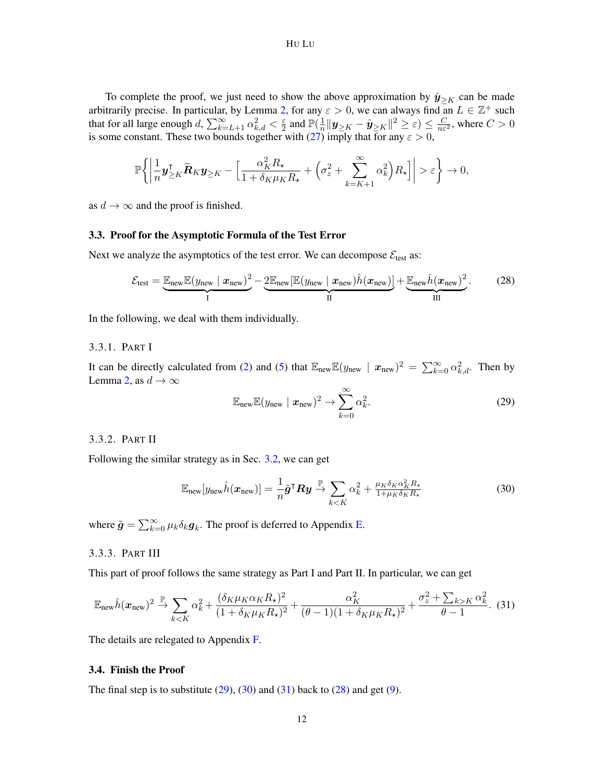To complete the proof, we just need to show the above approximation by  $\hat{y}_{\geq K}$  can be made arbitrarily precise. In particular, by Lemma [2,](#page-17-0) for any  $\varepsilon > 0$ , we can always find an  $L \in \mathbb{Z}^+$  such that for all large enough  $d$ ,  $\sum_{k=L+1}^{\infty} \alpha_{k,d}^2 < \frac{\varepsilon}{2}$  $\frac{\varepsilon}{2}$  and  $\mathbb{P}(\frac{1}{n})$  $\frac{1}{n}\|\bm{y}_{\ge K}-\hat{\bm{y}}_{\ge K}\|^2 \ge \varepsilon)\le \frac{C}{n\varepsilon^2},$  where  $C>0$ is some constant. These two bounds together with [\(27\)](#page-10-2) imply that for any  $\varepsilon > 0$ ,

$$
\mathbb{P}\bigg\{\bigg|\frac{1}{n}\boldsymbol{y}_{\geq K}^{\mathsf{T}}\widetilde{\boldsymbol{R}}_K\boldsymbol{y}_{\geq K}-\Big[\frac{\alpha_K^2R_{\star}}{1+\delta_K\mu_KR_{\star}}+\Big(\sigma_z^2+\sum_{k=K+1}^{\infty}\alpha_k^2\Big)R_{\star}\Big]\bigg|>\varepsilon\bigg\}\rightarrow 0,
$$

as  $d \rightarrow \infty$  and the proof is finished.

## 3.3. Proof for the Asymptotic Formula of the Test Error

Next we analyze the asymptotics of the test error. We can decompose  $\mathcal{E}_{\text{test}}$  as:

$$
\mathcal{E}_{\text{test}} = \underbrace{\mathbb{E}_{\text{new}} \mathbb{E}(y_{\text{new}} \mid \mathbf{x}_{\text{new}})^2}_{I} - \underbrace{2 \mathbb{E}_{\text{new}} [\mathbb{E}(y_{\text{new}} \mid \mathbf{x}_{\text{new}}) \hat{h}(\mathbf{x}_{\text{new}})]}_{II} + \underbrace{\mathbb{E}_{\text{new}} \hat{h}(\mathbf{x}_{\text{new}})^2}_{III}.
$$
 (28)

In the following, we deal with them individually.

## 3.3.1. PART I

It can be directly calculated from [\(2\)](#page-2-1) and [\(5\)](#page-4-0) that  $\mathbb{E}_{\text{new}}\mathbb{E}(y_{\text{new}} \mid \mathbf{x}_{\text{new}})^2 = \sum_{k=0}^{\infty} \alpha_{k,d}^2$ . Then by Lemma [2,](#page-17-0) as  $d \to \infty$ 

<span id="page-11-3"></span><span id="page-11-0"></span>
$$
\mathbb{E}_{\text{new}}\mathbb{E}(y_{\text{new}} \mid \boldsymbol{x}_{\text{new}})^2 \to \sum_{k=0}^{\infty} \alpha_k^2.
$$
 (29)

### 3.3.2. PART II

Following the similar strategy as in Sec. [3.2,](#page-8-2) we can get

<span id="page-11-1"></span>
$$
\mathbb{E}_{\text{new}}[y_{\text{new}}\hat{h}(\boldsymbol{x}_{\text{new}})] = \frac{1}{n}\tilde{\boldsymbol{g}}^{\mathsf{T}}\boldsymbol{R}\boldsymbol{y} \xrightarrow{\mathbb{P}} \sum_{k < K} \alpha_k^2 + \frac{\mu_K \delta_K \alpha_K^2 R_{\star}}{1 + \mu_K \delta_K R_{\star}}
$$
\n(30)

where  $\tilde{g} = \sum_{k=0}^{\infty} \mu_k \delta_k g_k$ . The proof is deferred to Appendix [E.](#page-25-0)

# 3.3.3. PART III

This part of proof follows the same strategy as Part I and Part II. In particular, we can get

<span id="page-11-2"></span>
$$
\mathbb{E}_{\text{new}}\hat{h}(\boldsymbol{x}_{\text{new}})^2 \xrightarrow{\mathbb{P}} \sum_{k < K} \alpha_k^2 + \frac{(\delta_K \mu_K \alpha_K R_\star)^2}{(1 + \delta_K \mu_K R_\star)^2} + \frac{\alpha_K^2}{(\theta - 1)(1 + \delta_K \mu_K R_\star)^2} + \frac{\sigma_z^2 + \sum_{k > K} \alpha_k^2}{\theta - 1}.\tag{31}
$$

The details are relegated to Appendix [F.](#page-26-0)

#### 3.4. Finish the Proof

The final step is to substitute  $(29)$ ,  $(30)$  and  $(31)$  back to  $(28)$  and get  $(9)$ .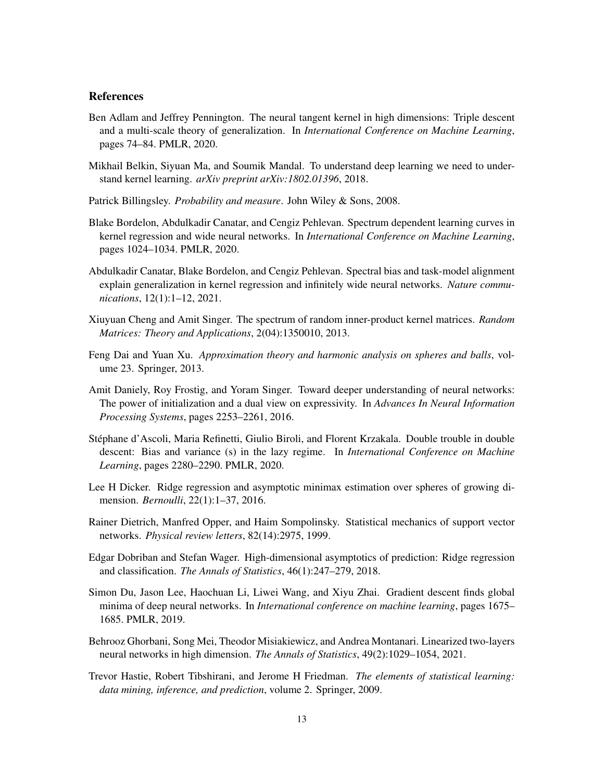# **References**

- <span id="page-12-7"></span>Ben Adlam and Jeffrey Pennington. The neural tangent kernel in high dimensions: Triple descent and a multi-scale theory of generalization. In *International Conference on Machine Learning*, pages 74–84. PMLR, 2020.
- <span id="page-12-1"></span>Mikhail Belkin, Siyuan Ma, and Soumik Mandal. To understand deep learning we need to understand kernel learning. *arXiv preprint arXiv:1802.01396*, 2018.
- <span id="page-12-13"></span>Patrick Billingsley. *Probability and measure*. John Wiley & Sons, 2008.
- <span id="page-12-3"></span>Blake Bordelon, Abdulkadir Canatar, and Cengiz Pehlevan. Spectrum dependent learning curves in kernel regression and wide neural networks. In *International Conference on Machine Learning*, pages 1024–1034. PMLR, 2020.
- <span id="page-12-4"></span>Abdulkadir Canatar, Blake Bordelon, and Cengiz Pehlevan. Spectral bias and task-model alignment explain generalization in kernel regression and infinitely wide neural networks. *Nature communications*, 12(1):1–12, 2021.
- <span id="page-12-14"></span>Xiuyuan Cheng and Amit Singer. The spectrum of random inner-product kernel matrices. *Random Matrices: Theory and Applications*, 2(04):1350010, 2013.
- <span id="page-12-12"></span>Feng Dai and Yuan Xu. *Approximation theory and harmonic analysis on spheres and balls*, volume 23. Springer, 2013.
- <span id="page-12-0"></span>Amit Daniely, Roy Frostig, and Yoram Singer. Toward deeper understanding of neural networks: The power of initialization and a dual view on expressivity. In *Advances In Neural Information Processing Systems*, pages 2253–2261, 2016.
- <span id="page-12-6"></span>Stephane d'Ascoli, Maria Refinetti, Giulio Biroli, and Florent Krzakala. Double trouble in double ´ descent: Bias and variance (s) in the lazy regime. In *International Conference on Machine Learning*, pages 2280–2290. PMLR, 2020.
- <span id="page-12-10"></span>Lee H Dicker. Ridge regression and asymptotic minimax estimation over spheres of growing dimension. *Bernoulli*, 22(1):1–37, 2016.
- <span id="page-12-8"></span>Rainer Dietrich, Manfred Opper, and Haim Sompolinsky. Statistical mechanics of support vector networks. *Physical review letters*, 82(14):2975, 1999.
- <span id="page-12-11"></span>Edgar Dobriban and Stefan Wager. High-dimensional asymptotics of prediction: Ridge regression and classification. *The Annals of Statistics*, 46(1):247–279, 2018.
- <span id="page-12-2"></span>Simon Du, Jason Lee, Haochuan Li, Liwei Wang, and Xiyu Zhai. Gradient descent finds global minima of deep neural networks. In *International conference on machine learning*, pages 1675– 1685. PMLR, 2019.
- <span id="page-12-5"></span>Behrooz Ghorbani, Song Mei, Theodor Misiakiewicz, and Andrea Montanari. Linearized two-layers neural networks in high dimension. *The Annals of Statistics*, 49(2):1029–1054, 2021.
- <span id="page-12-9"></span>Trevor Hastie, Robert Tibshirani, and Jerome H Friedman. *The elements of statistical learning: data mining, inference, and prediction*, volume 2. Springer, 2009.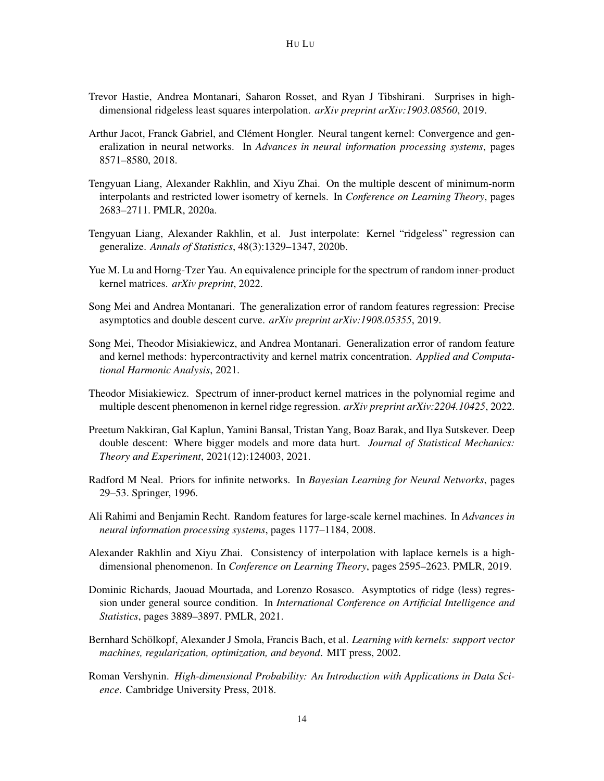- <span id="page-13-11"></span>Trevor Hastie, Andrea Montanari, Saharon Rosset, and Ryan J Tibshirani. Surprises in highdimensional ridgeless least squares interpolation. *arXiv preprint arXiv:1903.08560*, 2019.
- <span id="page-13-2"></span>Arthur Jacot, Franck Gabriel, and Clément Hongler. Neural tangent kernel: Convergence and generalization in neural networks. In *Advances in neural information processing systems*, pages 8571–8580, 2018.
- <span id="page-13-4"></span>Tengyuan Liang, Alexander Rakhlin, and Xiyu Zhai. On the multiple descent of minimum-norm interpolants and restricted lower isometry of kernels. In *Conference on Learning Theory*, pages 2683–2711. PMLR, 2020a.
- <span id="page-13-5"></span>Tengyuan Liang, Alexander Rakhlin, et al. Just interpolate: Kernel "ridgeless" regression can generalize. *Annals of Statistics*, 48(3):1329–1347, 2020b.
- <span id="page-13-13"></span>Yue M. Lu and Horng-Tzer Yau. An equivalence principle for the spectrum of random inner-product kernel matrices. *arXiv preprint*, 2022.
- <span id="page-13-7"></span>Song Mei and Andrea Montanari. The generalization error of random features regression: Precise asymptotics and double descent curve. *arXiv preprint arXiv:1908.05355*, 2019.
- <span id="page-13-6"></span>Song Mei, Theodor Misiakiewicz, and Andrea Montanari. Generalization error of random feature and kernel methods: hypercontractivity and kernel matrix concentration. *Applied and Computational Harmonic Analysis*, 2021.
- <span id="page-13-9"></span>Theodor Misiakiewicz. Spectrum of inner-product kernel matrices in the polynomial regime and multiple descent phenomenon in kernel ridge regression. *arXiv preprint arXiv:2204.10425*, 2022.
- <span id="page-13-8"></span>Preetum Nakkiran, Gal Kaplun, Yamini Bansal, Tristan Yang, Boaz Barak, and Ilya Sutskever. Deep double descent: Where bigger models and more data hurt. *Journal of Statistical Mechanics: Theory and Experiment*, 2021(12):124003, 2021.
- <span id="page-13-1"></span>Radford M Neal. Priors for infinite networks. In *Bayesian Learning for Neural Networks*, pages 29–53. Springer, 1996.
- <span id="page-13-10"></span>Ali Rahimi and Benjamin Recht. Random features for large-scale kernel machines. In *Advances in neural information processing systems*, pages 1177–1184, 2008.
- <span id="page-13-3"></span>Alexander Rakhlin and Xiyu Zhai. Consistency of interpolation with laplace kernels is a highdimensional phenomenon. In *Conference on Learning Theory*, pages 2595–2623. PMLR, 2019.
- <span id="page-13-12"></span>Dominic Richards, Jaouad Mourtada, and Lorenzo Rosasco. Asymptotics of ridge (less) regression under general source condition. In *International Conference on Artificial Intelligence and Statistics*, pages 3889–3897. PMLR, 2021.
- <span id="page-13-0"></span>Bernhard Schölkopf, Alexander J Smola, Francis Bach, et al. *Learning with kernels: support vector machines, regularization, optimization, and beyond*. MIT press, 2002.
- <span id="page-13-14"></span>Roman Vershynin. *High-dimensional Probability: An Introduction with Applications in Data Science*. Cambridge University Press, 2018.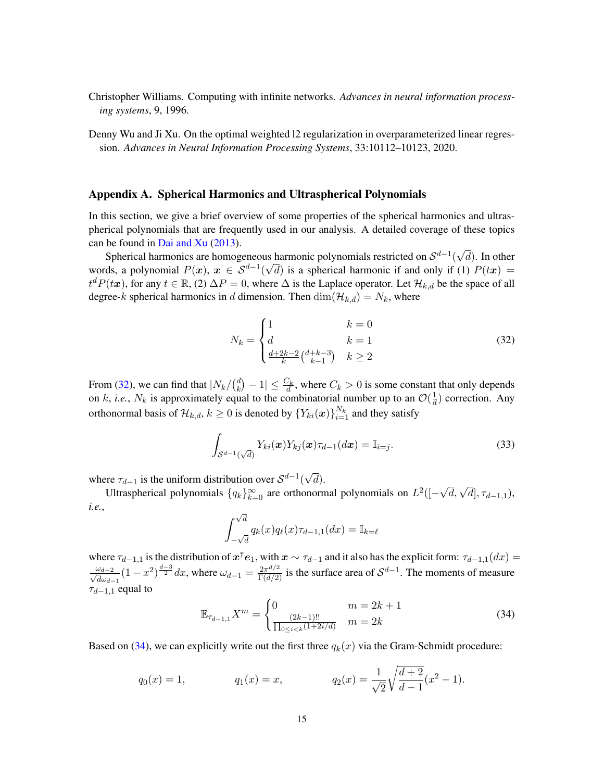- <span id="page-14-0"></span>Christopher Williams. Computing with infinite networks. *Advances in neural information processing systems*, 9, 1996.
- <span id="page-14-2"></span>Denny Wu and Ji Xu. On the optimal weighted l2 regularization in overparameterized linear regression. *Advances in Neural Information Processing Systems*, 33:10112–10123, 2020.

## <span id="page-14-1"></span>Appendix A. Spherical Harmonics and Ultraspherical Polynomials

In this section, we give a brief overview of some properties of the spherical harmonics and ultraspherical polynomials that are frequently used in our analysis. A detailed coverage of these topics can be found in [Dai and Xu](#page-12-12) [\(2013\)](#page-12-12). √

Spherical harmonics are homogeneous harmonic polynomials restricted on  $\mathcal{S}^{d-1}($ as harmonic polynomials restricted on  $S^{d-1}(\sqrt{d})$ . In other words, a polynomial  $P(x)$ ,  $x \in S^{d-1}(\sqrt{d})$  is a spherical harmonic if and only if (1)  $P(tx)$  $t^d P(tx)$ , for any  $t \in \mathbb{R}$ , (2)  $\Delta P = 0$ , where  $\Delta$  is the Laplace operator. Let  $\mathcal{H}_{k,d}$  be the space of all degree-k spherical harmonics in d dimension. Then  $\dim(\mathcal{H}_{k,d}) = N_k$ , where

<span id="page-14-3"></span>
$$
N_k = \begin{cases} 1 & k = 0\\ d & k = 1\\ \frac{d+2k-2}{k} \binom{d+k-3}{k-1} & k \ge 2 \end{cases}
$$
(32)

From [\(32\)](#page-14-3), we can find that  $|N_k/(d_k)$  $\left| \frac{d}{k} \right| - 1 \leq \frac{C_k}{d}$ , where  $C_k > 0$  is some constant that only depends on k, *i.e.*,  $N_k$  is approximately equal to the combinatorial number up to an  $\mathcal{O}(\frac{1}{d})$  $\frac{1}{d}$ ) correction. Any orthonormal basis of  $\mathcal{H}_{k,d}, k \geq 0$  is denoted by  $\{Y_{ki}(\bm{x})\}_{i=1}^{N_k}$  and they satisfy

<span id="page-14-5"></span>
$$
\int_{\mathcal{S}^{d-1}(\sqrt{d})} Y_{ki}(\boldsymbol{x}) Y_{kj}(\boldsymbol{x}) \tau_{d-1}(d\boldsymbol{x}) = \mathbb{I}_{i=j}.
$$
\n(33)

where  $\tau_{d-1}$  is the uniform distribution over  $\mathcal{S}^{d-1}$ ( √ d).

Ultraspherical polynomials  $\{q_k\}_{k=0}^{\infty}$  are orthonormal polynomials on  $L^2([ \sqrt{d}, \sqrt{d}$ ,  $\tau_{d-1,1}$ ), *i.e.*, √

$$
\int_{-\sqrt{d}}^{\sqrt{d}} q_k(x) q_\ell(x) \tau_{d-1,1}(dx) = \mathbb{I}_{k=\ell}
$$

where  $\tau_{d-1,1}$  is the distribution of  $x^\intercal e_1$ , with  $x \sim \tau_{d-1}$  and it also has the explicit form:  $\tau_{d-1,1}(dx) =$  $\frac{\omega_{d-2}}{6}$  $\frac{\omega_{d-2}}{d\omega_{d-1}}(1-x^2)^{\frac{d-3}{2}}dx$ , where  $\omega_{d-1}=\frac{2\pi^{d/2}}{\Gamma(d/2)}$  is the surface area of  $\mathcal{S}^{d-1}$ . The moments of measure  $\tau_{d-1,1}$  equal to

<span id="page-14-4"></span>
$$
\mathbb{E}_{\tau_{d-1,1}} X^m = \begin{cases} 0 & m = 2k + 1\\ \frac{(2k-1)!!}{\prod_{0 \le i < k} (1+2i/d)} & m = 2k \end{cases} \tag{34}
$$

Based on [\(34\)](#page-14-4), we can explicitly write out the first three  $q_k(x)$  via the Gram-Schmidt procedure:

$$
q_0(x) = 1,
$$
  $q_1(x) = x,$   $q_2(x) = \frac{1}{\sqrt{2}} \sqrt{\frac{d+2}{d-1}} (x^2 - 1).$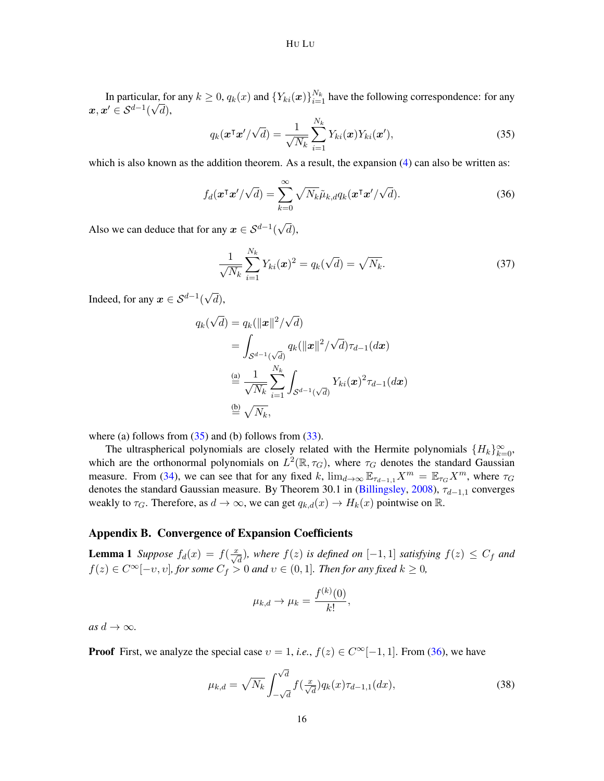In particular, for any  $k \geq 0$ ,  $q_k(x)$  and  ${Y_{ki}(x)}_{i=1}^{N_k}$  have the following correspondence: for any  $\boldsymbol{x}, \boldsymbol{x}' \in \mathcal{S}^{d-1}(\sqrt{d}),$ 

<span id="page-15-4"></span>
$$
q_k(\boldsymbol{x}^\mathsf{T}\boldsymbol{x}' / \sqrt{d}) = \frac{1}{\sqrt{N_k}} \sum_{i=1}^{N_k} Y_{ki}(\boldsymbol{x}) Y_{ki}(\boldsymbol{x}'), \qquad (35)
$$

which is also known as the addition theorem. As a result, the expansion  $(4)$  can also be written as:

<span id="page-15-0"></span>
$$
f_d(\mathbf{x}^\mathsf{T}\mathbf{x}'/\sqrt{d}) = \sum_{k=0}^{\infty} \sqrt{N_k} \tilde{\mu}_{k,d} q_k(\mathbf{x}^\mathsf{T}\mathbf{x}'/\sqrt{d}).
$$
 (36)

Also we can deduce that for any  $x \in \mathcal{S}^{d-1}$  ( d),

<span id="page-15-1"></span>
$$
\frac{1}{\sqrt{N_k}} \sum_{i=1}^{N_k} Y_{ki}(\boldsymbol{x})^2 = q_k(\sqrt{d}) = \sqrt{N_k}.
$$
 (37)

Indeed, for any  $x \in S^{d-1}$ ( √ d),

$$
q_k(\sqrt{d}) = q_k(||\boldsymbol{x}||^2/\sqrt{d})
$$
  
= 
$$
\int_{\mathcal{S}^{d-1}(\sqrt{d})} q_k(||\boldsymbol{x}||^2/\sqrt{d})\tau_{d-1}(d\boldsymbol{x})
$$
  

$$
\stackrel{\text{(a)}}{=} \frac{1}{\sqrt{N_k}} \sum_{i=1}^{N_k} \int_{\mathcal{S}^{d-1}(\sqrt{d})} Y_{ki}(\boldsymbol{x})^2 \tau_{d-1}(d\boldsymbol{x})
$$
  

$$
\stackrel{\text{(b)}}{=} \sqrt{N_k},
$$

where (a) follows from  $(35)$  and (b) follows from  $(33)$ .

The ultraspherical polynomials are closely related with the Hermite polynomials  $\{H_k\}_{k=0}^{\infty}$ , which are the orthonormal polynomials on  $L^2(\mathbb{R}, \tau_G)$ , where  $\tau_G$  denotes the standard Gaussian measure. From [\(34\)](#page-14-4), we can see that for any fixed k,  $\lim_{d\to\infty} \mathbb{E}_{\tau_{d-1,1}} X^m = \mathbb{E}_{\tau_G} X^m$ , where  $\tau_G$ denotes the standard Gaussian measure. By Theorem 30.1 in [\(Billingsley,](#page-12-13) [2008\)](#page-12-13),  $\tau_{d-1,1}$  converges weakly to  $\tau_G$ . Therefore, as  $d \to \infty$ , we can get  $q_{k,d}(x) \to H_k(x)$  pointwise on  $\mathbb{R}$ .

#### <span id="page-15-3"></span>Appendix B. Convergence of Expansion Coefficients

<span id="page-15-2"></span>**Lemma 1** *Suppose*  $f_d(x) = f(\frac{x}{\sqrt{d}})$ , where  $f(z)$  is defined on [-1,1] *satisfying*  $f(z) \leq C_f$  *and*  $f(z) \in C^{\infty}[-v, v]$ , for some  $C_f > 0$  and  $v \in (0, 1]$ . Then for any fixed  $k \ge 0$ ,

$$
\mu_{k,d} \to \mu_k = \frac{f^{(k)}(0)}{k!},
$$

 $as\ d \to \infty$ *.* 

**Proof** First, we analyze the special case  $v = 1$ , *i.e.*,  $f(z) \in C^{\infty}[-1, 1]$ . From [\(36\)](#page-15-0), we have

<span id="page-15-5"></span>
$$
\mu_{k,d} = \sqrt{N_k} \int_{-\sqrt{d}}^{\sqrt{d}} f(\frac{x}{\sqrt{d}}) q_k(x) \tau_{d-1,1}(dx), \tag{38}
$$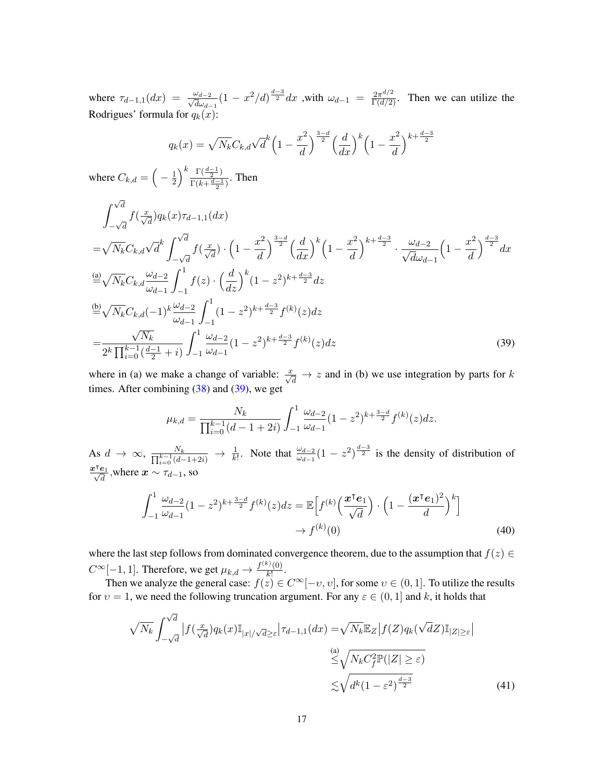where  $\tau_{d-1,1}(dx) = \frac{\omega_{d-2}}{\sqrt{d}\omega}$  $\frac{\omega_{d-2}}{d\omega_{d-1}}(1-x^2/d)^{\frac{d-3}{2}}dx$ , with  $\omega_{d-1} = \frac{2\pi^{d/2}}{\Gamma(d/2)}$ . Then we can utilize the Rodrigues' formula for  $q_k(x)$ :

$$
q_k(x) = \sqrt{N_k} C_{k,d} \sqrt{d}^k \left(1 - \frac{x^2}{d}\right)^{\frac{3-d}{2}} \left(\frac{d}{dx}\right)^k \left(1 - \frac{x^2}{d}\right)^{k + \frac{d-3}{2}}
$$

where  $C_{k,d} = \left(-\frac{1}{2}\right)$  $\frac{1}{2}$ <sup>k</sup> $\frac{\Gamma(\frac{d-1}{2})}{\Gamma(k+\frac{d-1}{2})}$  $\frac{1}{\Gamma(k+\frac{d-1}{2})}$ . Then

$$
\int_{-\sqrt{d}}^{\sqrt{d}} f(\frac{x}{\sqrt{d}}) q_k(x) \tau_{d-1,1}(dx)
$$
\n
$$
= \sqrt{N_k} C_{k,d} \sqrt{d}^k \int_{-\sqrt{d}}^{\sqrt{d}} f(\frac{x}{\sqrt{d}}) \cdot \left(1 - \frac{x^2}{d}\right)^{\frac{3-d}{2}} \left(\frac{d}{dx}\right)^k \left(1 - \frac{x^2}{d}\right)^{k + \frac{d-3}{2}} \cdot \frac{\omega_{d-2}}{\sqrt{d}\omega_{d-1}} \left(1 - \frac{x^2}{d}\right)^{\frac{d-3}{2}} dx
$$
\n
$$
\stackrel{(a)}{=} \sqrt{N_k} C_{k,d} \frac{\omega_{d-2}}{\omega_{d-1}} \int_{-1}^1 f(z) \cdot \left(\frac{d}{dz}\right)^k (1 - z^2)^{k + \frac{d-3}{2}} dz
$$
\n
$$
\stackrel{(b)}{=} \sqrt{N_k} C_{k,d} (-1)^k \frac{\omega_{d-2}}{\omega_{d-1}} \int_{-1}^1 (1 - z^2)^{k + \frac{d-3}{2}} f^{(k)}(z) dz
$$
\n
$$
= \frac{\sqrt{N_k}}{2^k \prod_{i=0}^{k-1} (\frac{d-1}{2} + i)} \int_{-1}^1 \frac{\omega_{d-2}}{\omega_{d-1}} (1 - z^2)^{k + \frac{d-3}{2}} f^{(k)}(z) dz
$$
\n(39)

where in (a) we make a change of variable:  $\frac{x}{\sqrt{d}} \to z$  and in (b) we use integration by parts for k times. After combining  $(38)$  and  $(39)$ , we get

<span id="page-16-2"></span><span id="page-16-0"></span>
$$
\mu_{k,d} = \frac{N_k}{\prod_{i=0}^{k-1} (d-1+2i)} \int_{-1}^1 \frac{\omega_{d-2}}{\omega_{d-1}} (1-z^2)^{k+\frac{3-d}{2}} f^{(k)}(z) dz.
$$

As  $d \to \infty$ ,  $\frac{N_k}{\prod_{i=0}^{k-1}(d-1+2i)} \to \frac{1}{k!}$ . Note that  $\frac{\omega_{d-2}}{\omega_{d-1}}(1-z^2)^{\frac{d-3}{2}}$  is the density of distribution of  $\frac{\boldsymbol{x}^{\intercal}\boldsymbol{e}_1}{\sqrt{d}}$ , where  $\boldsymbol{x} \sim \tau_{d-1}$ , so

$$
\int_{-1}^{1} \frac{\omega_{d-2}}{\omega_{d-1}} (1 - z^2)^{k + \frac{3-d}{2}} f^{(k)}(z) dz = \mathbb{E} \Big[ f^{(k)} \Big( \frac{\boldsymbol{x}^\top \boldsymbol{e}_1}{\sqrt{d}} \Big) \cdot \Big( 1 - \frac{(\boldsymbol{x}^\top \boldsymbol{e}_1)^2}{d} \Big)^k \Big] \newline \to f^{(k)}(0) \tag{40}
$$

where the last step follows from dominated convergence theorem, due to the assumption that  $f(z) \in$  $C^{\infty}[-1,1]$ . Therefore, we get  $\mu_{k,d} \to \frac{f^{(k)}(0)}{k!}$  $\frac{\partial (0)}{\partial k!}$ .

Then we analyze the general case:  $f(z) \in C^{\infty}[-v, v]$ , for some  $v \in (0, 1]$ . To utilize the results for  $v = 1$ , we need the following truncation argument. For any  $\varepsilon \in (0, 1]$  and k, it holds that

<span id="page-16-1"></span>
$$
\sqrt{N_k} \int_{-\sqrt{d}}^{\sqrt{d}} \left| f(\frac{x}{\sqrt{d}}) q_k(x) \mathbb{I}_{|x|/\sqrt{d} \ge \varepsilon} \right| \tau_{d-1,1}(dx) = \sqrt{N_k} \mathbb{E}_Z \left| f(Z) q_k(\sqrt{d}Z) \mathbb{I}_{|Z| \ge \varepsilon} \right|
$$
  
\n(a)  
\n
$$
\le \sqrt{N_k C_f^2 \mathbb{P}(|Z| \ge \varepsilon)}
$$
  
\n
$$
\lesssim \sqrt{d^k (1 - \varepsilon^2)^{\frac{d-3}{2}}} \tag{41}
$$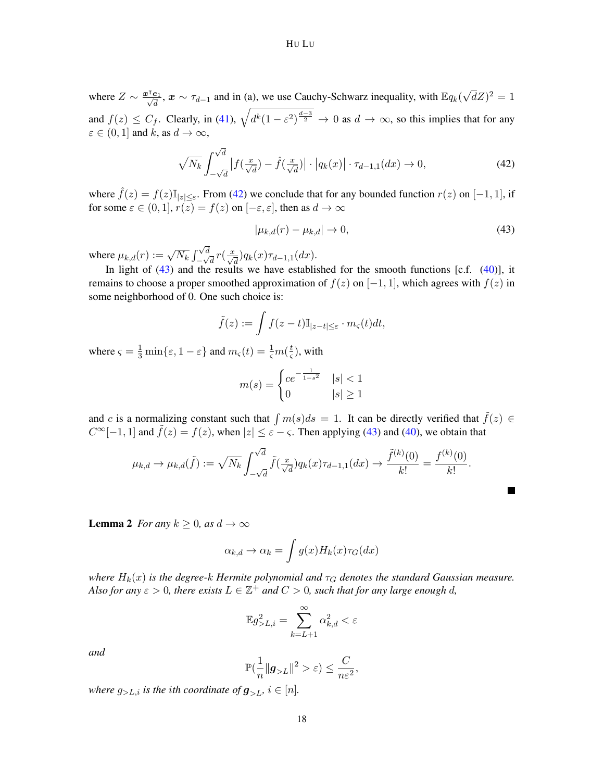where  $Z \sim \frac{x^{\intercal} e_1}{\sqrt{d}}$ ,  $x \sim \tau_{d-1}$  and in (a), we use Cauchy-Schwarz inequality, with  $\mathbb{E} q_k(\sqrt{d})$  $\overline{d}Z)^2=1$ and  $f(z) \leq C_f$ . Clearly, in [\(41\)](#page-16-1),  $\sqrt{d^k(1-\varepsilon^2)^{\frac{d-3}{2}}} \to 0$  as  $d \to \infty$ , so this implies that for any  $\varepsilon \in (0,1]$  and k, as  $d \to \infty$ ,

<span id="page-17-1"></span>
$$
\sqrt{N_k} \int_{-\sqrt{d}}^{\sqrt{d}} \left| f\left(\frac{x}{\sqrt{d}}\right) - \hat{f}\left(\frac{x}{\sqrt{d}}\right) \right| \cdot \left| q_k(x) \right| \cdot \tau_{d-1,1}(dx) \to 0,\tag{42}
$$

where  $\hat{f}(z) = f(z) \mathbb{I}_{|z| \leq \varepsilon}$ . From [\(42\)](#page-17-1) we conclude that for any bounded function  $r(z)$  on  $[-1, 1]$ , if for some  $\varepsilon \in (0,1], r(z) = f(z)$  on  $[-\varepsilon, \varepsilon]$ , then as  $d \to \infty$ 

<span id="page-17-2"></span>
$$
|\mu_{k,d}(r) - \mu_{k,d}| \to 0,\tag{43}
$$

where  $\mu_{k,d}(r) := \sqrt{N_k} \int$ √ d  $\int_{-\sqrt{d}}^{\sqrt{d}} r(\frac{x}{\sqrt{d}})q_k(x)\tau_{d-1,1}(dx).$ 

In light of  $(43)$  and the results we have established for the smooth functions [c.f.  $(40)$ ], it remains to choose a proper smoothed approximation of  $f(z)$  on  $[-1, 1]$ , which agrees with  $f(z)$  in some neighborhood of 0. One such choice is:

$$
\tilde{f}(z) := \int f(z-t) \mathbb{I}_{|z-t| \leq \varepsilon} \cdot m_{\varsigma}(t) dt,
$$

where  $\varsigma = \frac{1}{3} \min\{\varepsilon, 1 - \varepsilon\}$  and  $m_{\varsigma}(t) = \frac{1}{\varsigma} m(\frac{t}{\varsigma})$  $(\frac{t}{\varsigma})$ , with

$$
m(s) = \begin{cases} ce^{-\frac{1}{1-s^2}} & |s| < 1\\ 0 & |s| \ge 1 \end{cases}
$$

and c is a normalizing constant such that  $\int m(s)ds = 1$ . It can be directly verified that  $\tilde{f}(z) \in$  $C^{\infty}[-1,1]$  and  $\tilde{f}(z) = f(z)$ , when  $|z| \le \varepsilon - \varsigma$ . Then applying [\(43\)](#page-17-2) and [\(40\)](#page-16-2), we obtain that

$$
\mu_{k,d} \to \mu_{k,d}(\tilde{f}) := \sqrt{N_k} \int_{-\sqrt{d}}^{\sqrt{d}} \tilde{f}(\frac{x}{\sqrt{d}}) q_k(x) \tau_{d-1,1}(dx) \to \frac{\tilde{f}^{(k)}(0)}{k!} = \frac{f^{(k)}(0)}{k!}.
$$

<span id="page-17-0"></span>**Lemma 2** *For any*  $k \geq 0$ *, as*  $d \to \infty$ 

$$
\alpha_{k,d} \to \alpha_k = \int g(x) H_k(x) \tau_G(dx)
$$

*where*  $H_k(x)$  *is the degree-k Hermite polynomial and*  $\tau_G$  *denotes the standard Gaussian measure. Also for any*  $\varepsilon > 0$ , there exists  $L \in \mathbb{Z}^+$  and  $C > 0$ , such that for any large enough d,

$$
\mathbb{E}g_{>L,i}^2 = \sum_{k=L+1}^{\infty} \alpha_{k,d}^2 < \varepsilon
$$

*and*

$$
\mathbb{P}(\frac{1}{n}\|\boldsymbol{g}_{>L}\|^2>\varepsilon)\leq \frac{C}{n\varepsilon^2},
$$

*where*  $g_{>L,i}$  *is the ith coordinate of*  $g_{>L,i}$  *i*  $\in$  [*n*]*.*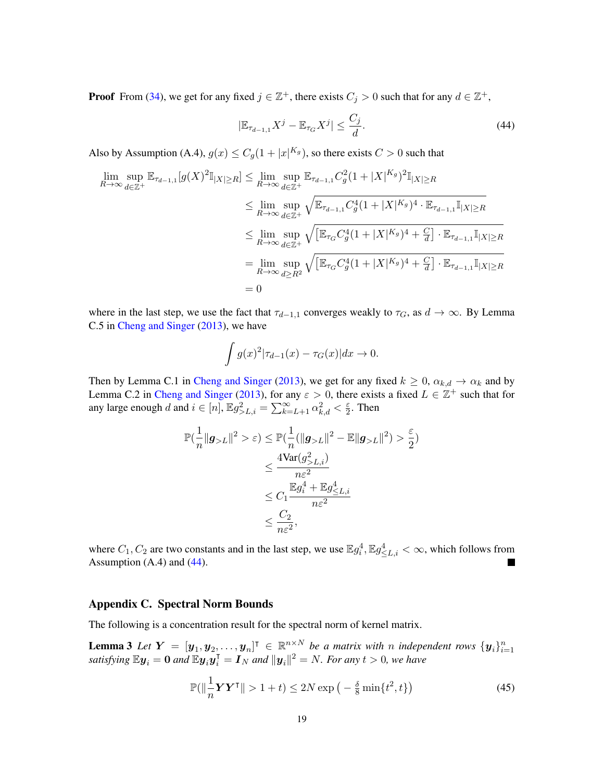**Proof** From [\(34\)](#page-14-4), we get for any fixed  $j \in \mathbb{Z}^+$ , there exists  $C_j > 0$  such that for any  $d \in \mathbb{Z}^+$ ,

<span id="page-18-0"></span>
$$
|\mathbb{E}_{\tau_{d-1,1}} X^j - \mathbb{E}_{\tau_G} X^j| \le \frac{C_j}{d}.\tag{44}
$$

Also by Assumption (A.4),  $g(x) \leq C_g(1+|x|^{K_g})$ , so there exists  $C > 0$  such that

$$
\lim_{R \to \infty} \sup_{d \in \mathbb{Z}^+} \mathbb{E}_{\tau_{d-1,1}}[g(X)^2 \mathbb{I}_{|X| \ge R}] \le \lim_{R \to \infty} \sup_{d \in \mathbb{Z}^+} \mathbb{E}_{\tau_{d-1,1}} C_g^2 (1 + |X|^{K_g})^2 \mathbb{I}_{|X| \ge R}
$$
\n
$$
\le \lim_{R \to \infty} \sup_{d \in \mathbb{Z}^+} \sqrt{\mathbb{E}_{\tau_{d-1,1}} C_g^4 (1 + |X|^{K_g})^4 \cdot \mathbb{E}_{\tau_{d-1,1}} \mathbb{I}_{|X| \ge R}}
$$
\n
$$
\le \lim_{R \to \infty} \sup_{d \in \mathbb{Z}^+} \sqrt{\left[\mathbb{E}_{\tau_G} C_g^4 (1 + |X|^{K_g})^4 + \frac{C}{d}\right] \cdot \mathbb{E}_{\tau_{d-1,1}} \mathbb{I}_{|X| \ge R}}
$$
\n
$$
= \lim_{R \to \infty} \sup_{d \ge R^2} \sqrt{\left[\mathbb{E}_{\tau_G} C_g^4 (1 + |X|^{K_g})^4 + \frac{C}{d}\right] \cdot \mathbb{E}_{\tau_{d-1,1}} \mathbb{I}_{|X| \ge R}}
$$
\n
$$
= 0
$$

where in the last step, we use the fact that  $\tau_{d-1,1}$  converges weakly to  $\tau_G$ , as  $d \to \infty$ . By Lemma C.5 in [Cheng and Singer](#page-12-14) [\(2013\)](#page-12-14), we have

$$
\int g(x)^2 |\tau_{d-1}(x) - \tau_G(x)| dx \to 0.
$$

Then by Lemma C.1 in [Cheng and Singer](#page-12-14) [\(2013\)](#page-12-14), we get for any fixed  $k \ge 0$ ,  $\alpha_{k,d} \to \alpha_k$  and by Lemma C.2 in [Cheng and Singer](#page-12-14) [\(2013\)](#page-12-14), for any  $\varepsilon > 0$ , there exists a fixed  $L \in \mathbb{Z}^+$  such that for any large enough d and  $i \in [n]$ ,  $\mathbb{E}g_{>L,i}^2 = \sum_{k=L+1}^{\infty} \alpha_{k,d}^2 < \frac{\varepsilon}{2}$  $\frac{\varepsilon}{2}$ . Then

$$
\begin{aligned} \mathbb{P}(\frac{1}{n} \| \boldsymbol{g}_{>L} \|^2 > \varepsilon) &\leq \mathbb{P}(\frac{1}{n} (\| \boldsymbol{g}_{>L} \|^2 - \mathbb{E} \| \boldsymbol{g}_{>L} \|^2) > \frac{\varepsilon}{2}) \\ &\leq \frac{4 \text{Var}(\boldsymbol{g}_{>L,i}^2)}{n \varepsilon^2} \\ &\leq C_1 \frac{\mathbb{E} \boldsymbol{g}_i^4 + \mathbb{E} \boldsymbol{g}_{\leq L,i}^4}{n \varepsilon^2} \\ &\leq \frac{C_2}{n \varepsilon^2}, \end{aligned}
$$

where  $C_1, C_2$  are two constants and in the last step, we use  $\mathbb{E}g_1^4, \mathbb{E}g_{\leq L,i}^4 < \infty$ , which follows from Assumption  $(A.4)$  and  $(44)$ .

# Appendix C. Spectral Norm Bounds

The following is a concentration result for the spectral norm of kernel matrix.

**Lemma 3** Let  $Y = [\mathbf{y}_1, \mathbf{y}_2, \dots, \mathbf{y}_n]^T \in \mathbb{R}^{n \times N}$  be a matrix with n independent rows  $\{\mathbf{y}_i\}_{i=1}^n$  satisfying  $\mathbb{E}\mathbf{y}_i = \mathbf{0}$  and  $\mathbb{E}\mathbf{y}_i\mathbf{y}_i^T = \mathbf{I}_N$  and  $\|\mathbf{y}_i\|^2 = N$ . For any  $t > 0$ ,

<span id="page-18-2"></span><span id="page-18-1"></span>
$$
\mathbb{P}(\left\|\frac{1}{n}\boldsymbol{Y}\boldsymbol{Y}^{\mathsf{T}}\right\| > 1+t) \le 2N \exp\left(-\frac{\delta}{8}\min\{t^2, t\}\right) \tag{45}
$$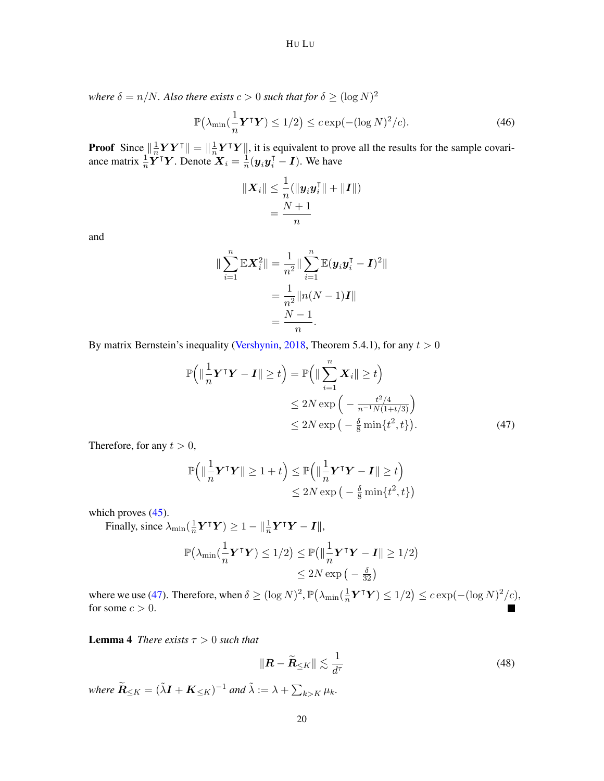*where*  $\delta = n/N$ *. Also there exists*  $c > 0$  *such that for*  $\delta \geq (\log N)^2$ 

<span id="page-19-2"></span>
$$
\mathbb{P}\big(\lambda_{\min}\big(\frac{1}{n}\boldsymbol{Y}^{\mathsf{T}}\boldsymbol{Y}\big) \le 1/2\big) \le c \exp(-(\log N)^2/c). \tag{46}
$$

**Proof** Since  $\|\frac{1}{n}\|$  $\frac{1}{n} \boldsymbol{Y} \boldsymbol{Y}^{\intercal} \|= \|\frac{1}{n}$  $\frac{1}{n} Y^{\mathsf{T}} Y$ , it is equivalent to prove all the results for the sample covariance matrix  $\frac{1}{n} \boldsymbol{Y}^{\top} \boldsymbol{Y}$ . Denote  $\boldsymbol{X}_i = \frac{1}{n}$  $\frac{1}{n}(\boldsymbol{y}_i\boldsymbol{y}_i^{\mathsf{T}} - \boldsymbol{I})$ . We have

$$
\begin{aligned} \| \boldsymbol{X}_i \| \leq \frac{1}{n}(\| \boldsymbol{y}_i \boldsymbol{y}_i^\intercal \| + \| \boldsymbol{I} \|) \\ = \frac{N+1}{n} \end{aligned}
$$

and

$$
\|\sum_{i=1}^{n} \mathbb{E} \mathbf{X}_{i}^{2}\| = \frac{1}{n^{2}} \|\sum_{i=1}^{n} \mathbb{E}(\mathbf{y}_{i}\mathbf{y}_{i}^{T} - \mathbf{I})^{2}\|
$$

$$
= \frac{1}{n^{2}} \|n(N-1)\mathbf{I}\|
$$

$$
= \frac{N-1}{n}.
$$

By matrix Bernstein's inequality [\(Vershynin,](#page-13-14) [2018,](#page-13-14) Theorem 5.4.1), for any  $t > 0$ 

$$
\mathbb{P}\left(\left\|\frac{1}{n}\mathbf{Y}^{\mathsf{T}}\mathbf{Y}-\mathbf{I}\right\| \geq t\right) = \mathbb{P}\left(\left\|\sum_{i=1}^{n} \mathbf{X}_{i}\right\| \geq t\right)
$$
  
\n
$$
\leq 2N \exp\left(-\frac{t^{2}/4}{n^{-1}N(1+t/3)}\right)
$$
  
\n
$$
\leq 2N \exp\left(-\frac{\delta}{8}\min\{t^{2}, t\}\right).
$$
\n(47)

Therefore, for any  $t > 0$ ,

<span id="page-19-1"></span>
$$
\mathbb{P}\Big(\|\frac{1}{n}\boldsymbol{Y}^\mathsf{T}\boldsymbol{Y}\| \ge 1+t\Big) \le \mathbb{P}\Big(\|\frac{1}{n}\boldsymbol{Y}^\mathsf{T}\boldsymbol{Y} - \boldsymbol{I}\| \ge t\Big) \\
\le 2N\exp\big(-\frac{\delta}{8}\min\{t^2, t\}\big)
$$

which proves  $(45)$ .

Finally, since  $\lambda_{\min}(\frac{1}{n})$  $\frac{1}{n} \boldsymbol{Y}^\intercal \boldsymbol{Y}) \ge 1 - ||\frac{1}{n} \boldsymbol{Y}^\intercal \boldsymbol{Y} - \boldsymbol{I} ||,$ 

$$
\mathbb{P}(\lambda_{\min}(\frac{1}{n}\boldsymbol{Y}^{\mathsf{T}}\boldsymbol{Y}) \le 1/2) \le \mathbb{P}(\|\frac{1}{n}\boldsymbol{Y}^{\mathsf{T}}\boldsymbol{Y} - \boldsymbol{I}\| \ge 1/2) \le 2N \exp(-\frac{\delta}{32})
$$

where we use [\(47\)](#page-19-1). Therefore, when  $\delta \geq (\log N)^2$ ,  $\mathbb{P}(\lambda_{\min}) \left( \frac{1}{n} \right)$  $\frac{1}{n} \boldsymbol{Y}^{\mathsf{T}} \boldsymbol{Y}$   $\leq 1/2$   $\leq c \exp(-(\log N)^2/c)$ , for some  $c > 0$ .

<span id="page-19-0"></span>**Lemma 4** *There exists*  $\tau > 0$  *such that* 

$$
\|\boldsymbol{R} - \widetilde{\boldsymbol{R}}_{\leq K}\| \lesssim \frac{1}{d^{\tau}} \tag{48}
$$

where  $\widetilde{R}_{\leq K} = (\tilde{\lambda}I + K_{\leq K})^{-1}$  and  $\tilde{\lambda} := \lambda + \sum_{k > K} \mu_k$ .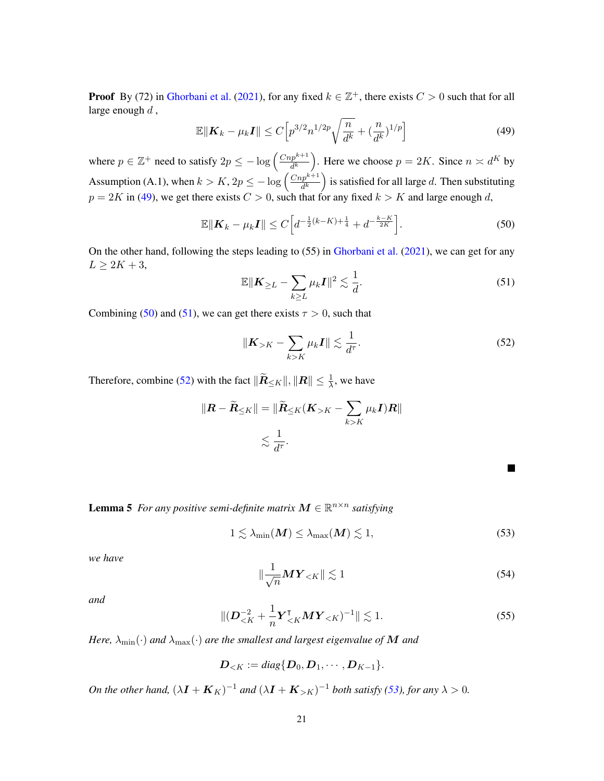**Proof** By (72) in [Ghorbani et al.](#page-12-5) [\(2021\)](#page-12-5), for any fixed  $k \in \mathbb{Z}^+$ , there exists  $C > 0$  such that for all large enough  $d$ ,

<span id="page-20-0"></span>
$$
\mathbb{E}\|\boldsymbol{K}_k - \mu_k \boldsymbol{I}\| \le C \Big[ p^{3/2} n^{1/2p} \sqrt{\frac{n}{d^k}} + (\frac{n}{d^k})^{1/p} \Big] \tag{49}
$$

where  $p \in \mathbb{Z}^+$  need to satisfy  $2p \leq -\log \left( \frac{C n p^{k+1}}{d^k} \right)$  $\frac{dp^{k+1}}{d^k}$ ). Here we choose  $p = 2K$ . Since  $n \asymp d^K$  by Assumption (A.1), when  $k > K$ ,  $2p \le -\log \left( \frac{Cnp^{k+1}}{d^k} \right)$  $\frac{dp^{k+1}}{d^k}$  is satisfied for all large d. Then substituting  $p = 2K$  in [\(49\)](#page-20-0), we get there exists  $C > 0$ , such that for any fixed  $k > K$  and large enough d,

<span id="page-20-1"></span>
$$
\mathbb{E}\|\boldsymbol{K}_{k} - \mu_{k}\boldsymbol{I}\| \leq C \Big[d^{-\frac{1}{2}(k-K) + \frac{1}{4}} + d^{-\frac{k-K}{2K}}\Big].
$$
\n(50)

On the other hand, following the steps leading to  $(55)$  in [Ghorbani et al.](#page-12-5)  $(2021)$ , we can get for any  $L \geq 2K + 3$ ,

<span id="page-20-2"></span>
$$
\mathbb{E} \|\mathbf{K}_{\geq L} - \sum_{k \geq L} \mu_k \mathbf{I}\|^2 \lesssim \frac{1}{d}.\tag{51}
$$

Combining [\(50\)](#page-20-1) and [\(51\)](#page-20-2), we can get there exists  $\tau > 0$ , such that

<span id="page-20-3"></span>
$$
\|\boldsymbol{K}_{>K} - \sum_{k>K} \mu_k \boldsymbol{I}\| \lesssim \frac{1}{d^{\tau}}.
$$
 (52)

Therefore, combine [\(52\)](#page-20-3) with the fact  $\|\widetilde{\boldsymbol{R}}_{\leq K}\|, \|\boldsymbol{R}\| \leq \frac{1}{\lambda}$ , we have

$$
\|\mathbf{R} - \widetilde{\mathbf{R}}_{\leq K}\| = \|\widetilde{\mathbf{R}}_{\leq K}(\mathbf{K}_{>K} - \sum_{k > K} \mu_k \mathbf{I})\mathbf{R}\|
$$
  

$$
\lesssim \frac{1}{d^{\tau}}.
$$

٦

<span id="page-20-7"></span>**Lemma 5** For any positive semi-definite matrix  $M \in \mathbb{R}^{n \times n}$  satisfying

<span id="page-20-4"></span>
$$
1 \lesssim \lambda_{\min}(\boldsymbol{M}) \le \lambda_{\max}(\boldsymbol{M}) \lesssim 1,
$$
\n(53)

*we have*

<span id="page-20-5"></span>
$$
\|\frac{1}{\sqrt{n}}\boldsymbol{M}\boldsymbol{Y}_{
$$

*and*

<span id="page-20-6"></span>
$$
\|(\boldsymbol{D}_{\leq K}^{-2} + \frac{1}{n} \boldsymbol{Y}_{\leq K}^{\mathsf{T}} \boldsymbol{M} \boldsymbol{Y}_{\leq K})^{-1} \| \lesssim 1.
$$
 (55)

*Here,*  $\lambda_{\min}(\cdot)$  *and*  $\lambda_{\max}(\cdot)$  *are the smallest and largest eigenvalue of* M *and* 

$$
\boldsymbol{D}_{
$$

*On the other hand,*  $(\lambda \mathbf{I} + \mathbf{K}_K)^{-1}$  *and*  $(\lambda \mathbf{I} + \mathbf{K}_{>K})^{-1}$  *both satisfy* [\(53\)](#page-20-4)*, for any*  $\lambda > 0$ *.*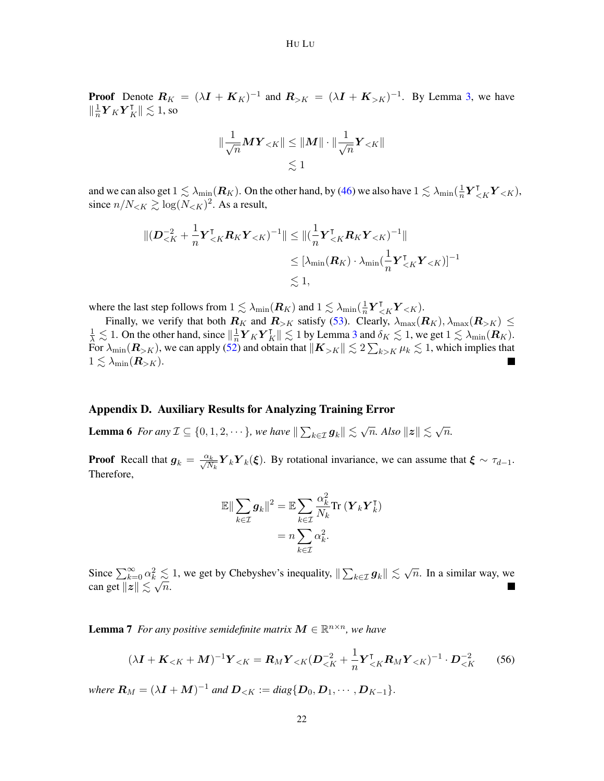**Proof** Denote  $R_K = (\lambda I + K_K)^{-1}$  and  $R_{>K} = (\lambda I + K_{>K})^{-1}$ . By Lemma [3,](#page-18-2) we have  $\|\frac{1}{n}$  $\frac{1}{n} \boldsymbol{Y}_K \boldsymbol{Y}_K^\intercal \| \lesssim 1,$  so

$$
\|\frac{1}{\sqrt{n}}\boldsymbol{M}\boldsymbol{Y}_{  

$$
\lesssim 1
$$
$$

and we can also get  $1\lesssim\lambda_{\min}(\bm R_K).$  On the other hand, by [\(46\)](#page-19-2) we also have  $1\lesssim\lambda_{\min}(\frac{1}{n})$  $\frac{1}{n} \boldsymbol{Y}_{\leq K}^{\intercal} \boldsymbol{Y}_{\leq K}$ since  $n/N_{\lt K} \gtrsim \log(N_{\lt K})^2$ . As a result,

$$
\begin{aligned} \| (\boldsymbol{D}_{\leq K}^{-2} + \frac{1}{n} \boldsymbol{Y}_{\leq K}^{\mathsf{T}} \boldsymbol{R}_K \boldsymbol{Y}_{\leq K})^{-1} \| &\leq \| (\frac{1}{n} \boldsymbol{Y}_{\leq K}^{\mathsf{T}} \boldsymbol{R}_K \boldsymbol{Y}_{\leq K})^{-1} \| \\ &\leq [\lambda_{\min} (\boldsymbol{R}_K) \cdot \lambda_{\min} (\frac{1}{n} \boldsymbol{Y}_{\leq K}^{\mathsf{T}} \boldsymbol{Y}_{\leq K})]^{-1} \\ &\lesssim 1, \end{aligned}
$$

where the last step follows from  $1 \lesssim \lambda_{\min}(\boldsymbol{R}_K)$  and  $1 \lesssim \lambda_{\min}(\frac{1}{n})$  $\frac{1}{n} \boldsymbol{Y}_{\leq K}^{\intercal} \boldsymbol{Y}_{\leq K}$ ).

Finally, we verify that both  $R_K$  and  $R_{>K}$  satisfy [\(53\)](#page-20-4). Clearly,  $\lambda_{\text{max}}(R_K), \lambda_{\text{max}}(R_{>K}) \leq$  $\frac{1}{\lambda} \lesssim 1$ . On the other hand, since  $\left\| \frac{1}{n} \right\|$  $\frac{1}{n} \mathbf{Y}_K \mathbf{Y}_K^{\mathsf{T}} \| \lesssim 1$  by Lemma [3](#page-18-2) and  $\delta_K \lesssim 1$ , we get  $1 \lesssim \lambda_{\min}(\mathbf{R}_K)$ . For  $\lambda_{\min}(\bm R_{>K}),$  we can apply [\(52\)](#page-20-3) and obtain that  $\|\bm K_{>K}\| \lesssim 2\sum_{k>K}\mu_k\lesssim 1,$  which implies that  $1 \lesssim \lambda_{\min}(\boldsymbol{R}_{>K}).$ 

## Appendix D. Auxiliary Results for Analyzing Training Error

<span id="page-21-1"></span>**Lemma 6** For any  $\mathcal{I} \subseteq \{0, 1, 2, \dots\}$ , we have  $\|\sum_{k \in \mathcal{I}} g_k\| \lesssim \sqrt{n}$ . Also  $\|z\| \lesssim \sqrt{n}$ n*.*

**Proof** Recall that  $g_k = \frac{\alpha_k}{\sqrt{N_k}} Y_k Y_k(\xi)$ . By rotational invariance, we can assume that  $\xi \sim \tau_{d-1}$ . Therefore,

$$
\mathbb{E}\|\sum_{k\in\mathcal{I}}\boldsymbol{g}_k\|^2 = \mathbb{E}\sum_{k\in\mathcal{I}}\frac{\alpha_k^2}{N_k}\text{Tr}\left(\boldsymbol{Y}_k\boldsymbol{Y}_k^{\mathsf{T}}\right)
$$

$$
= n\sum_{k\in\mathcal{I}}\alpha_k^2.
$$

Since  $\sum_{k=0}^{\infty} \alpha_k^2 \lesssim 1$ , we get by Chebyshev's inequality,  $\|\sum_{k \in \mathcal{I}} g_k\| \lesssim \sqrt{2}$  $\frac{2}{N_c} \leq 1$ , we get by Chebyshev's inequality,  $\|\sum_{k \in \mathcal{I}} g_k\| \lesssim \sqrt{n}$ . In a similar way, we can get  $||z|| \lesssim \sqrt{n}$ .

<span id="page-21-2"></span>**Lemma 7** For any positive semidefinite matrix  $M \in \mathbb{R}^{n \times n}$ , we have

<span id="page-21-0"></span>
$$
(\lambda \mathbf{I} + \mathbf{K}_{< K} + \mathbf{M})^{-1} \mathbf{Y}_{< K} = \mathbf{R}_{M} \mathbf{Y}_{< K} (\mathbf{D}_{< K}^{-2} + \frac{1}{n} \mathbf{Y}_{< K}^{\mathsf{T}} \mathbf{R}_{M} \mathbf{Y}_{< K})^{-1} \cdot \mathbf{D}_{< K}^{-2}
$$
(56)

*where*  $R_M = (\lambda I + M)^{-1}$  *and*  $D_{\leq K} := diag\{D_0, D_1, \cdots, D_{K-1}\}.$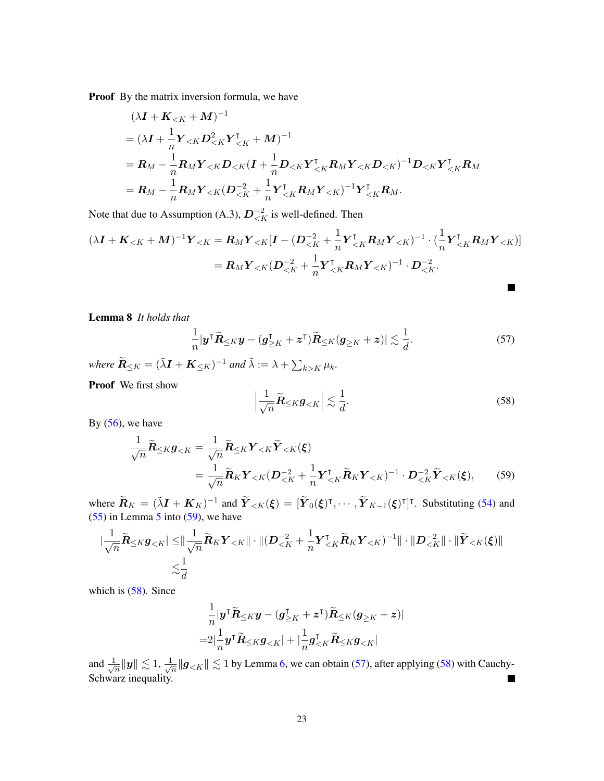Proof By the matrix inversion formula, we have

$$
(\lambda \mathbf{I} + \mathbf{K}_{< K} + \mathbf{M})^{-1}
$$
  
=  $(\lambda \mathbf{I} + \frac{1}{n} \mathbf{Y}_{< K} \mathbf{D}_{< K}^2 \mathbf{Y}_{< K}^{\mathsf{T}} + \mathbf{M})^{-1}$   
=  $\mathbf{R}_M - \frac{1}{n} \mathbf{R}_M \mathbf{Y}_{< K} \mathbf{D}_{< K} (\mathbf{I} + \frac{1}{n} \mathbf{D}_{< K} \mathbf{Y}_{< K}^{\mathsf{T}} \mathbf{R}_M \mathbf{Y}_{< K} \mathbf{D}_{< K})^{-1} \mathbf{D}_{< K} \mathbf{Y}_{< K}^{\mathsf{T}} \mathbf{R}_M$   
=  $\mathbf{R}_M - \frac{1}{n} \mathbf{R}_M \mathbf{Y}_{< K} (\mathbf{D}_{< K}^{-2} + \frac{1}{n} \mathbf{Y}_{< K}^{\mathsf{T}} \mathbf{R}_M \mathbf{Y}_{< K})^{-1} \mathbf{Y}_{< K}^{\mathsf{T}} \mathbf{R}_M.$ 

Note that due to Assumption (A.3),  $D_{\leq K}^{-2}$  is well-defined. Then

$$
(\lambda \mathbf{I} + \mathbf{K}_{< K} + \mathbf{M})^{-1} \mathbf{Y}_{< K} = \mathbf{R}_{M} \mathbf{Y}_{< K} [\mathbf{I} - (\mathbf{D}_{< K}^{-2} + \frac{1}{n} \mathbf{Y}_{< K}^{\mathsf{T}} \mathbf{R}_{M} \mathbf{Y}_{< K})^{-1} \cdot (\frac{1}{n} \mathbf{Y}_{< K}^{\mathsf{T}} \mathbf{R}_{M} \mathbf{Y}_{< K})] = \mathbf{R}_{M} \mathbf{Y}_{< K} (\mathbf{D}_{< K}^{-2} + \frac{1}{n} \mathbf{Y}_{< K}^{\mathsf{T}} \mathbf{R}_{M} \mathbf{Y}_{< K})^{-1} \cdot \mathbf{D}_{< K}^{-2}.
$$

<span id="page-22-0"></span>Lemma 8 *It holds that*

<span id="page-22-4"></span>
$$
\frac{1}{n}|\mathbf{y}^{\mathsf{T}}\widetilde{\mathbf{R}}_{\leq K}\mathbf{y}-(\mathbf{g}_{\geq K}^{\mathsf{T}}+\mathbf{z}^{\mathsf{T}})\widetilde{\mathbf{R}}_{\leq K}(\mathbf{g}_{\geq K}+\mathbf{z})|\lesssim \frac{1}{d}.\tag{57}
$$

where  $\widetilde{R}_{\leq K} = (\widetilde{\lambda}I + K_{\leq K})^{-1}$  and  $\widetilde{\lambda} := \lambda + \sum_{k > K} \mu_k$ .

Proof We first show

<span id="page-22-3"></span><span id="page-22-2"></span>
$$
\left|\frac{1}{\sqrt{n}}\widetilde{R}_{\leq K}g_{
$$

By  $(56)$ , we have

$$
\frac{1}{\sqrt{n}}\widetilde{R}_{\leq K}g_{\leq K} = \frac{1}{\sqrt{n}}\widetilde{R}_{\leq K}\mathbf{Y}_{\leq K}\widetilde{\mathbf{Y}}_{\leq K}(\boldsymbol{\xi})
$$
\n
$$
= \frac{1}{\sqrt{n}}\widetilde{R}_{K}\mathbf{Y}_{\leq K}(\boldsymbol{D}_{\leq K}^{-2} + \frac{1}{n}\mathbf{Y}_{\leq K}^{T}\widetilde{\mathbf{R}}_{K}\mathbf{Y}_{\leq K})^{-1} \cdot \boldsymbol{D}_{\leq K}^{-2}\widetilde{\mathbf{Y}}_{\leq K}(\boldsymbol{\xi}),\tag{59}
$$

where  $\widetilde{R}_K = (\widetilde{\lambda}I + K_K)^{-1}$  and  $\widetilde{Y}_{\leq K}(\xi) = [\widetilde{Y}_0(\xi)^\intercal, \cdots, \widetilde{Y}_{K-1}(\xi)^\intercal]^\intercal$ . Substituting [\(54\)](#page-20-5) and  $(55)$  in Lemma [5](#page-20-7) into  $(59)$ , we have

$$
\begin{aligned}\n|\frac{1}{\sqrt{n}}\widetilde{\boldsymbol{R}}_{\leq K}\boldsymbol{g}_{
$$

which is  $(58)$ . Since

$$
\begin{aligned} &\frac{1}{n}|\boldsymbol{y}^{\intercal}\widetilde{\boldsymbol{R}}_{\leq K}\boldsymbol{y}-(\boldsymbol{g}_{\geq K}^{\intercal}+\boldsymbol{z}^{\intercal})\widetilde{\boldsymbol{R}}_{\leq K}(\boldsymbol{g}_{\geq K}+\boldsymbol{z})|\\ =&2|\frac{1}{n}\boldsymbol{y}^{\intercal}\widetilde{\boldsymbol{R}}_{\leq K}\boldsymbol{g}_{< K}|+|\frac{1}{n}\boldsymbol{g}_{< K}^{\intercal}\widetilde{\boldsymbol{R}}_{\leq K}\boldsymbol{g}_{< K}| \end{aligned}
$$

<span id="page-22-1"></span>and  $\frac{1}{\sqrt{2}}$  $\frac{1}{\overline{n}}\|\boldsymbol{y}\|\lesssim 1,\frac{1}{\sqrt{2}}$  $\frac{1}{2\pi} \| \bm{g}_{\leq K} \| \lesssim 1$  by Lemma [6,](#page-21-1) we can obtain [\(57\)](#page-22-4), after applying [\(58\)](#page-22-3) with Cauchy-Schwarz inequality.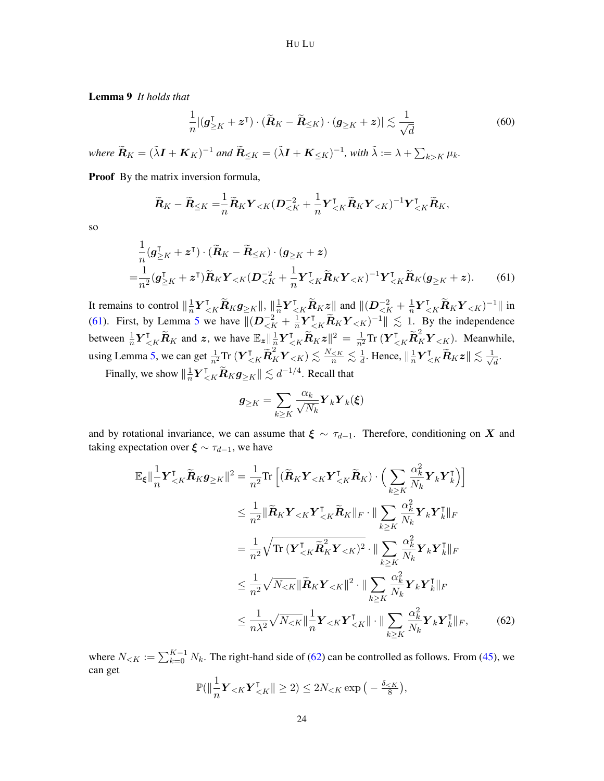Lemma 9 *It holds that*

$$
\frac{1}{n} |(\boldsymbol{g}_{\geq K}^{\mathsf{T}} + \boldsymbol{z}^{\mathsf{T}}) \cdot (\widetilde{\boldsymbol{R}}_K - \widetilde{\boldsymbol{R}}_{\leq K}) \cdot (\boldsymbol{g}_{\geq K} + \boldsymbol{z})| \lesssim \frac{1}{\sqrt{d}} \tag{60}
$$

where  $\widetilde{R}_K = (\tilde{\lambda}I + K_K)^{-1}$  and  $\widetilde{R}_{\leq K} = (\tilde{\lambda}I + K_{\leq K})^{-1}$ , with  $\tilde{\lambda} := \lambda + \sum_{k > K} \mu_k$ .

Proof By the matrix inversion formula,

$$
\widetilde{\boldsymbol{R}}_K - \widetilde{\boldsymbol{R}}_{\leq K} = \frac{1}{n} \widetilde{\boldsymbol{R}}_K \boldsymbol{Y}_{\leq K} (\boldsymbol{D}_{\leq K}^{-2} + \frac{1}{n} \boldsymbol{Y}_{\leq K}^\intercal \widetilde{\boldsymbol{R}}_K \boldsymbol{Y}_{\leq K})^{-1} \boldsymbol{Y}_{\leq K}^\intercal \widetilde{\boldsymbol{R}}_K,
$$

so

$$
\frac{1}{n}(\boldsymbol{g}_{\geq K}^{\mathsf{T}} + \boldsymbol{z}^{\mathsf{T}}) \cdot (\widetilde{\boldsymbol{R}}_{K} - \widetilde{\boldsymbol{R}}_{\leq K}) \cdot (\boldsymbol{g}_{\geq K} + \boldsymbol{z}) \n= \frac{1}{n^{2}}(\boldsymbol{g}_{\geq K}^{\mathsf{T}} + \boldsymbol{z}^{\mathsf{T}}) \widetilde{\boldsymbol{R}}_{K} \boldsymbol{Y}_{\leq K} (\boldsymbol{D}_{\leq K}^{-2} + \frac{1}{n} \boldsymbol{Y}_{\leq K}^{\mathsf{T}} \widetilde{\boldsymbol{R}}_{K} \boldsymbol{Y}_{\leq K})^{-1} \boldsymbol{Y}_{\leq K}^{\mathsf{T}} \widetilde{\boldsymbol{R}}_{K} (\boldsymbol{g}_{\geq K} + \boldsymbol{z}).
$$
\n(61)

It remains to control  $\|\frac{1}{n}\|$  $\frac{1}{n} \boldsymbol{Y}_{\leq K}^\intercal \widetilde{\boldsymbol{R}}_K \boldsymbol{g}_{\geq K} \|, \| \frac{1}{n}$  $\frac{1}{n} Y^{\mathsf{T}}_{\leq K} \widetilde{R}_K z \parallel$  and  $\parallel (D^{-2}_{\leq K} + \frac{1}{n})$  $\frac{1}{n} \boldsymbol{Y}_{\leq K}^{\intercal} \widetilde{\boldsymbol{R}}_K \boldsymbol{Y}_{\leq K})^{-1} \|\$  in [\(61\)](#page-23-0). First, by Lemma [5](#page-20-7) we have  $\|(D^{-2}_{\leq K} + \frac{1}{n}\)$  $\frac{1}{n} \mathbf{Y}_{\leq K}^{\mathsf{T}} \widetilde{\mathbf{R}}_{K} \mathbf{Y}_{\leq K}$   $^{-1}$   $\leq$  1. By the independence between  $\frac{1}{n} \boldsymbol{Y}_{\leq K}^{\mathsf{T}} \widetilde{\boldsymbol{R}}_K$  and  $\boldsymbol{z}$ , we have  $\mathbb{E}_{\boldsymbol{z}} || \frac{1}{n}$  $\frac{1}{n} \mathbf{Y}_{\leq K}^{\mathsf{T}} \widetilde{\mathbf{R}}_K \mathbf{z} \|^2 = \frac{1}{n^2} \text{Tr} \left( \mathbf{Y}_{\leq K}^{\mathsf{T}} \widetilde{\mathbf{R}}_K^2 \mathbf{Y}_{\leq K} \right)$ . Meanwhile, using Lemma [5,](#page-20-7) we can get  $\frac{1}{n^2} \text{Tr} (\boldsymbol{Y}_{\leq K}^\intercal \tilde{\boldsymbol{R}}_K^2 \boldsymbol{Y}_{\leq K}) \lesssim \frac{N_{\leq K}}{n} \lesssim \frac{1}{d}$  $\frac{1}{d}$ . Hence,  $\|\frac{1}{n}\$  $\frac{1}{n} \boldsymbol{Y}_{< K}^\intercal \widetilde{\boldsymbol{R}}_K \boldsymbol{z} \| \lesssim \frac{1}{\sqrt{\delta}}$  $\overline{\overline{d}}$ .

Finally, we show  $\left\| \frac{1}{n} \right\|$  $\frac{1}{n} \boldsymbol{Y}_{\leq K}^{\intercal} \widetilde{\boldsymbol{R}}_K \boldsymbol{g}_{\geq K} \| \lesssim d^{-1/4}$ . Recall that

<span id="page-23-0"></span>
$$
\pmb{g}_{\geq K} = \sum_{k\geq K} \frac{\alpha_k}{\sqrt{N_k}} \pmb{Y}_k \pmb{Y}_k(\pmb{\xi})
$$

and by rotational invariance, we can assume that  $\xi \sim \tau_{d-1}$ . Therefore, conditioning on X and taking expectation over  $\xi \sim \tau_{d-1}$ , we have

$$
\mathbb{E}_{\xi} \|\frac{1}{n} \mathbf{Y}_{\leq K}^{\mathsf{T}} \tilde{\mathbf{R}}_{K} \mathbf{g}_{\geq K} \|^{2} = \frac{1}{n^{2}} \text{Tr} \left[ (\tilde{\mathbf{R}}_{K} \mathbf{Y}_{\leq K} \mathbf{Y}_{\leq K}^{\mathsf{T}} \tilde{\mathbf{R}}_{K}) \cdot \left( \sum_{k \geq K} \frac{\alpha_{k}^{2}}{N_{k}} \mathbf{Y}_{k} \mathbf{Y}_{k}^{\mathsf{T}} \right) \right]
$$
\n
$$
\leq \frac{1}{n^{2}} \|\tilde{\mathbf{R}}_{K} \mathbf{Y}_{\leq K} \mathbf{Y}_{\leq K}^{\mathsf{T}} \tilde{\mathbf{R}}_{K} \|_{F} \cdot \|\sum_{k \geq K} \frac{\alpha_{k}^{2}}{N_{k}} \mathbf{Y}_{k} \mathbf{Y}_{k}^{\mathsf{T}} \|_{F}
$$
\n
$$
= \frac{1}{n^{2}} \sqrt{\text{Tr} (\mathbf{Y}_{\leq K}^{\mathsf{T}} \tilde{\mathbf{R}}_{K}^2 \mathbf{Y}_{\leq K})^{2}} \cdot \|\sum_{k \geq K} \frac{\alpha_{k}^{2}}{N_{k}} \mathbf{Y}_{k} \mathbf{Y}_{k}^{\mathsf{T}} \|_{F}
$$
\n
$$
\leq \frac{1}{n^{2}} \sqrt{N_{\leq K}} \|\tilde{\mathbf{R}}_{K} \mathbf{Y}_{\leq K} \|^{2} \cdot \|\sum_{k \geq K} \frac{\alpha_{k}^{2}}{N_{k}} \mathbf{Y}_{k} \mathbf{Y}_{k}^{\mathsf{T}} \|_{F}
$$
\n
$$
\leq \frac{1}{n\lambda^{2}} \sqrt{N_{\leq K}} \|\frac{1}{n} \mathbf{Y}_{\leq K} \mathbf{Y}_{\leq K}^{\mathsf{T}} \| \cdot \|\sum_{k \geq K} \frac{\alpha_{k}^{2}}{N_{k}} \mathbf{Y}_{k} \mathbf{Y}_{k}^{\mathsf{T}} \|_{F}, \qquad (62)
$$

where  $N_{\leq K} := \sum_{k=0}^{K-1} N_k$ . The right-hand side of [\(62\)](#page-23-1) can be controlled as follows. From [\(45\)](#page-18-1), we can get

<span id="page-23-1"></span>
$$
\mathbb{P}(\|\frac{1}{n}\boldsymbol{Y}_{
$$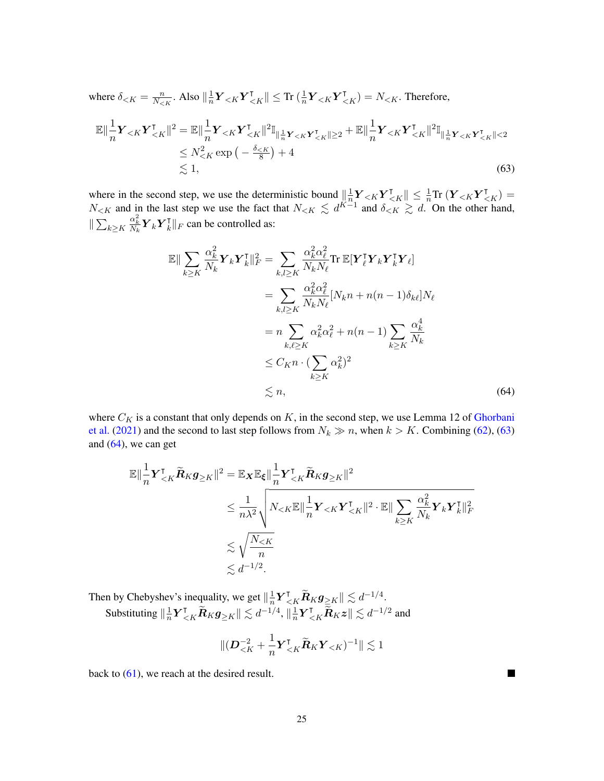where 
$$
\delta_{\leq K} = \frac{n}{N_{\leq K}}
$$
. Also  $\|\frac{1}{n} \mathbf{Y}_{\leq K} \mathbf{Y}_{\leq K}^{\mathsf{T}}\| \leq \text{Tr} \left(\frac{1}{n} \mathbf{Y}_{\leq K} \mathbf{Y}_{\leq K}^{\mathsf{T}}\right) = N_{\leq K}$ . Therefore,  
\n
$$
\mathbb{E} \|\frac{1}{n} \mathbf{Y}_{\leq K} \mathbf{Y}_{\leq K}^{\mathsf{T}}\|^2 = \mathbb{E} \|\frac{1}{n} \mathbf{Y}_{\leq K} \mathbf{Y}_{\leq K}^{\mathsf{T}}\|^2 \mathbb{I}_{\|\frac{1}{n}\mathbf{Y}_{\leq K} \mathbf{Y}_{\leq K}^{\mathsf{T}}\| \geq 2} + \mathbb{E} \|\frac{1}{n} \mathbf{Y}_{\leq K} \mathbf{Y}_{\leq K}^{\mathsf{T}}\|^2 \mathbb{I}_{\|\frac{1}{n}\mathbf{Y}_{\leq K} \mathbf{Y}_{\leq K}^{\mathsf{T}}\| \leq 2} \n\leq N_{\leq K}^2 \exp\left(-\frac{\delta_{\leq K}}{8}\right) + 4
$$
\n $\lesssim 1,$ \n(63)

where in the second step, we use the deterministic bound  $\|\frac{1}{n}\|$  $\frac{1}{n}\boldsymbol{Y}_{\leq K}\boldsymbol{Y}_{\leq K}^{\intercal} \|\leq \frac{1}{n} \text{Tr} \left(\boldsymbol{Y}_{\leq K}\boldsymbol{Y}_{\leq K}^{\intercal} \right) =$  $N_{\leq K}$  and in the last step we use the fact that  $N_{\leq K} \leq d^{K-1}$  and  $\delta_{\leq K} \geq d$ . On the other hand,  $\| \sum_{k \geq K}$  $\frac{\alpha_k^2}{N_k} \boldsymbol{Y}_k \boldsymbol{Y}_k^\intercal$ k k<sup>F</sup> can be controlled as:

<span id="page-24-0"></span>
$$
\mathbb{E}\|\sum_{k\geq K} \frac{\alpha_k^2}{N_k} \mathbf{Y}_k \mathbf{Y}_k^{\mathsf{T}}\|_F^2 = \sum_{k,l\geq K} \frac{\alpha_k^2 \alpha_\ell^2}{N_k N_\ell} \text{Tr } \mathbb{E}[\mathbf{Y}_\ell^{\mathsf{T}} \mathbf{Y}_k \mathbf{Y}_k^{\mathsf{T}} \mathbf{Y}_\ell]
$$
  
\n
$$
= \sum_{k,l\geq K} \frac{\alpha_k^2 \alpha_\ell^2}{N_k N_\ell} [N_k n + n(n-1) \delta_{k\ell}] N_\ell
$$
  
\n
$$
= n \sum_{k,\ell\geq K} \alpha_k^2 \alpha_\ell^2 + n(n-1) \sum_{k\geq K} \frac{\alpha_k^4}{N_k}
$$
  
\n
$$
\leq C_{K} n \cdot (\sum_{k\geq K} \alpha_k^2)^2
$$
  
\n
$$
\leq n, \tag{64}
$$

where  $C_K$  is a constant that only depends on  $K$ , in the second step, we use Lemma 12 of [Ghorbani](#page-12-5) [et al.](#page-12-5) [\(2021\)](#page-12-5) and the second to last step follows from  $N_k \gg n$ , when  $k > K$ . Combining [\(62\)](#page-23-1), [\(63\)](#page-24-0) and  $(64)$ , we can get

$$
\mathbb{E}\|\frac{1}{n}\mathbf{Y}_{\leq K}^{\mathsf{T}}\widetilde{\mathbf{R}}_{K}\mathbf{g}_{\geq K}\|^{2} = \mathbb{E}_{\mathbf{X}}\mathbb{E}_{\xi}\|\frac{1}{n}\mathbf{Y}_{\leq K}^{\mathsf{T}}\widetilde{\mathbf{R}}_{K}\mathbf{g}_{\geq K}\|^{2}
$$
  

$$
\leq \frac{1}{n\lambda^{2}}\sqrt{N_{\leq K}\mathbb{E}\|\frac{1}{n}\mathbf{Y}_{\leq K}\mathbf{Y}_{\leq K}^{\mathsf{T}}\|^{2}\cdot\mathbb{E}\|\sum_{k\geq K}\frac{\alpha_{k}^{2}}{N_{k}}\mathbf{Y}_{k}\mathbf{Y}_{k}^{\mathsf{T}}\|_{F}^{2}}
$$
  

$$
\lesssim \sqrt{\frac{N_{\leq K}}{n}}
$$
  

$$
\lesssim d^{-1/2}.
$$

Then by Chebyshev's inequality, we get  $\left\| \frac{1}{n} \right\|$  $\frac{1}{n} \boldsymbol{Y}_{< K}^\intercal \widetilde{\boldsymbol{R}}_K \boldsymbol{g}_{\geqq K} \| \lesssim d^{-1/4}.$ Substituting  $\|\frac{1}{n}\$  $\frac{1}{n} \boldsymbol{Y}_{< K}^\intercal \widetilde{\boldsymbol{R}}_K \boldsymbol{g}_{\geq K} \| \lesssim d^{-1/4}, \| \frac{1}{n}$  $\frac{1}{n} \boldsymbol{Y}_{\leq K}^{\intercal} \widetilde{\tilde{\boldsymbol{R}}}_K \boldsymbol{z} \| \lesssim d^{-1/2}$  and

$$
\|(\boldsymbol{D}_{\leq K}^{-2}+\frac{1}{n}\boldsymbol{Y}_{\leq K}^{\intercal}\widetilde{\boldsymbol{R}}_{K}\boldsymbol{Y}_{\leq K})^{-1}\|\lesssim 1
$$

back to  $(61)$ , we reach at the desired result.

<span id="page-24-1"></span> $\blacksquare$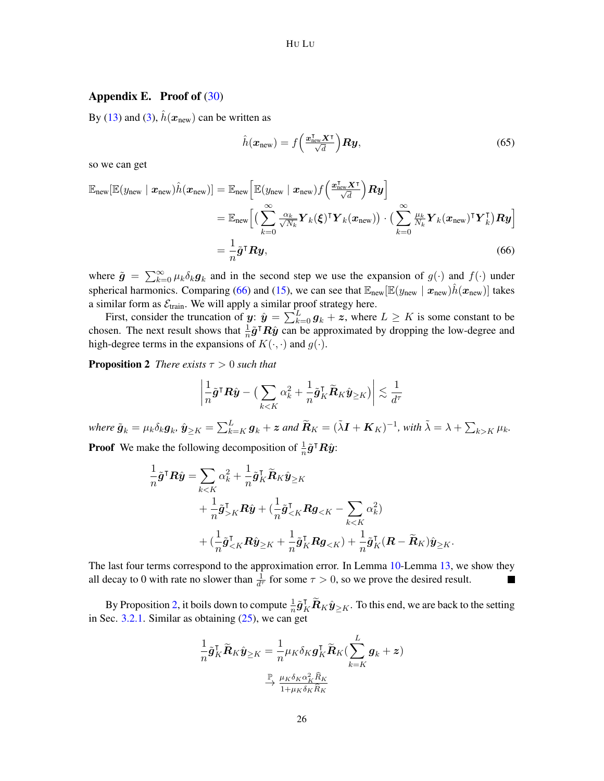## <span id="page-25-0"></span>Appendix E. Proof of  $(30)$

By [\(13\)](#page-8-3) and [\(3\)](#page-2-2),  $\hat{h}(\mathbf{x}_{new})$  can be written as

<span id="page-25-1"></span>
$$
\hat{h}(\boldsymbol{x}_{\text{new}}) = f\left(\frac{\boldsymbol{x}_{\text{new}}^{\text{T}} \boldsymbol{X}^{\text{T}}}{\sqrt{d}}\right) \boldsymbol{R} \boldsymbol{y},\tag{65}
$$

so we can get

$$
\mathbb{E}_{\text{new}}[\mathbb{E}(y_{\text{new}} \mid \mathbf{x}_{\text{new}})\hat{h}(\mathbf{x}_{\text{new}})] = \mathbb{E}_{\text{new}}\Big[\mathbb{E}(y_{\text{new}} \mid \mathbf{x}_{\text{new}})f\Big(\frac{\mathbf{x}_{\text{new}}^{\mathsf{T}}\mathbf{X}^{\mathsf{T}}}{\sqrt{d}}\Big)\mathbf{R}\mathbf{y}\Big] \n= \mathbb{E}_{\text{new}}\Big[\Big(\sum_{k=0}^{\infty} \frac{\alpha_k}{\sqrt{N_k}} \mathbf{Y}_k(\boldsymbol{\xi})^{\mathsf{T}} \mathbf{Y}_k(\mathbf{x}_{\text{new}})\Big) \cdot \Big(\sum_{k=0}^{\infty} \frac{\mu_k}{N_k} \mathbf{Y}_k(\mathbf{x}_{\text{new}})^{\mathsf{T}} \mathbf{Y}_k^{\mathsf{T}}\Big)\mathbf{R}\mathbf{y}\Big] \n= \frac{1}{n} \tilde{\mathbf{g}}^{\mathsf{T}} \mathbf{R}\mathbf{y},
$$
\n(66)

where  $\tilde{g} = \sum_{k=0}^{\infty} \mu_k \delta_k g_k$  and in the second step we use the expansion of  $g(\cdot)$  and  $f(\cdot)$  under spherical harmonics. Comparing [\(66\)](#page-25-1) and [\(15\)](#page-8-4), we can see that  $\mathbb{E}_{\text{new}}[\mathbb{E}(y_{\text{new}} | \mathbf{x}_{\text{new}})h(\mathbf{x}_{\text{new}})]$  takes a similar form as  $\mathcal{E}_{\text{train}}$ . We will apply a similar proof strategy here.

First, consider the truncation of  $y: \hat{y} = \sum_{k=0}^{L} g_k + z$ , where  $L \ge K$  is some constant to be chosen. The next result shows that  $\frac{1}{n}\tilde{g}^{\mathsf{T}}R\hat{y}$  can be approximated by dropping the low-degree and high-degree terms in the expansions of  $K(\cdot, \cdot)$  and  $g(\cdot)$ .

**Proposition 2** *There exists*  $\tau > 0$  *such that* 

<span id="page-25-2"></span>
$$
\left|\frac{1}{n}\tilde{\boldsymbol{g}}^{\intercal}\boldsymbol{R}\hat{\boldsymbol{y}} - \big(\sum_{k < K} \alpha_k^2 + \frac{1}{n}\tilde{\boldsymbol{g}}_K^{\intercal}\tilde{\boldsymbol{R}}_K\hat{\boldsymbol{y}}_{\geq K}\big)\right| \lesssim \frac{1}{d^{\tau}}
$$

 $\hat{\bm{g}}_k = \mu_k \delta_k \bm{g}_k$ ,  $\hat{\bm{y}}_{\geq K} = \sum_{k=K}^L \bm{g}_k + \bm{z}$  and  $\widetilde{\bm{R}}_K = (\tilde{\lambda}\bm{I} + \bm{K}_K)^{-1}$ , with  $\tilde{\lambda} = \lambda + \sum_{k>K} \mu_k$ .

**Proof** We make the following decomposition of  $\frac{1}{n}\tilde{g}^{\mathsf{T}}R\hat{y}$ :

$$
\begin{split} \frac{1}{n}\tilde{\boldsymbol{g}}^{\intercal}\boldsymbol{R}\hat{\boldsymbol{y}}&=\sum_{kK}^{\intercal}\boldsymbol{R}\hat{\boldsymbol{y}}+(\frac{1}{n}\tilde{\boldsymbol{g}}_{
$$

The last four terms correspond to the approximation error. In Lemma [10-](#page-28-0)Lemma [13,](#page-33-0) we show they all decay to 0 with rate no slower than  $\frac{1}{d^{\tau}}$  for some  $\tau > 0$ , so we prove the desired result. П

By Proposition [2,](#page-25-2) it boils down to compute  $\frac{1}{n}\tilde{\mathbf{g}}_K^{\mathsf{T}}\tilde{\mathbf{R}}_K\hat{\mathbf{y}}_{\geq K}$ . To this end, we are back to the setting in Sec. [3.2.1.](#page-8-1) Similar as obtaining  $(25)$ , we can get

$$
\frac{1}{n}\tilde{\mathbf{g}}_K^{\mathsf{T}}\tilde{\mathbf{R}}_K\hat{\mathbf{y}}_{\geq K} = \frac{1}{n}\mu_K \delta_K \mathbf{g}_K^{\mathsf{T}}\tilde{\mathbf{R}}_K(\sum_{k=K}^L \mathbf{g}_k + \mathbf{z})
$$

$$
\xrightarrow{\mathbb{P}} \frac{\mu_K \delta_K \alpha_K^2 \hat{R}_K}{1 + \mu_K \delta_K \hat{R}_K}
$$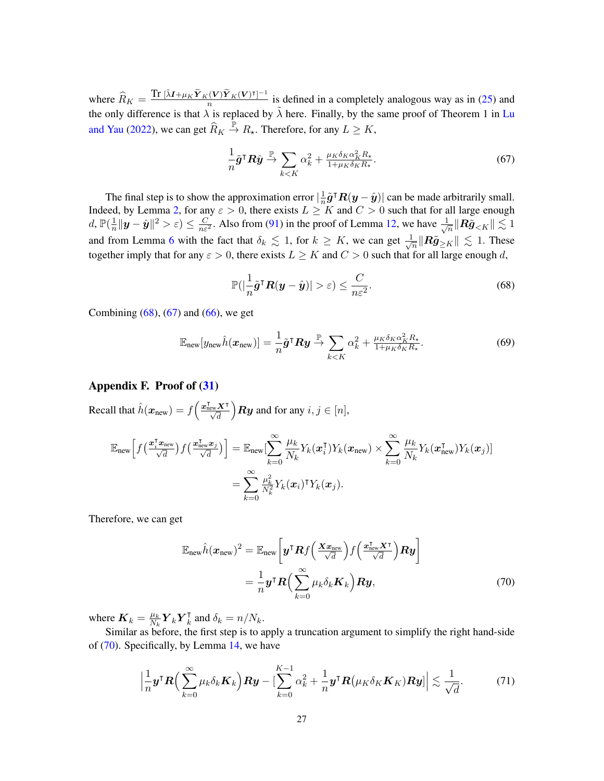where  $\widehat{R}_K = \frac{\text{Tr } [\tilde{\lambda}I + \mu_K \tilde{Y}_K(V)\tilde{Y}_K(V)^{\dagger}]^{-1}}{n}$  $\frac{n(N+1)(N+1)}{n}$  is defined in a completely analogous way as in [\(25\)](#page-10-3) and the only difference is that  $\lambda$  is replaced by  $\tilde{\lambda}$  here. Finally, by the same proof of Theorem 1 in [Lu](#page-13-13) [and Yau](#page-13-13) [\(2022\)](#page-13-13), we can get  $\widehat{R}_K \stackrel{\mathbb{P}}{\rightarrow} R_{\star}$ . Therefore, for any  $L \geq K$ ,

<span id="page-26-2"></span>
$$
\frac{1}{n}\tilde{\boldsymbol{g}}^{\mathsf{T}}\boldsymbol{R}\hat{\boldsymbol{y}} \stackrel{\mathbb{P}}{\to} \sum_{k < K} \alpha_k^2 + \frac{\mu_K \delta_K \alpha_K^2 R_\star}{1 + \mu_K \delta_K R_\star}.\tag{67}
$$

The final step is to show the approximation error  $\frac{1}{n}$  $\frac{1}{n}\tilde{g}^{\mathsf{T}}R(y - \hat{y})$  can be made arbitrarily small. Indeed, by Lemma [2,](#page-17-0) for any  $\varepsilon > 0$ , there exists  $L \geq K$  and  $C > 0$  such that for all large enough d,  $\mathbb{P}(\frac{1}{n})$  $\frac{1}{n}||y - \hat{y}||^2 > \varepsilon$   $\leq \frac{C}{n\varepsilon^2}$ . Also from [\(91\)](#page-30-0) in the proof of Lemma [12,](#page-29-0) we have  $\frac{1}{\sqrt{2}}$  $\frac{1}{\sqrt{n}}\|\boldsymbol{R}\tilde{\boldsymbol{g}}_{$ and from Lemma [6](#page-21-1) with the fact that  $\delta_k \lesssim 1$ , for  $k \geq K$ , we can get  $\frac{1}{\sqrt{2}}$  $\frac{1}{n}$   $\|\mathbf{R}\tilde{\mathbf{g}}_{\geq K}\| \lesssim 1$ . These together imply that for any  $\varepsilon > 0$ , there exists  $L \geq K$  and  $C > 0$  such that for all large enough d,

<span id="page-26-1"></span>
$$
\mathbb{P}(|\frac{1}{n}\tilde{g}^{\mathsf{T}}\boldsymbol{R}(\boldsymbol{y}-\hat{\boldsymbol{y}})|>\varepsilon)\leq \frac{C}{n\varepsilon^2}.
$$
\n(68)

Combining  $(68)$ ,  $(67)$  and  $(66)$ , we get

$$
\mathbb{E}_{\text{new}}[y_{\text{new}}\hat{h}(\boldsymbol{x}_{\text{new}})] = \frac{1}{n}\tilde{\boldsymbol{g}}^{\mathsf{T}}\boldsymbol{R}\boldsymbol{y} \stackrel{\mathbb{P}}{\rightarrow} \sum_{k < K} \alpha_k^2 + \frac{\mu_K \delta_K \alpha_K^2 R_\star}{1 + \mu_K \delta_K R_\star}.\tag{69}
$$

# <span id="page-26-0"></span>Appendix F. Proof of [\(31\)](#page-11-2)

Recall that  $\hat{h}(\boldsymbol{x}_{\text{new}}) = f\left(\frac{\boldsymbol{x}_{\text{new}}^{\text{T}}\boldsymbol{X}^{\text{T}}}{\sqrt{d}}\right)$  $\bigg\}$  Ry and for any  $i, j \in [n],$ 

$$
\mathbb{E}_{\text{new}}\Big[f\big(\frac{\boldsymbol{x}_i^{\text{T}}\boldsymbol{x}_{\text{new}}}{\sqrt{d}}\big)f\big(\frac{\boldsymbol{x}_{\text{new}}^{\text{T}}\boldsymbol{x}_j}{\sqrt{d}}\big)\Big] = \mathbb{E}_{\text{new}}\big[\sum_{k=0}^{\infty}\frac{\mu_k}{N_k}Y_k(\boldsymbol{x}_i^{\text{T}})Y_k(\boldsymbol{x}_{\text{new}}) \times \sum_{k=0}^{\infty}\frac{\mu_k}{N_k}Y_k(\boldsymbol{x}_{\text{new}}^{\text{T}})Y_k(\boldsymbol{x}_j)\big] \n= \sum_{k=0}^{\infty}\frac{\mu_k^2}{N_k^2}Y_k(\boldsymbol{x}_i)^{\text{T}}Y_k(\boldsymbol{x}_j).
$$

Therefore, we can get

<span id="page-26-3"></span>
$$
\mathbb{E}_{\text{new}}\hat{h}(\boldsymbol{x}_{\text{new}})^{2} = \mathbb{E}_{\text{new}}\left[\boldsymbol{y}^{\mathsf{T}}\boldsymbol{R}f\left(\frac{\boldsymbol{x}\boldsymbol{x}_{\text{new}}}{\sqrt{d}}\right)f\left(\frac{\boldsymbol{x}_{\text{new}}^{\mathsf{T}}\boldsymbol{X}^{\mathsf{T}}}{\sqrt{d}}\right)\boldsymbol{R}\boldsymbol{y}\right] \n= \frac{1}{n}\boldsymbol{y}^{\mathsf{T}}\boldsymbol{R}\left(\sum_{k=0}^{\infty}\mu_{k}\delta_{k}\boldsymbol{K}_{k}\right)\boldsymbol{R}\boldsymbol{y},
$$
\n(70)

where  $\mathbf{K}_k = \frac{\mu_k}{N_k}$  $\frac{\mu_k}{N_k}\bm{Y}_k\bm{Y}_k^{\intercal}$  $\overline{k}$  and  $\delta_k = n/N_k$ .

Similar as before, the first step is to apply a truncation argument to simplify the right hand-side of [\(70\)](#page-26-3). Specifically, by Lemma [14,](#page-33-1) we have

<span id="page-26-4"></span>
$$
\left|\frac{1}{n}\boldsymbol{y}^{\mathsf{T}}\boldsymbol{R}\Big(\sum_{k=0}^{\infty}\mu_{k}\delta_{k}\boldsymbol{K}_{k}\Big)\boldsymbol{R}\boldsymbol{y}-\big[\sum_{k=0}^{K-1}\alpha_{k}^{2}+\frac{1}{n}\boldsymbol{y}^{\mathsf{T}}\boldsymbol{R}\big(\mu_{K}\delta_{K}\boldsymbol{K}_{K}\big)\boldsymbol{R}\boldsymbol{y}\big]\right|\lesssim\frac{1}{\sqrt{d}}.\tag{71}
$$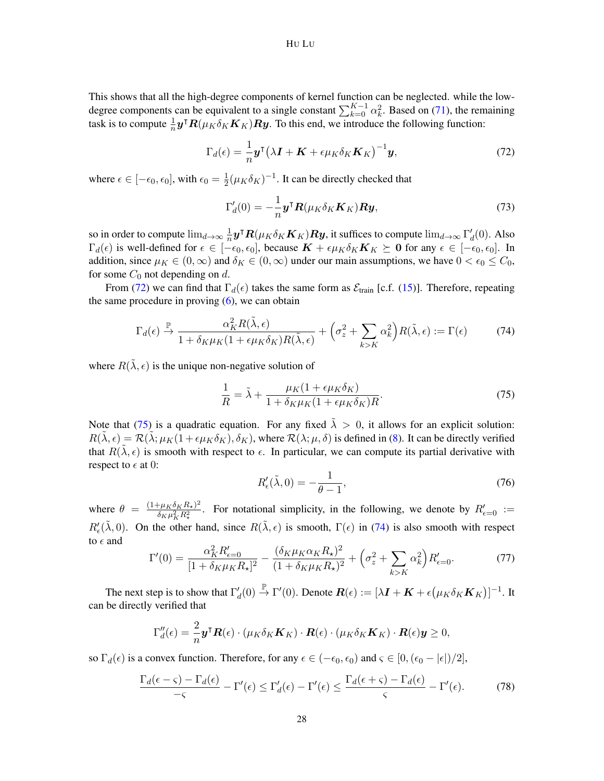This shows that all the high-degree components of kernel function can be neglected. while the lowdegree components can be equivalent to a single constant  $\sum_{k=0}^{K-1} \alpha_k^2$ . Based on [\(71\)](#page-26-4), the remaining task is to compute  $\frac{1}{n}$   $\mathbf{y}^{\mathsf{T}} \mathbf{R}(\mu_K \delta_K \mathbf{K}_K) \mathbf{R} \mathbf{y}$ . To this end, we introduce the following function:

<span id="page-27-0"></span>
$$
\Gamma_d(\epsilon) = \frac{1}{n} \mathbf{y}^\mathsf{T} \left( \lambda \mathbf{I} + \mathbf{K} + \epsilon \mu_K \delta_K \mathbf{K}_K \right)^{-1} \mathbf{y},\tag{72}
$$

where  $\epsilon \in [-\epsilon_0, \epsilon_0]$ , with  $\epsilon_0 = \frac{1}{2}$  $\frac{1}{2}(\mu_K \delta_K)^{-1}$ . It can be directly checked that

<span id="page-27-4"></span>
$$
\Gamma_d'(0) = -\frac{1}{n} \mathbf{y}^\mathsf{T} \mathbf{R}(\mu_K \delta_K \mathbf{K}_K) \mathbf{R} \mathbf{y},\tag{73}
$$

so in order to compute  $\lim_{d\to\infty}\frac{1}{n}$  $\frac{1}{n}$ **y**<sup>T</sup> $\bm{R}(\mu_K \delta_K \bm{K}_K) \bm{R}$ **y**, it suffices to compute  $\lim_{d\to\infty} \Gamma_d'(0)$ . Also  $\Gamma_d(\epsilon)$  is well-defined for  $\epsilon \in [-\epsilon_0, \epsilon_0]$ , because  $\mathbf{K} + \epsilon \mu_K \delta_K \mathbf{K}_K \succeq \mathbf{0}$  for any  $\epsilon \in [-\epsilon_0, \epsilon_0]$ . In addition, since  $\mu_K \in (0,\infty)$  and  $\delta_K \in (0,\infty)$  under our main assumptions, we have  $0 < \epsilon_0 \le C_0$ , for some  $C_0$  not depending on d.

From [\(72\)](#page-27-0) we can find that  $\Gamma_d(\epsilon)$  takes the same form as  $\mathcal{E}_{\text{train}}$  [c.f. [\(15\)](#page-8-4)]. Therefore, repeating the same procedure in proving  $(6)$ , we can obtain

<span id="page-27-2"></span>
$$
\Gamma_d(\epsilon) \xrightarrow{\mathbb{P}} \frac{\alpha_K^2 R(\tilde{\lambda}, \epsilon)}{1 + \delta_K \mu_K (1 + \epsilon \mu_K \delta_K) R(\tilde{\lambda}, \epsilon)} + \left(\sigma_z^2 + \sum_{k > K} \alpha_k^2\right) R(\tilde{\lambda}, \epsilon) := \Gamma(\epsilon) \tag{74}
$$

where  $R(\tilde{\lambda}, \epsilon)$  is the unique non-negative solution of

<span id="page-27-1"></span>
$$
\frac{1}{R} = \tilde{\lambda} + \frac{\mu_K (1 + \epsilon \mu_K \delta_K)}{1 + \delta_K \mu_K (1 + \epsilon \mu_K \delta_K) R}.
$$
\n(75)

Note that [\(75\)](#page-27-1) is a quadratic equation. For any fixed  $\tilde{\lambda} > 0$ , it allows for an explicit solution:  $R(\lambda, \epsilon) = \mathcal{R}(\lambda; \mu_K(1 + \epsilon \mu_K \delta_K), \delta_K)$ , where  $\mathcal{R}(\lambda; \mu, \delta)$  is defined in [\(8\)](#page-5-3). It can be directly verified that  $R(\tilde{\lambda}, \epsilon)$  is smooth with respect to  $\epsilon$ . In particular, we can compute its partial derivative with respect to  $\epsilon$  at 0:

<span id="page-27-6"></span>
$$
R'_{\epsilon}(\tilde{\lambda},0) = -\frac{1}{\theta - 1},\tag{76}
$$

where  $\theta = \frac{(1 + \mu_K \delta_K R_\star)^2}{\delta_{\text{true}}^2 R^2}$  $\frac{f^2 \mu_K \delta_K R_\star^2}{\delta_K \mu_K^2 R_\star^2}$ . For notational simplicity, in the following, we denote by  $R_{\epsilon=0}$  :=  $R'_\epsilon(\tilde{\lambda}, 0)$ . On the other hand, since  $R(\tilde{\lambda}, \epsilon)$  is smooth,  $\Gamma(\epsilon)$  in [\(74\)](#page-27-2) is also smooth with respect to  $\epsilon$  and

<span id="page-27-5"></span>
$$
\Gamma'(0) = \frac{\alpha_K^2 R_{\epsilon=0}'}{[1 + \delta_K \mu_K R_{\star}]^2} - \frac{(\delta_K \mu_K \alpha_K R_{\star})^2}{(1 + \delta_K \mu_K R_{\star})^2} + \left(\sigma_z^2 + \sum_{k > K} \alpha_k^2\right) R_{\epsilon=0}'.
$$
 (77)

The next step is to show that  $\Gamma_d'(0) \stackrel{\mathbb{P}}{\to} \Gamma'(0)$ . Denote  $\mathbf{R}(\epsilon) := [\lambda \mathbf{I} + \mathbf{K} + \epsilon (\mu_K \delta_K \mathbf{K}_K)]^{-1}$ . It can be directly verified that

$$
\Gamma''_d(\epsilon) = \frac{2}{n} \mathbf{y}^\mathsf{T} \mathbf{R}(\epsilon) \cdot (\mu_K \delta_K \mathbf{K}_K) \cdot \mathbf{R}(\epsilon) \cdot (\mu_K \delta_K \mathbf{K}_K) \cdot \mathbf{R}(\epsilon) \mathbf{y} \ge 0,
$$

so  $\Gamma_d(\epsilon)$  is a convex function. Therefore, for any  $\epsilon \in (-\epsilon_0, \epsilon_0)$  and  $\zeta \in [0, (\epsilon_0 - |\epsilon|)/2]$ ,

<span id="page-27-3"></span>
$$
\frac{\Gamma_d(\epsilon - \varsigma) - \Gamma_d(\epsilon)}{-\varsigma} - \Gamma'(\epsilon) \le \Gamma'_d(\epsilon) - \Gamma'(\epsilon) \le \frac{\Gamma_d(\epsilon + \varsigma) - \Gamma_d(\epsilon)}{\varsigma} - \Gamma'(\epsilon). \tag{78}
$$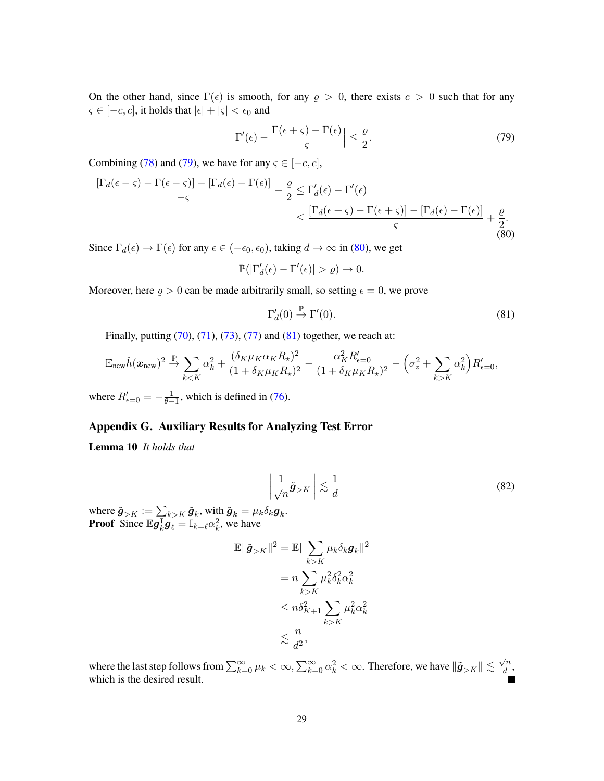On the other hand, since  $\Gamma(\epsilon)$  is smooth, for any  $\rho > 0$ , there exists  $c > 0$  such that for any  $\varsigma \in [-c, c]$ , it holds that  $|\epsilon| + |\varsigma| < \epsilon_0$  and

<span id="page-28-1"></span>
$$
\left|\Gamma'(\epsilon) - \frac{\Gamma(\epsilon + \varsigma) - \Gamma(\epsilon)}{\varsigma}\right| \le \frac{\varrho}{2}.\tag{79}
$$

Combining [\(78\)](#page-27-3) and [\(79\)](#page-28-1), we have for any  $\varsigma \in [-c, c]$ ,

<span id="page-28-2"></span>
$$
\frac{\left[\Gamma_d(\epsilon-\varsigma)-\Gamma(\epsilon-\varsigma)\right]-\left[\Gamma_d(\epsilon)-\Gamma(\epsilon)\right]}{-\varsigma} - \frac{\varrho}{2} \leq \Gamma'_d(\epsilon)-\Gamma'(\epsilon)
$$
\n
$$
\leq \frac{\left[\Gamma_d(\epsilon+\varsigma)-\Gamma(\epsilon+\varsigma)\right]-\left[\Gamma_d(\epsilon)-\Gamma(\epsilon)\right]}{\varsigma} + \frac{\varrho}{2}.
$$
\n(80)

Since  $\Gamma_d(\epsilon) \to \Gamma(\epsilon)$  for any  $\epsilon \in (-\epsilon_0, \epsilon_0)$ , taking  $d \to \infty$  in [\(80\)](#page-28-2), we get

$$
\mathbb{P}(|\Gamma'_d(\epsilon) - \Gamma'(\epsilon)| > \varrho) \to 0.
$$

Moreover, here  $\rho > 0$  can be made arbitrarily small, so setting  $\epsilon = 0$ , we prove

<span id="page-28-3"></span>
$$
\Gamma'_d(0) \stackrel{\mathbb{P}}{\to} \Gamma'(0). \tag{81}
$$

Finally, putting [\(70\)](#page-26-3), [\(71\)](#page-26-4), [\(73\)](#page-27-4), [\(77\)](#page-27-5) and [\(81\)](#page-28-3) together, we reach at:

$$
\mathbb{E}_{\text{new}}\hat{h}(\boldsymbol{x}_{\text{new}})^2 \xrightarrow{\mathbb{P}} \sum_{k < K} \alpha_k^2 + \frac{(\delta_K \mu_K \alpha_K R_\star)^2}{(1 + \delta_K \mu_K R_\star)^2} - \frac{\alpha_K^2 R_{\epsilon=0}'}{(1 + \delta_K \mu_K R_\star)^2} - \left(\sigma_z^2 + \sum_{k > K} \alpha_k^2\right) R_{\epsilon=0}',
$$

where  $R'_{\epsilon=0} = -\frac{1}{\theta-1}$ , which is defined in [\(76\)](#page-27-6).

## Appendix G. Auxiliary Results for Analyzing Test Error

<span id="page-28-0"></span>Lemma 10 *It holds that*

$$
\left\| \frac{1}{\sqrt{n}} \tilde{\mathbf{g}}_{>K} \right\| \lesssim \frac{1}{d} \tag{82}
$$

where  $\tilde{\boldsymbol{g}}_{>K} := \sum_{k>K} \tilde{\boldsymbol{g}}_k$ , with  $\tilde{\boldsymbol{g}}_k = \mu_k \delta_k \boldsymbol{g}_k$ . **Proof** Since  $\mathbb{E}g_k^{\dagger}$  $\overline{k}$ **g** $\overline{\mathbf{g}}_{\ell} = \mathbb{I}_{k=\ell} \alpha_k^2$ , we have

$$
\mathbb{E} \|\tilde{\mathbf{g}}_{>K}\|^2 = \mathbb{E} \|\sum_{k>K} \mu_k \delta_k \mathbf{g}_k\|^2
$$

$$
= n \sum_{k>K} \mu_k^2 \delta_k^2 \alpha_k^2
$$

$$
\leq n \delta_{K+1}^2 \sum_{k>K} \mu_k^2 \alpha_k^2
$$

$$
\leq \frac{n}{d^2},
$$

where the last step follows from  $\sum_{k=0}^{\infty} \mu_k < \infty$ ,  $\sum_{k=0}^{\infty} \alpha_k^2 < \infty$ . Therefore, we have  $\|\tilde{\bm{g}}_{>K}\| \lesssim \frac{\sqrt{n}}{d}$  $\frac{\sqrt{n}}{d}$ , which is the desired result.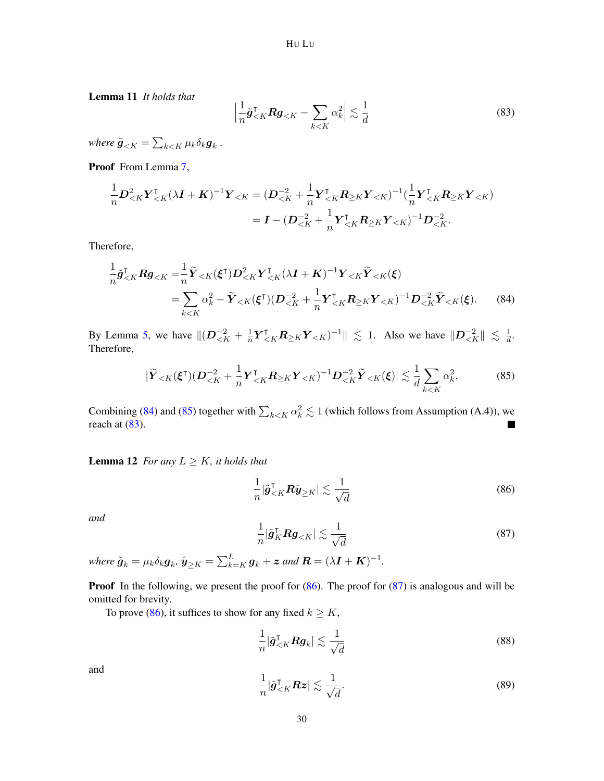Lemma 11 *It holds that*

<span id="page-29-3"></span>
$$
\left|\frac{1}{n}\tilde{\boldsymbol{g}}_{\leq K}^{\mathsf{T}}\boldsymbol{R}\boldsymbol{g}_{\leq K} - \sum_{k\leq K} \alpha_k^2\right| \lesssim \frac{1}{d} \tag{83}
$$

where  $\tilde{\boldsymbol{g}}_{< K} = \sum_{k < K} \mu_k \delta_k \boldsymbol{g}_k$  .

Proof From Lemma [7,](#page-21-2)

$$
\frac{1}{n}D_{\leq K}^{2}Y_{\leq K}^{\mathsf{T}}(\lambda \mathbf{I} + \mathbf{K})^{-1}Y_{\leq K} = (D_{\leq K}^{-2} + \frac{1}{n}Y_{\leq K}^{\mathsf{T}} \mathbf{R}_{\geq K}Y_{\leq K})^{-1}(\frac{1}{n}Y_{\leq K}^{\mathsf{T}} \mathbf{R}_{\geq K}Y_{\leq K})
$$
\n
$$
= \mathbf{I} - (D_{\leq K}^{-2} + \frac{1}{n}Y_{\leq K}^{\mathsf{T}} \mathbf{R}_{\geq K}Y_{\leq K})^{-1}D_{\leq K}^{-2}.
$$

Therefore,

$$
\frac{1}{n}\tilde{\mathbf{g}}_{\leq K}^{\mathsf{T}}\mathbf{R}\mathbf{g}_{\leq K} = \frac{1}{n}\tilde{\mathbf{Y}}_{\leq K}(\xi^{\mathsf{T}})\mathbf{D}_{\leq K}^{2}\mathbf{Y}_{\leq K}^{\mathsf{T}}(\lambda\mathbf{I} + \mathbf{K})^{-1}\mathbf{Y}_{\leq K}\tilde{\mathbf{Y}}_{\leq K}(\xi)
$$
\n
$$
= \sum_{k\leq K} \alpha_{k}^{2} - \tilde{\mathbf{Y}}_{\leq K}(\xi^{\mathsf{T}})(\mathbf{D}_{\leq K}^{-2} + \frac{1}{n}\mathbf{Y}_{\leq K}^{\mathsf{T}}\mathbf{R}_{\geq K}\mathbf{Y}_{\leq K})^{-1}\mathbf{D}_{\leq K}^{-2}\tilde{\mathbf{Y}}_{\leq K}(\xi). \tag{84}
$$

By Lemma [5,](#page-20-7) we have  $\|(D^{-2}_{\lt k} + \frac{1}{n}\)$  $\frac{1}{n} Y^{\dagger}_{\leq K} R_{\geq K} Y_{\leq K}$ )<sup>-1</sup>  $\|\leq 1$ . Also we have  $\|D^{-2}_{\leq K}\| \leq \frac{1}{d}$  $\frac{1}{d}$ . Therefore,

<span id="page-29-2"></span>
$$
|\widetilde{\boldsymbol{Y}}_{\leq K}(\boldsymbol{\xi}^{\mathsf{T}})(\boldsymbol{D}_{\leq K}^{-2} + \frac{1}{n}\boldsymbol{Y}_{\leq K}^{\mathsf{T}}\boldsymbol{R}_{\geq K}\boldsymbol{Y}_{\leq K})^{-1}\boldsymbol{D}_{\leq K}^{-2}\widetilde{\boldsymbol{Y}}_{\leq K}(\boldsymbol{\xi})| \lesssim \frac{1}{d} \sum_{k \leq K} \alpha_k^2.
$$
 (85)

Combining [\(84\)](#page-29-1) and [\(85\)](#page-29-2) together with  $\sum_{k \le K} \alpha_k^2 \lesssim 1$  (which follows from Assumption (A.4)), we reach at  $(83)$ .  $\blacksquare$ 

<span id="page-29-0"></span>**Lemma 12** *For any*  $L \geq K$ *, it holds that* 

<span id="page-29-4"></span><span id="page-29-1"></span>
$$
\frac{1}{n} |\tilde{g}^{\mathsf{T}}_{\leq K} \mathbf{R} \hat{y}_{\geq K}| \lesssim \frac{1}{\sqrt{d}} \tag{86}
$$

*and*

<span id="page-29-5"></span>
$$
\frac{1}{n} |\tilde{\boldsymbol{g}}_K^\mathsf{T} \boldsymbol{R} \boldsymbol{g}_{< K}| \lesssim \frac{1}{\sqrt{d}} \tag{87}
$$

where  $\tilde{\bm{g}}_k = \mu_k \delta_k \bm{g}_k$ ,  $\hat{\bm{y}}_{\geq K} = \sum_{k=K}^L \bm{g}_k + \bm{z}$  and  $\bm{R} = (\lambda \bm{I} + \bm{K})^{-1}$ .

**Proof** In the following, we present the proof for  $(86)$ . The proof for  $(87)$  is analogous and will be omitted for brevity.

To prove [\(86\)](#page-29-4), it suffices to show for any fixed  $k \geq K$ ,

<span id="page-29-7"></span>
$$
\frac{1}{n} |\tilde{\boldsymbol{g}}_{\leq K}^{\mathsf{T}} \boldsymbol{R} \boldsymbol{g}_k| \lesssim \frac{1}{\sqrt{d}} \tag{88}
$$

and

<span id="page-29-6"></span>
$$
\frac{1}{n} |\tilde{g}^{\mathsf{T}}_{\leq K} R z| \lesssim \frac{1}{\sqrt{d}}.
$$
\n(89)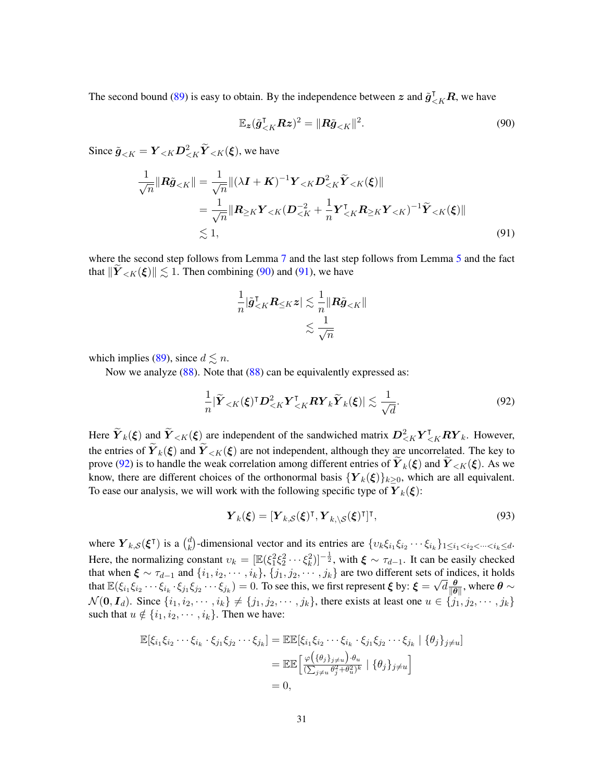The second bound [\(89\)](#page-29-6) is easy to obtain. By the independence between  $z$  and  $\tilde{g}_{\leq K}^{\dagger}R$ , we have

<span id="page-30-1"></span>
$$
\mathbb{E}_{\mathbf{z}}(\tilde{\mathbf{g}}_{\mathbf{<}K}^{\mathsf{T}} \mathbf{R} \mathbf{z})^2 = ||\mathbf{R}\tilde{\mathbf{g}}_{\mathbf{<}K}||^2.
$$
 (90)

Since  $\tilde{\boldsymbol{g}}_{, we have$ 

$$
\frac{1}{\sqrt{n}}\|\boldsymbol{R}\tilde{\boldsymbol{g}}_{\n
$$
= \frac{1}{\sqrt{n}}\|\boldsymbol{R}_{\geq K}\boldsymbol{Y}_{\n
$$
\lesssim 1,\tag{91}
$$
$$
$$

where the second step follows from Lemma [7](#page-21-2) and the last step follows from Lemma [5](#page-20-7) and the fact that  $||Y_{\leq K}(\xi)|| \lesssim 1$ . Then combining [\(90\)](#page-30-1) and [\(91\)](#page-30-0), we have

<span id="page-30-2"></span><span id="page-30-0"></span>
$$
\frac{1}{n} |\tilde{{\boldsymbol g}}^\intercal_{
$$

which implies [\(89\)](#page-29-6), since  $d \leq n$ .

Now we analyze [\(88\)](#page-29-7). Note that (88) can be equivalently expressed as:

$$
\frac{1}{n} |\tilde{Y}_{\leq K}(\xi)^{\mathsf{T}} D_{\leq K}^2 Y_{\leq K}^{\mathsf{T}} R Y_k \tilde{Y}_k(\xi) | \lesssim \frac{1}{\sqrt{d}}.
$$
\n(92)

Here  $\widetilde{Y}_k(\xi)$  and  $\widetilde{Y}_{\leq K}(\xi)$  are independent of the sandwiched matrix  $D_{\leq K}^2 Y_{\leq K}^{\intercal} R Y_k$ . However, the entries of  $Y_k(\xi)$  and  $Y_{\leq K}(\xi)$  are not independent, although they are uncorrelated. The key to prove [\(92\)](#page-30-2) is to handle the weak correlation among different entries of  $Y_k(\xi)$  and  $Y_{\leq K}(\xi)$ . As we know, there are different choices of the orthonormal basis  ${Y_k(\xi)}_{k\geq 0}$ , which are all equivalent. To ease our analysis, we will work with the following specific type of  $Y_k(\xi)$ :

<span id="page-30-3"></span>
$$
\boldsymbol{Y}_{k}(\boldsymbol{\xi}) = [\boldsymbol{Y}_{k,S}(\boldsymbol{\xi})^{\mathsf{T}}, \boldsymbol{Y}_{k,\backslash S}(\boldsymbol{\xi})^{\mathsf{T}}]^{\mathsf{T}},
$$
\n(93)

where  $Y_{k,\mathcal{S}}(\boldsymbol{\xi}^{\mathsf{T}})$  is a  $\binom{d}{k}$ <sup>d</sup><sub>k</sub>)-dimensional vector and its entries are  $\{v_k \xi_{i_1} \xi_{i_2} \cdots \xi_{i_k}\}_{1 \le i_1 < i_2 < \cdots < i_k \le d}$ . Here, the normalizing constant  $v_k = [\mathbb{E}(\xi_1^2 \xi_2^2 \cdots \xi_k^2)]^{-\frac{1}{2}}$ , with  $\xi \sim \tau_{d-1}$ . It can be easily checked that when  $\xi \sim \tau_{d-1}$  and  $\{i_1, i_2, \cdots, i_k\}$ ,  $\{j_1, j_2, \cdots, j_k\}$  are two different sets of indices, it holds that  $\mathbb{E}(\xi_{i_1}\xi_{i_2}\cdots\xi_{i_k}\cdot\xi_{j_1}\xi_{j_2}\cdots\xi_{j_k})=0.$  To see this, we first represent  $\xi$  by:  $\xi=$  $\overline{\text{O}}$  $\overline{d} \frac{\theta}{\overline{\mathsf{d}}\theta}$  $\frac{\theta}{\|\theta\|}$ , where  $\theta \sim$  $\mathcal{N}(\mathbf{0}, \mathbf{I}_d)$ . Since  $\{i_1, i_2, \cdots, i_k\} \neq \{j_1, j_2, \cdots, j_k\}$ , there exists at least one  $u \in \{j_1, j_2, \cdots, j_k\}$ such that  $u \notin \{i_1, i_2, \dots, i_k\}$ . Then we have:

$$
\mathbb{E}[\xi_{i_1}\xi_{i_2}\cdots\xi_{i_k}\cdot\xi_{j_1}\xi_{j_2}\cdots\xi_{j_k}] = \mathbb{E}\mathbb{E}[\xi_{i_1}\xi_{i_2}\cdots\xi_{i_k}\cdot\xi_{j_1}\xi_{j_2}\cdots\xi_{j_k} | \{\theta_j\}_{j\neq u}]
$$
  
\n
$$
= \mathbb{E}\mathbb{E}\left[\frac{\varphi(\{\theta_j\}_{j\neq u})\cdot\theta_u}{(\sum_{j\neq u}\theta_j^2+\theta_u^2)^k} | \{\theta_j\}_{j\neq u}\right]
$$
  
\n
$$
= 0,
$$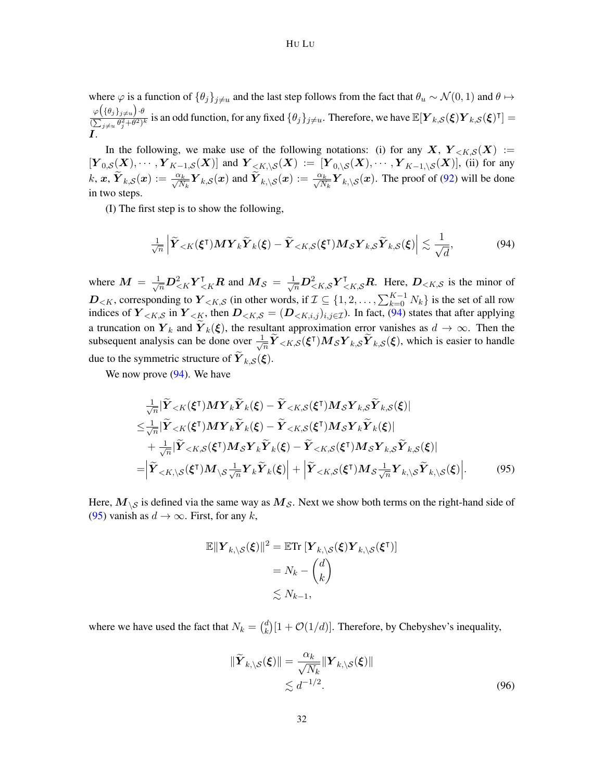#### HU LU

where  $\varphi$  is a function of  $\{\theta_i\}_{i\neq u}$  and the last step follows from the fact that  $\theta_u \sim \mathcal{N}(0, 1)$  and  $\theta \mapsto$  $\varphi\big(\{\theta_j\}_{j\neq u}\big).$ θ  $\frac{\varphi(\{\theta_j\}_{j\neq u})\cdot \theta}{(\sum_{j\neq u} \theta_j^2 + \theta^2)^k}$  is an odd function, for any fixed  $\{\theta_j\}_{j\neq u}$ . Therefore, we have  $\mathbb{E}[\mathbf{Y}_{k,S}(\boldsymbol{\xi})\mathbf{Y}_{k,S}(\boldsymbol{\xi})^\intercal] =$ I.

In the following, we make use of the following notations: (i) for any X,  $Y_{\leq K,S}(X) :=$  $[Y_{0,S}(X),\cdots,Y_{K-1,S}(X)]$  and  $Y_{\langle K,\backslash S}(X) := [Y_{0,\backslash S}(X),\cdots,Y_{K-1,\backslash S}(X)]$ , (ii) for any  $k, \mathbf{x}, \widetilde{\boldsymbol{Y}}_{k,\mathcal{S}}(\mathbf{x}) := \frac{\alpha_k}{\sqrt{N_k}} \boldsymbol{Y}_{k,\mathcal{S}}(\mathbf{x})$  and  $\widetilde{\boldsymbol{Y}}_{k,\backslash \mathcal{S}}(\mathbf{x}) := \frac{\alpha_k}{\sqrt{N_k}} \boldsymbol{Y}_{k,\backslash \mathcal{S}}(\mathbf{x})$ . The proof of [\(92\)](#page-30-2) will be done in two steps.

(I) The first step is to show the following,

<span id="page-31-0"></span>
$$
\frac{1}{\sqrt{n}}\left|\widetilde{\boldsymbol{Y}}_{
$$

where  $M = \frac{1}{\sqrt{n}} D_{\leq K}^2 Y_{\leq K}^\dagger R$  and  $M_S = \frac{1}{\sqrt{n}} D_{\leq K,S}^2 Y_{\leq K,S}^\dagger R$ . Here,  $D_{\leq K,S}$  is the minor of  $D_{\le K}$ , corresponding to  $\bm Y_{\le K,S}$  (in other words, if  $\mathcal{I} \subseteq \{1,2,\ldots,\sum_{k=0}^{K-1} N_k\}$  is the set of all row indices of  $Y_{\leq K,S}$  in  $Y_{\leq K}$ , then  $D_{\leq K,S} = (D_{\leq K,i,j})_{i,j \in \mathcal{I}}$ ). In fact, [\(94\)](#page-31-0) states that after applying a truncation on  $Y_k$  and  $Y_k(\xi)$ , the resultant approximation error vanishes as  $d \to \infty$ . Then the subsequent analysis can be done over  $\frac{1}{\sqrt{2}}$  $\frac{1}{\sqrt{n}} \widetilde{Y}_{< K, S}(\xi^{\mathsf{T}}) M_{\mathcal{S}} Y_{k, S} \widetilde{Y}_{k, S}(\xi)$ , which is easier to handle due to the symmetric structure of  $\boldsymbol{Y}_{k,\mathcal{S}}(\boldsymbol{\xi})$ .

We now prove  $(94)$ . We have

$$
\frac{1}{\sqrt{n}}|\widetilde{Y}_{\n
$$
\leq \frac{1}{\sqrt{n}}|\widetilde{Y}_{\n
$$
+\frac{1}{\sqrt{n}}|\widetilde{Y}_{\n
$$
= \left|\widetilde{\boldsymbol{Y}}_{\n(95)
$$
$$
$$
$$

Here,  $M_{\setminus S}$  is defined via the same way as  $M_{\mathcal{S}}$ . Next we show both terms on the right-hand side of [\(95\)](#page-31-1) vanish as  $d \to \infty$ . First, for any k,

<span id="page-31-1"></span>
$$
\mathbb{E}||\boldsymbol{Y}_{k,\setminus\mathcal{S}}(\boldsymbol{\xi})||^2 = \mathbb{E}\mathrm{Tr}\left[\boldsymbol{Y}_{k,\setminus\mathcal{S}}(\boldsymbol{\xi})\boldsymbol{Y}_{k,\setminus\mathcal{S}}(\boldsymbol{\xi}^{\mathsf{T}})\right] \\
= N_k - \binom{d}{k} \\
\lesssim N_{k-1},
$$

where we have used the fact that  $N_k = \binom{d}{k}$  $\binom{d}{k} [1 + \mathcal{O}(1/d)]$ . Therefore, by Chebyshev's inequality,

<span id="page-31-2"></span>
$$
\|\widetilde{\boldsymbol{Y}}_{k,\setminus\mathcal{S}}(\boldsymbol{\xi})\| = \frac{\alpha_k}{\sqrt{N_k}} \|\boldsymbol{Y}_{k,\setminus\mathcal{S}}(\boldsymbol{\xi})\|
$$
  

$$
\lesssim d^{-1/2}.
$$
 (96)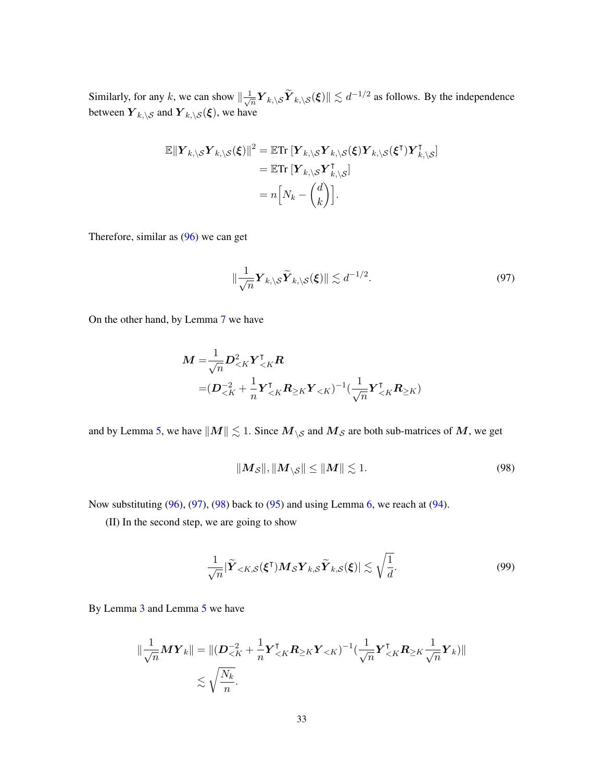Similarly, for any k, we can show  $\frac{1}{k}$  $\frac{1}{\sqrt{n}} \mathbf{Y}_{k,\setminus\mathcal{S}}(\mathbf{X}) \le d^{-1/2}$  as follows. By the independence between  $\boldsymbol{Y}_{k,\setminus\mathcal{S}}$  and  $\boldsymbol{Y}_{k,\setminus\mathcal{S}}(\boldsymbol{\xi}),$  we have

$$
\mathbb{E}||\boldsymbol{Y}_{k,\setminus\mathcal{S}}\boldsymbol{Y}_{k,\setminus\mathcal{S}}(\boldsymbol{\xi})||^2 = \mathbb{E}\mathrm{Tr}\left[\boldsymbol{Y}_{k,\setminus\mathcal{S}}\boldsymbol{Y}_{k,\setminus\mathcal{S}}(\boldsymbol{\xi})\boldsymbol{Y}_{k,\setminus\mathcal{S}}(\boldsymbol{\xi}^\mathsf{T})\boldsymbol{Y}_{k,\setminus\mathcal{S}}^\mathsf{T}\right] \n= \mathbb{E}\mathrm{Tr}\left[\boldsymbol{Y}_{k,\setminus\mathcal{S}}\boldsymbol{Y}_{k,\setminus\mathcal{S}}^\mathsf{T}\right] \n= n\left[N_k - \begin{pmatrix} d \\ k \end{pmatrix}\right].
$$

Therefore, similar as [\(96\)](#page-31-2) we can get

<span id="page-32-0"></span>
$$
\|\frac{1}{\sqrt{n}}\boldsymbol{Y}_{k,\setminus\mathcal{S}}\widetilde{\boldsymbol{Y}}_{k,\setminus\mathcal{S}}(\boldsymbol{\xi})\| \lesssim d^{-1/2}.
$$
\n(97)

On the other hand, by Lemma [7](#page-21-2) we have

$$
M = \frac{1}{\sqrt{n}} D_{\leq K}^2 Y_{\leq K}^{\mathsf{T}} \mathbf{R}
$$
  
=  $(D_{\leq K}^{-2} + \frac{1}{n} Y_{\leq K}^{\mathsf{T}} \mathbf{R}_{\geq K} Y_{\leq K})^{-1} (\frac{1}{\sqrt{n}} Y_{\leq K}^{\mathsf{T}} \mathbf{R}_{\geq K})$ 

and by Lemma [5,](#page-20-7) we have  $\|M\| \lesssim 1$ . Since  $M_{\setminus S}$  and  $M_S$  are both sub-matrices of M, we get

<span id="page-32-1"></span>
$$
||M_{\mathcal{S}}||, ||M_{\backslash\mathcal{S}}|| \le ||M|| \lesssim 1. \tag{98}
$$

Now substituting  $(96)$ ,  $(97)$ ,  $(98)$  back to  $(95)$  and using Lemma [6,](#page-21-1) we reach at  $(94)$ .

(II) In the second step, we are going to show

<span id="page-32-2"></span>
$$
\frac{1}{\sqrt{n}}|\widetilde{\boldsymbol{Y}}_{\n(99)
$$

By Lemma [3](#page-18-2) and Lemma [5](#page-20-7) we have

$$
\|\frac{1}{\sqrt{n}}\boldsymbol{M}\boldsymbol{Y}_k\| = \|(\boldsymbol{D}_{\leq K}^{-2} + \frac{1}{n}\boldsymbol{Y}_{\leq K}^\intercal\boldsymbol{R}_{\geq K}\boldsymbol{Y}_{\leq K})^{-1}(\frac{1}{\sqrt{n}}\boldsymbol{Y}_{\leq K}^\intercal\boldsymbol{R}_{\geq K}\frac{1}{\sqrt{n}}\boldsymbol{Y}_k)\|
$$
  
\$\lesssim \sqrt{\frac{N\_k}{n}}\$.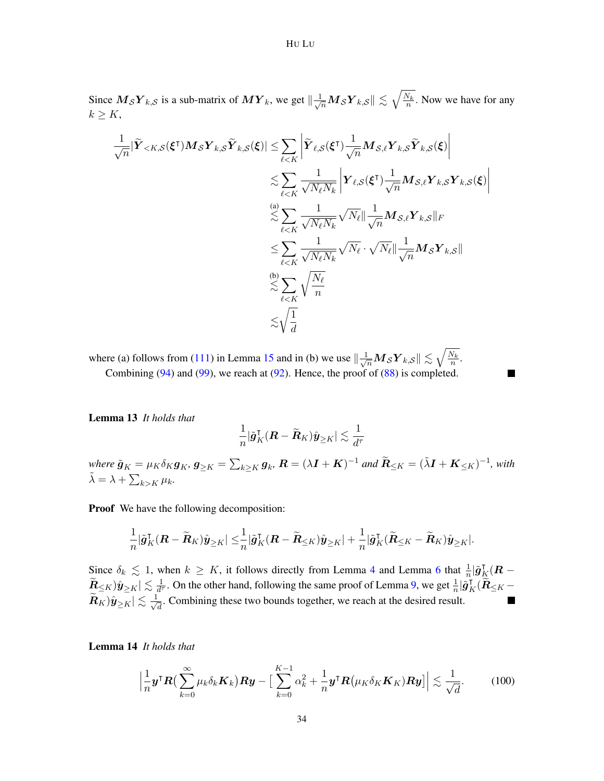Since  $M_{\mathcal{S}} Y_{k,\mathcal{S}}$  is a sub-matrix of  $MY_k$ , we get  $\|\frac{1}{\sqrt{n}} M_{\mathcal{S}} Y_{k,\mathcal{S}} \| \lesssim \sqrt{\frac{N_k}{n}}$ . Now we have for any  $k \geq K$ ,

$$
\frac{1}{\sqrt{n}}|\widetilde{Y}_{\leq K,S}(\xi^{\mathsf{T}})M_{\mathcal{S}}Y_{k,\mathcal{S}}\widetilde{Y}_{k,\mathcal{S}}(\xi)| \leq \sum_{\ell \leq K} \left| \widetilde{Y}_{\ell,S}(\xi^{\mathsf{T}}) \frac{1}{\sqrt{n}} M_{\mathcal{S},\ell} Y_{k,\mathcal{S}}\widetilde{Y}_{k,\mathcal{S}}(\xi) \right|
$$
  

$$
\lesssim \sum_{\ell \leq K} \frac{1}{\sqrt{N_{\ell}N_{k}}} \left| Y_{\ell,S}(\xi^{\mathsf{T}}) \frac{1}{\sqrt{n}} M_{\mathcal{S},\ell} Y_{k,\mathcal{S}} Y_{k,\mathcal{S}}(\xi) \right|
$$
  

$$
\lesssim \sum_{\ell \leq K} \frac{1}{\sqrt{N_{\ell}N_{k}}} \sqrt{N_{\ell}} || \frac{1}{\sqrt{n}} M_{\mathcal{S},\ell} Y_{k,\mathcal{S}} ||_{F}
$$
  

$$
\leq \sum_{\ell \leq K} \frac{1}{\sqrt{N_{\ell}N_{k}}} \sqrt{N_{\ell}} \cdot \sqrt{N_{\ell}} || \frac{1}{\sqrt{n}} M_{\mathcal{S}} Y_{k,\mathcal{S}} ||
$$
  

$$
\lesssim \sum_{\ell \leq K} \sqrt{\frac{N_{\ell}}{n}}
$$
  

$$
\lesssim \sqrt{\frac{1}{d}}
$$

where (a) follows from [\(111\)](#page-35-0) in Lemma [15](#page-35-1) and in (b) we use  $\left\|\frac{1}{\sqrt{n}}M_{\mathcal{S}}Y_{k,\mathcal{S}}\right\| \lesssim \sqrt{\frac{N_k}{n}}$ . Combining  $(94)$  and  $(99)$ , we reach at  $(92)$ . Hence, the proof of  $(88)$  is completed.

<span id="page-33-0"></span>Lemma 13 *It holds that*

$$
\frac{1}{n} |\tilde{\boldsymbol{g}}_K^{\intercal}(\boldsymbol{R}-\widetilde{\boldsymbol{R}}_K)\hat{\boldsymbol{y}}_{\geq K}| \lesssim \frac{1}{d^{\tau}}
$$

 $\blacksquare$ 

 $\lim_{\alpha \to 0^+} \tilde{\bm{g}}_K = \mu_K \delta_K \bm{g}_K, \bm{g}_{\geq K} = \sum_{k \geq K} \bm{g}_k, \bm{R} = (\lambda \bm{I} + \bm{K})^{-1}$  and  $\widetilde{\bm{R}}_{\leq K} = (\tilde{\lambda}\bm{I} + \bm{K}_{\leq K})^{-1}$ , with  $\tilde{\lambda} = \lambda + \sum_{k > K} \mu_k$ .

**Proof** We have the following decomposition:

$$
\frac{1}{n}|\tilde{g}^\intercal_K(\boldsymbol{R}-\widetilde{\boldsymbol{R}}_K)\hat{\boldsymbol{y}}_{\geq K}|\leq \frac{1}{n}|\tilde{g}^\intercal_K(\boldsymbol{R}-\widetilde{\boldsymbol{R}}_{\leq K})\hat{\boldsymbol{y}}_{\geq K}|+\frac{1}{n}|\tilde{g}^\intercal_K(\widetilde{\boldsymbol{R}}_{\leq K}-\widetilde{\boldsymbol{R}}_K)\hat{\boldsymbol{y}}_{\geq K}|.
$$

Since  $\delta_k \lesssim 1$ , when  $k \geq K$ , it follows directly from Lemma [4](#page-19-0) and Lemma [6](#page-21-1) that  $\frac{1}{n} |\tilde{g}_K^{\dagger}(R \widetilde{\bm{R}}_{\leq K} )\hat{\bm{y}}_{\geq K} | \lesssim \frac{1}{d^{\eta}}$  $\frac{1}{d^{\tau}}$ . On the other hand, following the same proof of Lemma [9,](#page-22-1) we get  $\frac{1}{n}|\tilde{g}_K^{\tau}(\tilde{R}_{\leq K} (\widetilde{\bm{R}}_K)\hat{\bm{y}}_{\geq K}|\lesssim \frac{1}{\sqrt{3}}$  $\overline{\overline{d}}$ . Combining these two bounds together, we reach at the desired result.

<span id="page-33-1"></span>Lemma 14 *It holds that*

$$
\left|\frac{1}{n}\boldsymbol{y}^{\mathsf{T}}\boldsymbol{R}\left(\sum_{k=0}^{\infty}\mu_{k}\delta_{k}\boldsymbol{K}_{k}\right)\boldsymbol{R}\boldsymbol{y}-\left[\sum_{k=0}^{K-1}\alpha_{k}^{2}+\frac{1}{n}\boldsymbol{y}^{\mathsf{T}}\boldsymbol{R}\left(\mu_{K}\delta_{K}\boldsymbol{K}_{K}\right)\boldsymbol{R}\boldsymbol{y}\right]\right|\lesssim\frac{1}{\sqrt{d}}.\tag{100}
$$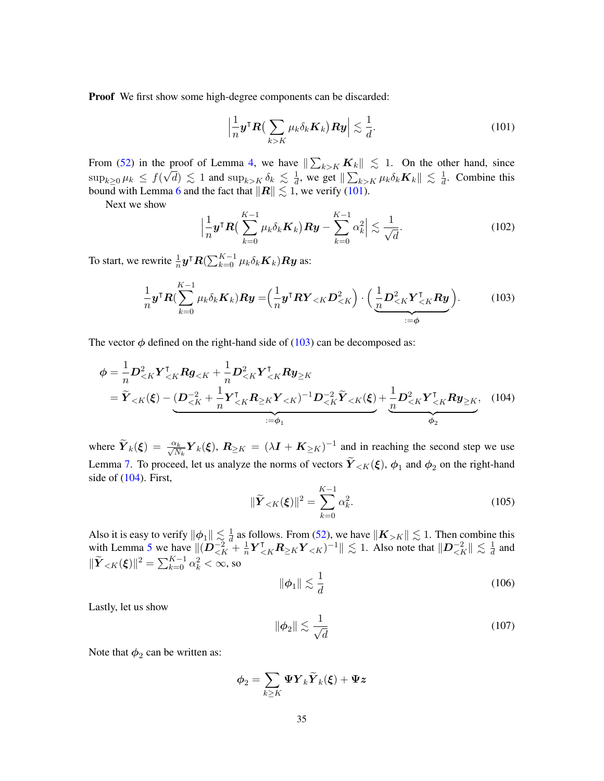Proof We first show some high-degree components can be discarded:

<span id="page-34-0"></span>
$$
\left|\frac{1}{n}\mathbf{y}^{\mathsf{T}}\mathbf{R}\left(\sum_{k>K}\mu_{k}\delta_{k}\mathbf{K}_{k}\right)\mathbf{R}\mathbf{y}\right|\lesssim\frac{1}{d}.\tag{101}
$$

From [\(52\)](#page-20-3) in the proof of Lemma [4,](#page-19-0) we have  $\|\sum_{k>K} K_k\| \leq 1$ . On the other hand, since  $\sup_{k\geq 0}\mu_k \leq f(\sqrt{d}) \lesssim 1$  and  $\sup_{k>K}\delta_k \lesssim \frac{1}{d}$  $\frac{1}{d}$ , we get  $\Vert \sum_{k>K} \mu_k \delta_k \mathbf{K}_k \Vert \lesssim \frac{1}{d}$  $\frac{1}{d}$ . Combine this bound with Lemma [6](#page-21-1) and the fact that  $||R|| \lesssim 1$ , we verify [\(101\)](#page-34-0).

Next we show

<span id="page-34-6"></span><span id="page-34-1"></span>
$$
\left|\frac{1}{n}\boldsymbol{y}^{\mathsf{T}}\boldsymbol{R}\left(\sum_{k=0}^{K-1}\mu_{k}\delta_{k}\boldsymbol{K}_{k}\right)\boldsymbol{R}\boldsymbol{y}-\sum_{k=0}^{K-1}\alpha_{k}^{2}\right|\lesssim\frac{1}{\sqrt{d}}.\tag{102}
$$

To start, we rewrite  $\frac{1}{n}$   $\bm{y}^\intercal \bm{R} (\sum_{k=0}^{K-1} \mu_k \delta_k \bm{K}_k) \bm{R} \bm{y}$  as:

$$
\frac{1}{n}\boldsymbol{y}^{\mathsf{T}}\boldsymbol{R}(\sum_{k=0}^{K-1}\mu_k\delta_k\boldsymbol{K}_k)\boldsymbol{R}\boldsymbol{y} = \left(\frac{1}{n}\boldsymbol{y}^{\mathsf{T}}\boldsymbol{R}\boldsymbol{Y}_{
$$

The vector  $\phi$  defined on the right-hand side of [\(103\)](#page-34-1) can be decomposed as:

$$
\phi = \frac{1}{n} D_{\leq K}^2 Y_{\leq K}^\mathsf{T} R g_{\leq K} + \frac{1}{n} D_{\leq K}^2 Y_{\leq K}^\mathsf{T} R y_{\geq K} \n= \widetilde{Y}_{\leq K}(\xi) - \underbrace{(D_{\leq K}^{-2} + \frac{1}{n} Y_{\leq K}^\mathsf{T} R_{\geq K} Y_{\leq K})^{-1} D_{\leq K}^{-2} \widetilde{Y}_{\leq K}(\xi)}_{:= \phi_1} + \underbrace{\frac{1}{n} D_{\leq K}^2 Y_{\leq K}^\mathsf{T} R y_{\geq K}}_{\phi_2}, \quad (104)
$$

where  $\widetilde{\boldsymbol{Y}}_k(\boldsymbol{\xi}) = \frac{\alpha_k}{\sqrt{N_k}} \boldsymbol{Y}_k(\boldsymbol{\xi}), \, \boldsymbol{R}_{\geq K} = (\lambda \boldsymbol{I} + \boldsymbol{K}_{\geq K})^{-1}$  and in reaching the second step we use Lemma [7.](#page-21-2) To proceed, let us analyze the norms of vectors  $Y_{\leq K}(\xi)$ ,  $\phi_1$  and  $\phi_2$  on the right-hand side of [\(104\)](#page-34-2). First,

<span id="page-34-3"></span><span id="page-34-2"></span>
$$
\|\widetilde{\boldsymbol{Y}}_{\n(105)
$$

Also it is easy to verify  $\|\boldsymbol{\phi}_1\| \lesssim \frac{1}{d}$  $\frac{1}{d}$  as follows. From [\(52\)](#page-20-3), we have  $||\mathbf{K}_{\geq K}|| \lesssim 1$ . Then combine this with Lemma [5](#page-20-7) we have  $\|(D^{-2}_{\leq K} + \frac{1}{n}\)$  $\frac{1}{n} \boldsymbol{Y}_{\leq K}^{\intercal} \boldsymbol{R}_{\geq K} \boldsymbol{Y}_{\leq K}$ )<sup>-1</sup>  $\parallel \lesssim 1$ . Also note that  $\parallel \boldsymbol{D}_{\leq K}^{-2} \parallel \lesssim \frac{1}{d}$  $\frac{1}{d}$  and  $\|\widetilde{\boldsymbol{Y}}_{<K}(\boldsymbol{\xi})\|^2 = \sum_{k=0}^{K-1} \alpha_k^2 < \infty$ , so

<span id="page-34-4"></span>
$$
\|\phi_1\| \lesssim \frac{1}{d} \tag{106}
$$

Lastly, let us show

<span id="page-34-5"></span>
$$
\|\phi_2\| \lesssim \frac{1}{\sqrt{d}}\tag{107}
$$

Note that  $\phi_2$  can be written as:

$$
\boldsymbol{\phi}_2 = \sum_{k \geq K} \boldsymbol{\Psi} \boldsymbol{Y}_k \widetilde{\boldsymbol{Y}}_k(\boldsymbol{\xi}) + \boldsymbol{\Psi} \boldsymbol{z}
$$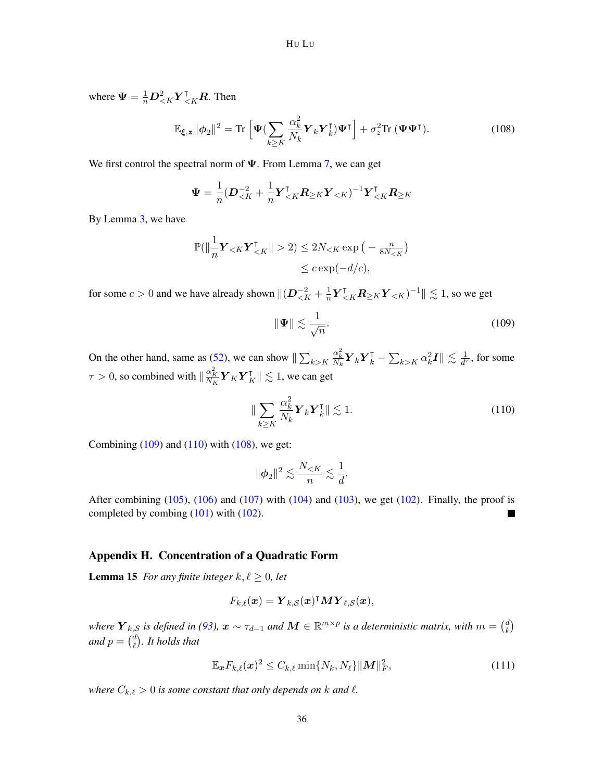where  $\Psi = \frac{1}{n} D_{\leq K}^2 Y_{\leq K}^{\dagger} R$ . Then

<span id="page-35-4"></span>
$$
\mathbb{E}_{\xi,z} \|\phi_2\|^2 = \text{Tr}\left[\Psi(\sum_{k\geq K} \frac{\alpha_k^2}{N_k} \boldsymbol{Y}_k \boldsymbol{Y}_k^\mathsf{T}) \boldsymbol{\Psi}^\mathsf{T}\right] + \sigma_z^2 \text{Tr}\left(\boldsymbol{\Psi} \boldsymbol{\Psi}^\mathsf{T}\right).
$$
 (108)

We first control the spectral norm of  $\Psi$ . From Lemma [7,](#page-21-2) we can get

$$
\Psi = \frac{1}{n} (\bm{D}_{\leq K}^{-2} + \frac{1}{n} \bm{Y}_{\leq K}^{\mathsf{T}} \bm{R}_{\geq K} \bm{Y}_{\leq K})^{-1} \bm{Y}_{\leq K}^{\mathsf{T}} \bm{R}_{\geq K}
$$

By Lemma [3,](#page-18-2) we have

$$
\mathbb{P}(\left\|\frac{1}{n}\mathbf{Y}_{ 2) \le 2N_{
$$

for some  $c > 0$  and we have already shown  $\|(\mathbf{D}_{\leq K}^{-2} + \frac{1}{n})\|$  $\frac{1}{n} \boldsymbol{Y}_{\leq K}^{\intercal} \boldsymbol{R}_{\geq K} \boldsymbol{Y}_{\leq K})^{-1} \| \lesssim 1$ , so we get

<span id="page-35-2"></span>
$$
\|\Psi\| \lesssim \frac{1}{\sqrt{n}}.\tag{109}
$$

On the other hand, same as [\(52\)](#page-20-3), we can show  $\Vert \sum_{k>K}$  $\frac{\alpha_k^2}{N_k}{\boldsymbol Y}_k{\boldsymbol Y}_k^{\intercal}-\sum_{k>K}\alpha_k^2{\boldsymbol I}\| \lesssim \frac{1}{d^2}$  $\frac{1}{d^{\tau}}$ , for some  $\tau > 0$ , so combined with  $\|\frac{\alpha_K^2}{N_K}\bm{Y}_K\bm{Y}_K^{\intercal}\| \lesssim 1$ , we can get

<span id="page-35-3"></span>
$$
\|\sum_{k\geq K} \frac{\alpha_k^2}{N_k} \mathbf{Y}_k \mathbf{Y}_k^{\mathsf{T}}\| \lesssim 1. \tag{110}
$$

Combining  $(109)$  and  $(110)$  with  $(108)$ , we get:

$$
\|\phi_2\|^2 \lesssim \frac{N_{
$$

After combining  $(105)$ ,  $(106)$  and  $(107)$  with  $(104)$  and  $(103)$ , we get  $(102)$ . Finally, the proof is completed by combing [\(101\)](#page-34-0) with [\(102\)](#page-34-6).

#### Appendix H. Concentration of a Quadratic Form

<span id="page-35-1"></span>**Lemma 15** *For any finite integer*  $k, l \geq 0$ *, let* 

$$
F_{k,\ell}(\boldsymbol{x}) = \boldsymbol{Y}_{k,\mathcal{S}}(\boldsymbol{x})^\intercal \boldsymbol{M} \boldsymbol{Y}_{\ell,\mathcal{S}}(\boldsymbol{x}),
$$

where  $\bm Y_{k,\mathcal{S}}$  is defined in [\(93\)](#page-30-3),  $\bm x\sim \tau_{d-1}$  and  $\bm M\in\mathbb{R}^{m\times p}$  is a deterministic matrix, with  $m={d\choose k}$  $\binom{d}{k}$ *and*  $p = \binom{d}{\ell}$ ` *. It holds that*

<span id="page-35-0"></span>
$$
\mathbb{E}_{\boldsymbol{x}} F_{k,\ell}(\boldsymbol{x})^2 \le C_{k,\ell} \min\{N_k, N_\ell\} \|\boldsymbol{M}\|_F^2,\tag{111}
$$

*where*  $C_{k,\ell} > 0$  *is some constant that only depends on k and*  $\ell$ *.*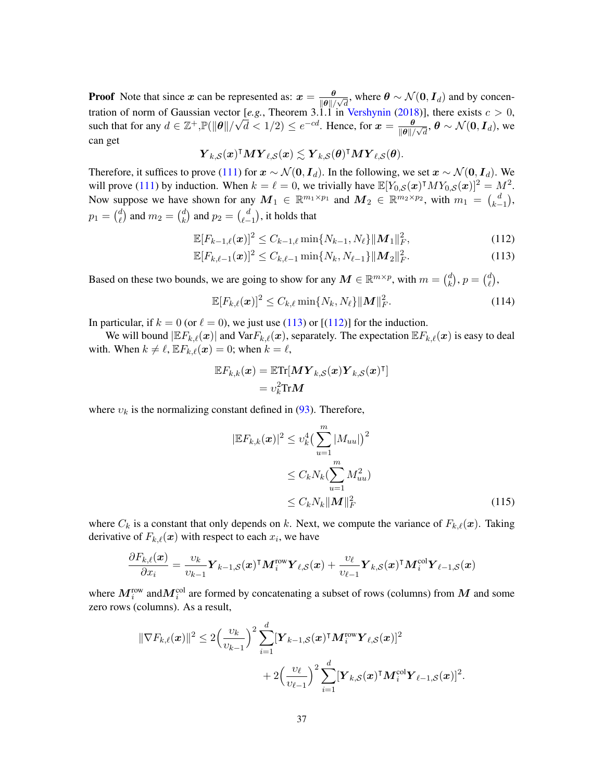**Proof** Note that since x can be represented as:  $x = \frac{\theta}{\|Q\|}$  $\frac{\theta}{\|\theta\|/\sqrt{d}}$ , where  $\theta \sim \mathcal{N}(\mathbf{0}, \mathbf{I}_d)$  and by concentration of norm of Gaussian vector  $[e.g.,$  Theorem 3.1.1 in [Vershynin](#page-13-14) [\(2018\)](#page-13-14)], there exists  $c > 0$ , such that for any  $d \in \mathbb{Z}^+$ ,  $\mathbb{P}(\|\theta\|/\sqrt{d} < 1/2) \le e^{-cd}$ . Hence, for  $\mathbf{x} = \frac{\theta}{\|\mathbf{Q}\|}$  $\frac{\theta}{\|\theta\|/\sqrt{d}},$   $\theta \sim \mathcal{N}(\mathbf{0}, \bm{I}_d),$  we can get

$$
\boldsymbol Y_{k,\mathcal S}(\boldsymbol x)^\intercal \boldsymbol M \boldsymbol Y_{\ell,\mathcal S}(\boldsymbol x) \lesssim \boldsymbol Y_{k,\mathcal S}(\boldsymbol \theta)^\intercal \boldsymbol M \boldsymbol Y_{\ell,\mathcal S}(\boldsymbol \theta).
$$

Therefore, it suffices to prove [\(111\)](#page-35-0) for  $x \sim \mathcal{N}(0, I_d)$ . In the following, we set  $x \sim \mathcal{N}(0, I_d)$ . We will prove [\(111\)](#page-35-0) by induction. When  $k = \ell = 0$ , we trivially have  $\mathbb{E}[Y_{0, S}(\boldsymbol{x})^{\dagger} M Y_{0, S}(\boldsymbol{x})]^2 = M^2$ . Now suppose we have shown for any  $M_1 \in \mathbb{R}^{m_1 \times p_1}$  and  $M_2 \in \mathbb{R}^{m_2 \times p_2}$ , with  $m_1 = \binom{d}{k-1}$  $_{k-1}^{d}),$  $p_1 = \binom{d}{\ell}$  $\binom{d}{\ell}$  and  $m_2 = \binom{d}{k}$  $\binom{d}{k}$  and  $p_2 = \binom{d}{\ell}$  $_{\ell-1}^{d}$ ), it holds that

$$
\mathbb{E}[F_{k-1,\ell}(\boldsymbol{x})]^2 \le C_{k-1,\ell} \min\{N_{k-1}, N_{\ell}\} \|\boldsymbol{M}_1\|_F^2, \tag{112}
$$

$$
\mathbb{E}[F_{k,\ell-1}(\boldsymbol{x})]^2 \le C_{k,\ell-1} \min\{N_k, N_{\ell-1}\} \|\boldsymbol{M}_2\|_F^2.
$$
 (113)

Based on these two bounds, we are going to show for any  $M \in \mathbb{R}^{m \times p}$ , with  $m = \binom{d}{k}$  $\binom{d}{k}$ ,  $p = \binom{d}{\ell}$  $_\ell^d),$ 

<span id="page-36-3"></span><span id="page-36-1"></span><span id="page-36-0"></span>
$$
\mathbb{E}[F_{k,\ell}(\boldsymbol{x})]^2 \leq C_{k,\ell} \min\{N_k, N_\ell\} \|\boldsymbol{M}\|_F^2. \tag{114}
$$

In particular, if  $k = 0$  (or  $\ell = 0$ ), we just use [\(113\)](#page-36-0) or [[\(112\)](#page-36-1)] for the induction.

We will bound  $|E F_{k,\ell}(x)|$  and  $Var F_{k,\ell}(x)$ , separately. The expectation  $E F_{k,\ell}(x)$  is easy to deal with. When  $k \neq \ell$ ,  $\mathbb{E} F_{k,\ell}(\boldsymbol{x}) = 0$ ; when  $k = \ell$ ,

$$
\mathbb{E}F_{k,k}(\boldsymbol{x}) = \mathbb{E}\text{Tr}[\boldsymbol{M}\boldsymbol{Y}_{k,S}(\boldsymbol{x})\boldsymbol{Y}_{k,S}(\boldsymbol{x})^{\intercal}] \\
= v_k^2 \text{Tr}\boldsymbol{M}
$$

where  $v_k$  is the normalizing constant defined in [\(93\)](#page-30-3). Therefore,

$$
|\mathbb{E}F_{k,k}(\boldsymbol{x})|^2 \le v_k^4 \left(\sum_{u=1}^m |M_{uu}|\right)^2
$$
  
\n
$$
\le C_k N_k \left(\sum_{u=1}^m M_{uu}^2\right)
$$
  
\n
$$
\le C_k N_k ||\boldsymbol{M}||_F^2
$$
\n(115)

<span id="page-36-2"></span>.

where  $C_k$  is a constant that only depends on k. Next, we compute the variance of  $F_{k,\ell}(\boldsymbol{x})$ . Taking derivative of  $F_{k,\ell}(\boldsymbol{x})$  with respect to each  $x_i$ , we have

$$
\frac{\partial F_{k,\ell}(\boldsymbol{x})}{\partial x_i} = \frac{\upsilon_k}{\upsilon_{k-1}} \boldsymbol{Y}_{k-1,\mathcal{S}}(\boldsymbol{x})^\intercal \boldsymbol{M}^{\text{row}}_i \boldsymbol{Y}_{\ell,\mathcal{S}}(\boldsymbol{x}) + \frac{\upsilon_\ell}{\upsilon_{\ell-1}} \boldsymbol{Y}_{k,\mathcal{S}}(\boldsymbol{x})^\intercal \boldsymbol{M}^{\text{col}}_i \boldsymbol{Y}_{\ell-1,\mathcal{S}}(\boldsymbol{x})
$$

where  $M_i^{\text{row}}$  and $M_i^{\text{col}}$  are formed by concatenating a subset of rows (columns) from  $M$  and some zero rows (columns). As a result,

$$
\|\nabla F_{k,\ell}(\boldsymbol{x})\|^2 \leq 2 \Big(\frac{\upsilon_k}{\upsilon_{k-1}}\Big)^2 \sum_{i=1}^d [\boldsymbol{Y}_{k-1,S}(\boldsymbol{x})^\intercal \boldsymbol{M}_i^{\text{row}} \boldsymbol{Y}_{\ell,S}(\boldsymbol{x})]^2 + 2 \Big(\frac{\upsilon_{\ell}}{\upsilon_{\ell-1}}\Big)^2 \sum_{i=1}^d [\boldsymbol{Y}_{k,S}(\boldsymbol{x})^\intercal \boldsymbol{M}_i^{\text{col}} \boldsymbol{Y}_{\ell-1,S}(\boldsymbol{x})]^2
$$